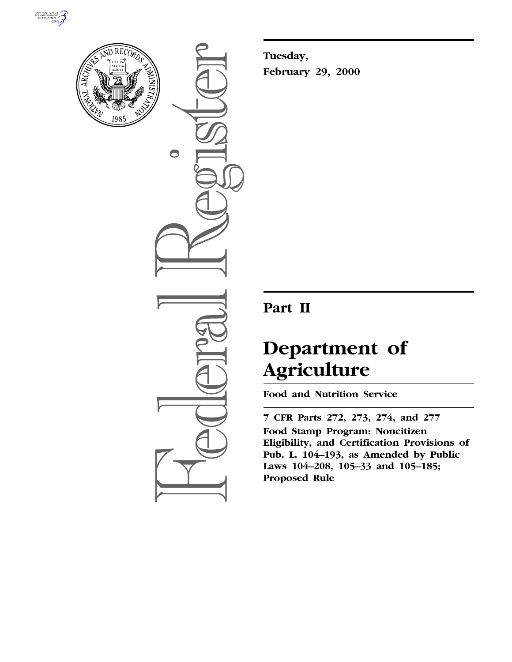



 $\bigcirc$ 

**Tuesday, February 29, 2000**

# **Part II**

# **Department of Agriculture**

**Food and Nutrition Service**

**7 CFR Parts 272, 273, 274, and 277 Food Stamp Program: Noncitizen Eligibility, and Certification Provisions of Pub. L. 104–193, as Amended by Public Laws 104–208, 105–33 and 105–185; Proposed Rule**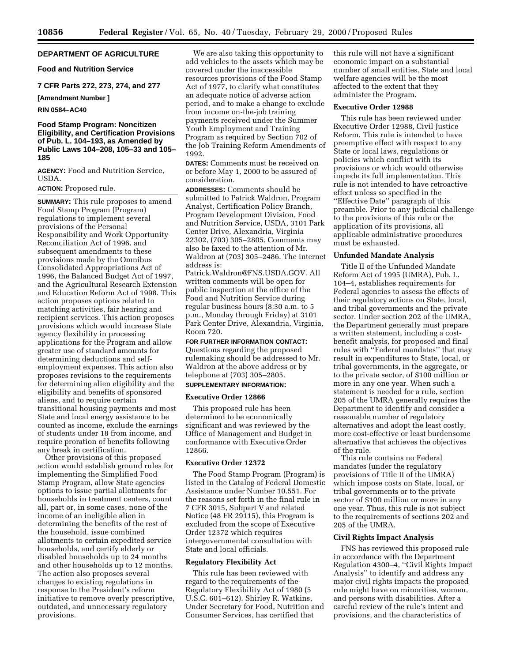#### **DEPARTMENT OF AGRICULTURE**

# **Food and Nutrition Service**

# **7 CFR Parts 272, 273, 274, and 277**

# **[Amendment Number ]**

# **RIN 0584–AC40**

# **Food Stamp Program: Noncitizen Eligibility, and Certification Provisions of Pub. L. 104–193, as Amended by Public Laws 104–208, 105–33 and 105– 185**

**AGENCY:** Food and Nutrition Service, USDA.

# **ACTION:** Proposed rule.

**SUMMARY:** This rule proposes to amend Food Stamp Program (Program) regulations to implement several provisions of the Personal Responsibility and Work Opportunity Reconciliation Act of 1996, and subsequent amendments to these provisions made by the Omnibus Consolidated Appropriations Act of 1996, the Balanced Budget Act of 1997, and the Agricultural Research Extension and Education Reform Act of 1998. This action proposes options related to matching activities, fair hearing and recipient services. This action proposes provisions which would increase State agency flexibility in processing applications for the Program and allow greater use of standard amounts for determining deductions and selfemployment expenses. This action also proposes revisions to the requirements for determining alien eligibility and the eligibility and benefits of sponsored aliens, and to require certain transitional housing payments and most State and local energy assistance to be counted as income, exclude the earnings of students under 18 from income, and require proration of benefits following any break in certification.

Other provisions of this proposed action would establish ground rules for implementing the Simplified Food Stamp Program, allow State agencies options to issue partial allotments for households in treatment centers, count all, part or, in some cases, none of the income of an ineligible alien in determining the benefits of the rest of the household, issue combined allotments to certain expedited service households, and certify elderly or disabled households up to 24 months and other households up to 12 months. The action also proposes several changes to existing regulations in response to the President's reform initiative to remove overly prescriptive, outdated, and unnecessary regulatory provisions.

We are also taking this opportunity to add vehicles to the assets which may be covered under the inaccessible resources provisions of the Food Stamp Act of 1977, to clarify what constitutes an adequate notice of adverse action period, and to make a change to exclude from income on-the-job training payments received under the Summer Youth Employment and Training Program as required by Section 702 of the Job Training Reform Amendments of 1992.

**DATES:** Comments must be received on or before May 1, 2000 to be assured of consideration.

**ADDRESSES:** Comments should be submitted to Patrick Waldron, Program Analyst, Certification Policy Branch, Program Development Division, Food and Nutrition Service, USDA, 3101 Park Center Drive, Alexandria, Virginia 22302, (703) 305–2805. Comments may also be faxed to the attention of Mr. Waldron at (703) 305–2486. The internet address is:

Patrick.Waldron@FNS.USDA.GOV. All written comments will be open for public inspection at the office of the Food and Nutrition Service during regular business hours (8:30 a.m. to 5 p.m., Monday through Friday) at 3101 Park Center Drive, Alexandria, Virginia, Room 720.

# **FOR FURTHER INFORMATION CONTACT:**

Questions regarding the proposed rulemaking should be addressed to Mr. Waldron at the above address or by telephone at (703) 305–2805.

# **SUPPLEMENTARY INFORMATION:**

#### **Executive Order 12866**

This proposed rule has been determined to be economically significant and was reviewed by the Office of Management and Budget in conformance with Executive Order 12866.

# **Executive Order 12372**

The Food Stamp Program (Program) is listed in the Catalog of Federal Domestic Assistance under Number 10.551. For the reasons set forth in the final rule in 7 CFR 3015, Subpart V and related Notice (48 FR 29115), this Program is excluded from the scope of Executive Order 12372 which requires intergovernmental consultation with State and local officials.

#### **Regulatory Flexibility Act**

This rule has been reviewed with regard to the requirements of the Regulatory Flexibility Act of 1980 (5 U.S.C. 601–612). Shirley R. Watkins, Under Secretary for Food, Nutrition and Consumer Services, has certified that

this rule will not have a significant economic impact on a substantial number of small entities. State and local welfare agencies will be the most affected to the extent that they administer the Program.

#### **Executive Order 12988**

This rule has been reviewed under Executive Order 12988, Civil Justice Reform. This rule is intended to have preemptive effect with respect to any State or local laws, regulations or policies which conflict with its provisions or which would otherwise impede its full implementation. This rule is not intended to have retroactive effect unless so specified in the ''Effective Date'' paragraph of this preamble. Prior to any judicial challenge to the provisions of this rule or the application of its provisions, all applicable administrative procedures must be exhausted.

#### **Unfunded Mandate Analysis**

Title II of the Unfunded Mandate Reform Act of 1995 (UMRA), Pub. L. 104–4, establishes requirements for Federal agencies to assess the effects of their regulatory actions on State, local, and tribal governments and the private sector. Under section 202 of the UMRA, the Department generally must prepare a written statement, including a costbenefit analysis, for proposed and final rules with ''Federal mandates'' that may result in expenditures to State, local, or tribal governments, in the aggregate, or to the private sector, of \$100 million or more in any one year. When such a statement is needed for a rule, section 205 of the UMRA generally requires the Department to identify and consider a reasonable number of regulatory alternatives and adopt the least costly, more cost-effective or least burdensome alternative that achieves the objectives of the rule.

This rule contains no Federal mandates (under the regulatory provisions of Title II of the UMRA) which impose costs on State, local, or tribal governments or to the private sector of \$100 million or more in any one year. Thus, this rule is not subject to the requirements of sections 202 and 205 of the UMRA.

#### **Civil Rights Impact Analysis**

FNS has reviewed this proposed rule in accordance with the Department Regulation 4300–4, ''Civil Rights Impact Analysis'' to identify and address any major civil rights impacts the proposed rule might have on minorities, women, and persons with disabilities. After a careful review of the rule's intent and provisions, and the characteristics of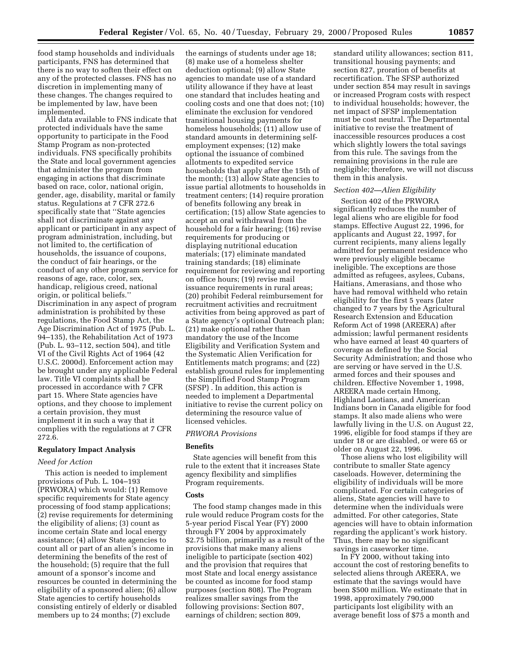food stamp households and individuals participants, FNS has determined that there is no way to soften their effect on any of the protected classes. FNS has no discretion in implementing many of these changes. The changes required to be implemented by law, have been implemented.

All data available to FNS indicate that protected individuals have the same opportunity to participate in the Food Stamp Program as non-protected individuals. FNS specifically prohibits the State and local government agencies that administer the program from engaging in actions that discriminate based on race, color, national origin, gender, age, disability, marital or family status. Regulations at 7 CFR 272.6 specifically state that ''State agencies shall not discriminate against any applicant or participant in any aspect of program administration, including, but not limited to, the certification of households, the issuance of coupons, the conduct of fair hearings, or the conduct of any other program service for reasons of age, race, color, sex, handicap, religious creed, national origin, or political beliefs.'' Discrimination in any aspect of program administration is prohibited by these regulations, the Food Stamp Act, the Age Discrimination Act of 1975 (Pub. L. 94–135), the Rehabilitation Act of 1973 (Pub. L. 93–112, section 504), and title VI of the Civil Rights Act of 1964 (42 U.S.C. 2000d). Enforcement action may be brought under any applicable Federal law. Title VI complaints shall be processed in accordance with 7 CFR part 15. Where State agencies have options, and they choose to implement a certain provision, they must implement it in such a way that it complies with the regulations at 7 CFR 272.6.

#### **Regulatory Impact Analysis**

#### *Need for Action*

This action is needed to implement provisions of Pub. L. 104–193 (PRWORA) which would: (1) Remove specific requirements for State agency processing of food stamp applications; (2) revise requirements for determining the eligibility of aliens; (3) count as income certain State and local energy assistance; (4) allow State agencies to count all or part of an alien's income in determining the benefits of the rest of the household; (5) require that the full amount of a sponsor's income and resources be counted in determining the eligibility of a sponsored alien; (6) allow State agencies to certify households consisting entirely of elderly or disabled members up to 24 months; (7) exclude

the earnings of students under age 18; (8) make use of a homeless shelter deduction optional; (9) allow State agencies to mandate use of a standard utility allowance if they have at least one standard that includes heating and cooling costs and one that does not; (10) eliminate the exclusion for vendored transitional housing payments for homeless households; (11) allow use of standard amounts in determining selfemployment expenses; (12) make optional the issuance of combined allotments to expedited service households that apply after the 15th of the month; (13) allow State agencies to issue partial allotments to households in treatment centers; (14) require proration of benefits following any break in certification; (15) allow State agencies to accept an oral withdrawal from the household for a fair hearing; (16) revise requirements for producing or displaying nutritional education materials; (17) eliminate mandated training standards; (18) eliminate requirement for reviewing and reporting on office hours; (19) revise mail issuance requirements in rural areas; (20) prohibit Federal reimbursement for recruitment activities and recruitment activities from being approved as part of a State agency's optional Outreach plan; (21) make optional rather than mandatory the use of the Income Eligibility and Verification System and the Systematic Alien Verification for Entitlements match programs; and (22) establish ground rules for implementing the Simplified Food Stamp Program (SFSP) . In addition, this action is needed to implement a Departmental initiative to revise the current policy on determining the resource value of licensed vehicles.

#### *PRWORA Provisions*

# **Benefits**

State agencies will benefit from this rule to the extent that it increases State agency flexibility and simplifies Program requirements.

#### **Costs**

The food stamp changes made in this rule would reduce Program costs for the 5-year period Fiscal Year (FY) 2000 through FY 2004 by approximately \$2.75 billion, primarily as a result of the provisions that make many aliens ineligible to participate (section 402) and the provision that requires that most State and local energy assistance be counted as income for food stamp purposes (section 808). The Program realizes smaller savings from the following provisions: Section 807, earnings of children; section 809,

standard utility allowances; section 811, transitional housing payments; and section 827, proration of benefits at recertification. The SFSP authorized under section 854 may result in savings or increased Program costs with respect to individual households; however, the net impact of SFSP implementation must be cost neutral. The Departmental initiative to revise the treatment of inaccessible resources produces a cost which slightly lowers the total savings from this rule. The savings from the remaining provisions in the rule are negligible; therefore, we will not discuss them in this analysis.

# *Section 402—Alien Eligibility*

Section 402 of the PRWORA significantly reduces the number of legal aliens who are eligible for food stamps. Effective August 22, 1996, for applicants and August 22, 1997, for current recipients, many aliens legally admitted for permanent residence who were previously eligible became ineligible. The exceptions are those admitted as refugees, asylees, Cubans, Haitians, Amerasians, and those who have had removal withheld who retain eligibility for the first 5 years (later changed to 7 years by the Agricultural Research Extension and Education Reform Act of 1998 (AREERA) after admission; lawful permanent residents who have earned at least 40 quarters of coverage as defined by the Social Security Administration; and those who are serving or have served in the U.S. armed forces and their spouses and children. Effective November 1, 1998, AREERA made certain Hmong, Highland Laotians, and American Indians born in Canada eligible for food stamps. It also made aliens who were lawfully living in the U.S. on August 22, 1996, eligible for food stamps if they are under 18 or are disabled, or were 65 or older on August 22, 1996.

Those aliens who lost eligibility will contribute to smaller State agency caseloads. However, determining the eligibility of individuals will be more complicated. For certain categories of aliens, State agencies will have to determine when the individuals were admitted. For other categories, State agencies will have to obtain information regarding the applicant's work history. Thus, there may be no significant savings in caseworker time.

In FY 2000, without taking into account the cost of restoring benefits to selected aliens through AREERA, we estimate that the savings would have been \$500 million. We estimate that in 1998, approximately 790,000 participants lost eligibility with an average benefit loss of \$75 a month and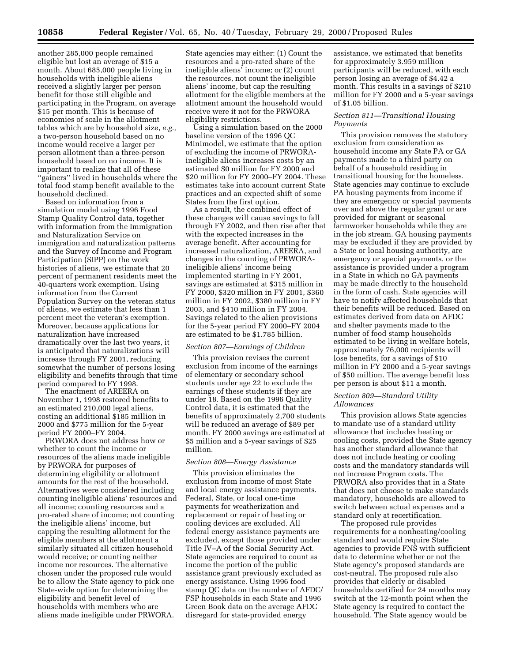another 285,000 people remained eligible but lost an average of \$15 a month. About 685,000 people living in households with ineligible aliens received a slightly larger per person benefit for those still eligible and participating in the Program, on average \$15 per month. This is because of economies of scale in the allotment tables which are by household size, *e.g.,* a two-person household based on no income would receive a larger per person allotment than a three-person household based on no income. It is important to realize that all of these ''gainers'' lived in households where the total food stamp benefit available to the household declined.

Based on information from a simulation model using 1996 Food Stamp Quality Control data, together with information from the Immigration and Naturalization Service on immigration and naturalization patterns and the Survey of Income and Program Participation (SIPP) on the work histories of aliens, we estimate that 20 percent of permanent residents meet the 40-quarters work exemption. Using information from the Current Population Survey on the veteran status of aliens, we estimate that less than 1 percent meet the veteran's exemption. Moreover, because applications for naturalization have increased dramatically over the last two years, it is anticipated that naturalizations will increase through FY 2001, reducing somewhat the number of persons losing eligibility and benefits through that time period compared to FY 1998.

The enactment of AREERA on November 1, 1998 restored benefits to an estimated 210,000 legal aliens, costing an additional \$185 million in 2000 and \$775 million for the 5-year period FY 2000–FY 2004.

PRWORA does not address how or whether to count the income or resources of the aliens made ineligible by PRWORA for purposes of determining eligibility or allotment amounts for the rest of the household. Alternatives were considered including counting ineligible aliens' resources and all income; counting resources and a pro-rated share of income; not counting the ineligible aliens' income, but capping the resulting allotment for the eligible members at the allotment a similarly situated all citizen household would receive; or counting neither income nor resources. The alternative chosen under the proposed rule would be to allow the State agency to pick one State-wide option for determining the eligibility and benefit level of households with members who are aliens made ineligible under PRWORA.

State agencies may either: (1) Count the resources and a pro-rated share of the ineligible aliens' income; or (2) count the resources, not count the ineligible aliens' income, but cap the resulting allotment for the eligible members at the allotment amount the household would receive were it not for the PRWORA eligibility restrictions.

Using a simulation based on the 2000 baseline version of the 1996 QC Minimodel, we estimate that the option of excluding the income of PRWORAineligible aliens increases costs by an estimated \$0 million for FY 2000 and \$20 million for FY 2000–FY 2004. These estimates take into account current State practices and an expected shift of some States from the first option.

As a result, the combined effect of these changes will cause savings to fall through FY 2002, and then rise after that with the expected increases in the average benefit. After accounting for increased naturalization, AREERA, and changes in the counting of PRWORAineligible aliens' income being implemented starting in FY 2001, savings are estimated at \$315 million in FY 2000, \$320 million in FY 2001, \$360 million in FY 2002, \$380 million in FY 2003, and \$410 million in FY 2004. Savings related to the alien provisions for the 5-year period FY 2000–FY 2004 are estimated to be \$1.785 billion.

#### *Section 807—Earnings of Children*

This provision revises the current exclusion from income of the earnings of elementary or secondary school students under age 22 to exclude the earnings of these students if they are under 18. Based on the 1996 Quality Control data, it is estimated that the benefits of approximately 2,700 students will be reduced an average of \$89 per month. FY 2000 savings are estimated at \$5 million and a 5-year savings of \$25 million.

#### *Section 808—Energy Assistance*

This provision eliminates the exclusion from income of most State and local energy assistance payments. Federal, State, or local one-time payments for weatherization and replacement or repair of heating or cooling devices are excluded. All federal energy assistance payments are excluded, except those provided under Title IV–A of the Social Security Act. State agencies are required to count as income the portion of the public assistance grant previously excluded as energy assistance. Using 1996 food stamp QC data on the number of AFDC/ FSP households in each State and 1996 Green Book data on the average AFDC disregard for state-provided energy

assistance, we estimated that benefits for approximately 3.959 million participants will be reduced, with each person losing an average of \$4.42 a month. This results in a savings of \$210 million for FY 2000 and a 5-year savings of \$1.05 billion.

# *Section 811—Transitional Housing Payments*

This provision removes the statutory exclusion from consideration as household income any State PA or GA payments made to a third party on behalf of a household residing in transitional housing for the homeless. State agencies may continue to exclude PA housing payments from income if they are emergency or special payments over and above the regular grant or are provided for migrant or seasonal farmworker households while they are in the job stream. GA housing payments may be excluded if they are provided by a State or local housing authority, are emergency or special payments, or the assistance is provided under a program in a State in which no GA payments may be made directly to the household in the form of cash. State agencies will have to notify affected households that their benefits will be reduced. Based on estimates derived from data on AFDC and shelter payments made to the number of food stamp households estimated to be living in welfare hotels, approximately 76,000 recipients will lose benefits, for a savings of \$10 million in FY 2000 and a 5-year savings of \$50 million. The average benefit loss per person is about \$11 a month.

# *Section 809—Standard Utility Allowances*

This provision allows State agencies to mandate use of a standard utility allowance that includes heating or cooling costs, provided the State agency has another standard allowance that does not include heating or cooling costs and the mandatory standards will not increase Program costs. The PRWORA also provides that in a State that does not choose to make standards mandatory, households are allowed to switch between actual expenses and a standard only at recertification.

The proposed rule provides requirements for a nonheating/cooling standard and would require State agencies to provide FNS with sufficient data to determine whether or not the State agency's proposed standards are cost-neutral. The proposed rule also provides that elderly or disabled households certified for 24 months may switch at the 12-month point when the State agency is required to contact the household. The State agency would be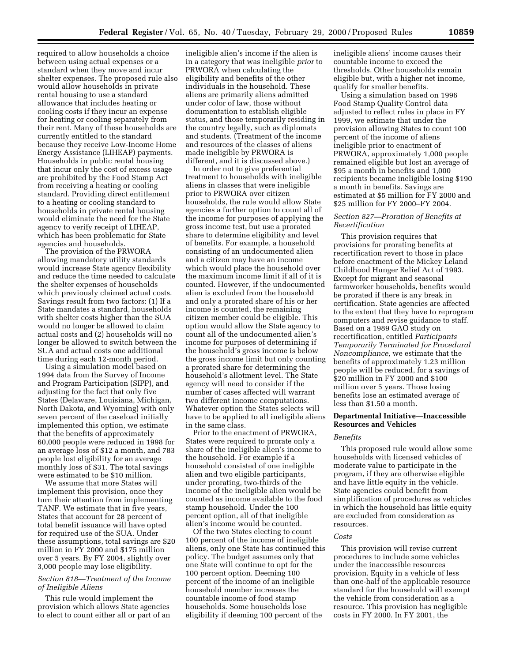required to allow households a choice between using actual expenses or a standard when they move and incur shelter expenses. The proposed rule also would allow households in private rental housing to use a standard allowance that includes heating or cooling costs if they incur an expense for heating or cooling separately from their rent. Many of these households are currently entitled to the standard because they receive Low-Income Home Energy Assistance (LIHEAP) payments. Households in public rental housing that incur only the cost of excess usage are prohibited by the Food Stamp Act from receiving a heating or cooling standard. Providing direct entitlement to a heating or cooling standard to households in private rental housing would eliminate the need for the State agency to verify receipt of LIHEAP, which has been problematic for State agencies and households.

The provision of the PRWORA allowing mandatory utility standards would increase State agency flexibility and reduce the time needed to calculate the shelter expenses of households which previously claimed actual costs. Savings result from two factors: (1) If a State mandates a standard, households with shelter costs higher than the SUA would no longer be allowed to claim actual costs and (2) households will no longer be allowed to switch between the SUA and actual costs one additional time during each 12-month period.

Using a simulation model based on 1994 data from the Survey of Income and Program Participation (SIPP), and adjusting for the fact that only five States (Delaware, Louisiana, Michigan, North Dakota, and Wyoming) with only seven percent of the caseload initially implemented this option, we estimate that the benefits of approximately 60,000 people were reduced in 1998 for an average loss of \$12 a month, and 783 people lost eligibility for an average monthly loss of \$31. The total savings were estimated to be \$10 million.

We assume that more States will implement this provision, once they turn their attention from implementing TANF. We estimate that in five years, States that account for 28 percent of total benefit issuance will have opted for required use of the SUA. Under these assumptions, total savings are \$20 million in FY 2000 and \$175 million over 5 years. By FY 2004, slightly over 3,000 people may lose eligibility.

#### *Section 818—Treatment of the Income of Ineligible Aliens*

This rule would implement the provision which allows State agencies to elect to count either all or part of an

ineligible alien's income if the alien is in a category that was ineligible *prior* to PRWORA when calculating the eligibility and benefits of the other individuals in the household. These aliens are primarily aliens admitted under color of law, those without documentation to establish eligible status, and those temporarily residing in the country legally, such as diplomats and students. (Treatment of the income and resources of the classes of aliens made ineligible by PRWORA is different, and it is discussed above.)

In order not to give preferential treatment to households with ineligible aliens in classes that were ineligible prior to PRWORA over citizen households, the rule would allow State agencies a further option to count all of the income for purposes of applying the gross income test, but use a prorated share to determine eligibility and level of benefits. For example, a household consisting of an undocumented alien and a citizen may have an income which would place the household over the maximum income limit if all of it is counted. However, if the undocumented alien is excluded from the household and only a prorated share of his or her income is counted, the remaining citizen member could be eligible. This option would allow the State agency to count all of the undocumented alien's income for purposes of determining if the household's gross income is below the gross income limit but only counting a prorated share for determining the household's allotment level. The State agency will need to consider if the number of cases affected will warrant two different income computations. Whatever option the States selects will have to be applied to all ineligible aliens in the same class.

Prior to the enactment of PRWORA, States were required to prorate only a share of the ineligible alien's income to the household. For example if a household consisted of one ineligible alien and two eligible participants, under prorating, two-thirds of the income of the ineligible alien would be counted as income available to the food stamp household. Under the 100 percent option, all of that ineligible alien's income would be counted.

Of the two States electing to count 100 percent of the income of ineligible aliens, only one State has continued this policy. The budget assumes only that one State will continue to opt for the 100 percent option. Deeming 100 percent of the income of an ineligible household member increases the countable income of food stamp households. Some households lose eligibility if deeming 100 percent of the

ineligible aliens' income causes their countable income to exceed the thresholds. Other households remain eligible but, with a higher net income, qualify for smaller benefits.

Using a simulation based on 1996 Food Stamp Quality Control data adjusted to reflect rules in place in FY 1999, we estimate that under the provision allowing States to count 100 percent of the income of aliens ineligible prior to enactment of PRWORA, approximately 1,000 people remained eligible but lost an average of \$95 a month in benefits and 1,000 recipients became ineligible losing \$190 a month in benefits. Savings are estimated at \$5 million for FY 2000 and \$25 million for FY 2000–FY 2004.

# *Section 827—Proration of Benefits at Recertification*

This provision requires that provisions for prorating benefits at recertification revert to those in place before enactment of the Mickey Leland Childhood Hunger Relief Act of 1993. Except for migrant and seasonal farmworker households, benefits would be prorated if there is any break in certification. State agencies are affected to the extent that they have to reprogram computers and revise guidance to staff. Based on a 1989 GAO study on recertification, entitled *Participants Temporarily Terminated for Procedural Noncompliance,* we estimate that the benefits of approximately 1.23 million people will be reduced, for a savings of \$20 million in FY 2000 and \$100 million over 5 years. Those losing benefits lose an estimated average of less than \$1.50 a month.

#### **Departmental Initiative—Inaccessible Resources and Vehicles**

#### *Benefits*

This proposed rule would allow some households with licensed vehicles of moderate value to participate in the program, if they are otherwise eligible and have little equity in the vehicle. State agencies could benefit from simplification of procedures as vehicles in which the household has little equity are excluded from consideration as resources.

# *Costs*

This provision will revise current procedures to include some vehicles under the inaccessible resources provision. Equity in a vehicle of less than one-half of the applicable resource standard for the household will exempt the vehicle from consideration as a resource. This provision has negligible costs in FY 2000. In FY 2001, the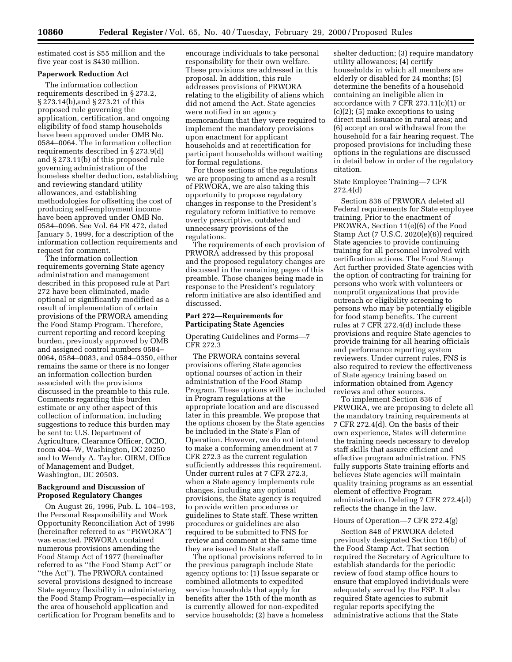estimated cost is \$55 million and the five year cost is \$430 million.

#### **Paperwork Reduction Act**

The information collection requirements described in § 273.2, § 273.14(b),and § 273.21 of this proposed rule governing the application, certification, and ongoing eligibility of food stamp households have been approved under OMB No. 0584–0064. The information collection requirements described in § 273.9(d) and § 273.11(b) of this proposed rule governing administration of the homeless shelter deduction, establishing and reviewing standard utility allowances, and establishing methodologies for offsetting the cost of producing self-employment income have been approved under OMB No. 0584–0096. See Vol. 64 FR 472, dated January 5, 1999, for a description of the information collection requirements and request for comment.

The information collection requirements governing State agency administration and management described in this proposed rule at Part 272 have been eliminated, made optional or significantly modified as a result of implementation of certain provisions of the PRWORA amending the Food Stamp Program. Therefore, current reporting and record keeping burden, previously approved by OMB and assigned control numbers 0584– 0064, 0584–0083, and 0584–0350, either remains the same or there is no longer an information collection burden associated with the provisions discussed in the preamble to this rule. Comments regarding this burden estimate or any other aspect of this collection of information, including suggestions to reduce this burden may be sent to: U.S. Department of Agriculture, Clearance Officer, OCIO, room 404–W, Washington, DC 20250 and to Wendy A. Taylor, OIRM, Office of Management and Budget, Washington, DC 20503.

# **Background and Discussion of Proposed Regulatory Changes**

On August 26, 1996, Pub. L. 104–193, the Personal Responsibility and Work Opportunity Reconciliation Act of 1996 (hereinafter referred to as ''PRWORA'') was enacted. PRWORA contained numerous provisions amending the Food Stamp Act of 1977 (hereinafter referred to as ''the Food Stamp Act'' or ''the Act''). The PRWORA contained several provisions designed to increase State agency flexibility in administering the Food Stamp Program—especially in the area of household application and certification for Program benefits and to

encourage individuals to take personal responsibility for their own welfare. These provisions are addressed in this proposal. In addition, this rule addresses provisions of PRWORA relating to the eligibility of aliens which did not amend the Act. State agencies were notified in an agency memorandum that they were required to implement the mandatory provisions upon enactment for applicant households and at recertification for participant households without waiting for formal regulations.

For those sections of the regulations we are proposing to amend as a result of PRWORA, we are also taking this opportunity to propose regulatory changes in response to the President's regulatory reform initiative to remove overly prescriptive, outdated and unnecessary provisions of the regulations.

The requirements of each provision of PRWORA addressed by this proposal and the proposed regulatory changes are discussed in the remaining pages of this preamble. Those changes being made in response to the President's regulatory reform initiative are also identified and discussed.

# **Part 272—Requirements for Participating State Agencies**

Operating Guidelines and Forms—7 CFR 272.3

The PRWORA contains several provisions offering State agencies optional courses of action in their administration of the Food Stamp Program. These options will be included in Program regulations at the appropriate location and are discussed later in this preamble. We propose that the options chosen by the State agencies be included in the State's Plan of Operation. However, we do not intend to make a conforming amendment at 7 CFR 272.3 as the current regulation sufficiently addresses this requirement. Under current rules at 7 CFR 272.3, when a State agency implements rule changes, including any optional provisions, the State agency is required to provide written procedures or guidelines to State staff. These written procedures or guidelines are also required to be submitted to FNS for review and comment at the same time they are issued to State staff.

The optional provisions referred to in the previous paragraph include State agency options to: (1) Issue separate or combined allotments to expedited service households that apply for benefits after the 15th of the month as is currently allowed for non-expedited service households; (2) have a homeless

shelter deduction; (3) require mandatory utility allowances; (4) certify households in which all members are elderly or disabled for 24 months; (5) determine the benefits of a household containing an ineligible alien in accordance with 7 CFR  $273.11(c)(1)$  or (c)(2); (5) make exceptions to using direct mail issuance in rural areas; and (6) accept an oral withdrawal from the household for a fair hearing request. The proposed provisions for including these options in the regulations are discussed in detail below in order of the regulatory citation.

#### State Employee Training—7 CFR 272.4(d)

Section 836 of PRWORA deleted all Federal requirements for State employee training. Prior to the enactment of PROWRA, Section 11(e)(6) of the Food Stamp Act (7 U.S.C. 2020(e)(6)) required State agencies to provide continuing training for all personnel involved with certification actions. The Food Stamp Act further provided State agencies with the option of contracting for training for persons who work with volunteers or nonprofit organizations that provide outreach or eligibility screening to persons who may be potentially eligible for food stamp benefits. The current rules at 7 CFR 272.4(d) include these provisions and require State agencies to provide training for all hearing officials and performance reporting system reviewers. Under current rules, FNS is also required to review the effectiveness of State agency training based on information obtained from Agency reviews and other sources.

To implement Section 836 of PRWORA, we are proposing to delete all the mandatory training requirements at 7 CFR 272.4(d). On the basis of their own experience, States will determine the training needs necessary to develop staff skills that assure efficient and effective program administration. FNS fully supports State training efforts and believes State agencies will maintain quality training programs as an essential element of effective Program administration. Deleting 7 CFR 272.4(d) reflects the change in the law.

# Hours of Operation—7 CFR 272.4(g)

Section 848 of PRWORA deleted previously designated Section 16(b) of the Food Stamp Act. That section required the Secretary of Agriculture to establish standards for the periodic review of food stamp office hours to ensure that employed individuals were adequately served by the FSP. It also required State agencies to submit regular reports specifying the administrative actions that the State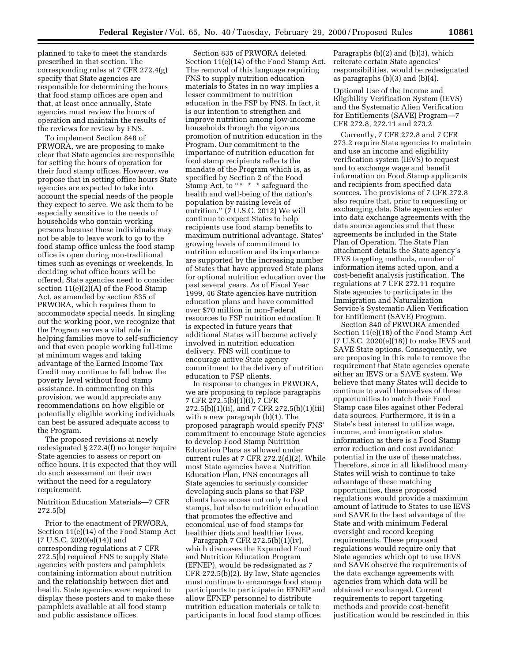planned to take to meet the standards prescribed in that section. The corresponding rules at 7 CFR 272.4(g) specify that State agencies are responsible for determining the hours that food stamp offices are open and that, at least once annually, State agencies must review the hours of operation and maintain the results of the reviews for review by FNS.

To implement Section 848 of PRWORA, we are proposing to make clear that State agencies are responsible for setting the hours of operation for their food stamp offices. However, we propose that in setting office hours State agencies are expected to take into account the special needs of the people they expect to serve. We ask them to be especially sensitive to the needs of households who contain working persons because these individuals may not be able to leave work to go to the food stamp office unless the food stamp office is open during non-traditional times such as evenings or weekends. In deciding what office hours will be offered, State agencies need to consider section 11(e)(2)(A) of the Food Stamp Act, as amended by section 835 of PRWORA, which requires them to accommodate special needs. In singling out the working poor, we recognize that the Program serves a vital role in helping families move to self-sufficiency and that even people working full-time at minimum wages and taking advantage of the Earned Income Tax Credit may continue to fall below the poverty level without food stamp assistance. In commenting on this provision, we would appreciate any recommendations on how eligible or potentially eligible working individuals can best be assured adequate access to the Program.

The proposed revisions at newly redesignated § 272.4(f) no longer require State agencies to assess or report on office hours. It is expected that they will do such assessment on their own without the need for a regulatory requirement.

Nutrition Education Materials—7 CFR 272.5(b)

Prior to the enactment of PRWORA, Section 11(e)(14) of the Food Stamp Act  $(7 \text{ U.S.C. } 2020(e)(14))$  and corresponding regulations at 7 CFR 272.5(b) required FNS to supply State agencies with posters and pamphlets containing information about nutrition and the relationship between diet and health. State agencies were required to display these posters and to make these pamphlets available at all food stamp and public assistance offices.

Section 835 of PRWORA deleted Section 11(e)(14) of the Food Stamp Act. The removal of this language requiring FNS to supply nutrition education materials to States in no way implies a lesser commitment to nutrition education in the FSP by FNS. In fact, it is our intention to strengthen and improve nutrition among low-income households through the vigorous promotion of nutrition education in the Program. Our commitment to the importance of nutrition education for food stamp recipients reflects the mandate of the Program which is, as specified by Section 2 of the Food Stamp Act, to "\* \* \* safeguard the health and well-being of the nation's population by raising levels of nutrition." (7 U.S.C. 2012) We will continue to expect States to help recipients use food stamp benefits to maximum nutritional advantage. States' growing levels of commitment to nutrition education and its importance are supported by the increasing number of States that have approved State plans for optional nutrition education over the past several years. As of Fiscal Year 1999, 46 State agencies have nutrition education plans and have committed over \$70 million in non-Federal resources to FSP nutrition education. It is expected in future years that additional States will become actively involved in nutrition education delivery. FNS will continue to encourage active State agency commitment to the delivery of nutrition education to FSP clients.

In response to changes in PRWORA, we are proposing to replace paragraphs 7 CFR 272.5(b)(1)(i), 7 CFR 272.5(b)(1)(ii), and 7 CFR 272.5(b)(1)(iii) with a new paragraph (b)(1). The proposed paragraph would specify FNS' commitment to encourage State agencies to develop Food Stamp Nutrition Education Plans as allowed under current rules at 7 CFR 272.2(d)(2). While most State agencies have a Nutrition Education Plan, FNS encourages all State agencies to seriously consider developing such plans so that FSP clients have access not only to food stamps, but also to nutrition education that promotes the effective and economical use of food stamps for healthier diets and healthier lives.

Paragraph 7 CFR 272.5(b)(1)(iv), which discusses the Expanded Food and Nutrition Education Program (EFNEP), would be redesignated as 7 CFR 272.5(b)(2). By law, State agencies must continue to encourage food stamp participants to participate in EFNEP and allow EFNEP personnel to distribute nutrition education materials or talk to participants in local food stamp offices.

Paragraphs (b)(2) and (b)(3), which reiterate certain State agencies' responsibilities, would be redesignated as paragraphs (b)(3) and (b)(4).

Optional Use of the Income and Eligibility Verification System (IEVS) and the Systematic Alien Verification for Entitlements (SAVE) Program—7 CFR 272.8, 272.11 and 273.2

Currently, 7 CFR 272.8 and 7 CFR 273.2 require State agencies to maintain and use an income and eligibility verification system (IEVS) to request and to exchange wage and benefit information on Food Stamp applicants and recipients from specified data sources. The provisions of 7 CFR 272.8 also require that, prior to requesting or exchanging data, State agencies enter into data exchange agreements with the data source agencies and that these agreements be included in the State Plan of Operation. The State Plan attachment details the State agency's IEVS targeting methods, number of information items acted upon, and a cost-benefit analysis justification. The regulations at 7 CFR 272.11 require State agencies to participate in the Immigration and Naturalization Service's Systematic Alien Verification for Entitlement (SAVE) Program.

Section 840 of PRWORA amended Section 11(e)(18) of the Food Stamp Act (7 U.S.C. 2020(e)(18)) to make IEVS and SAVE State options. Consequently, we are proposing in this rule to remove the requirement that State agencies operate either an IEVS or a SAVE system. We believe that many States will decide to continue to avail themselves of these opportunities to match their Food Stamp case files against other Federal data sources. Furthermore, it is in a State's best interest to utilize wage, income, and immigration status information as there is a Food Stamp error reduction and cost avoidance potential in the use of these matches. Therefore, since in all likelihood many States will wish to continue to take advantage of these matching opportunities, these proposed regulations would provide a maximum amount of latitude to States to use IEVS and SAVE to the best advantage of the State and with minimum Federal oversight and record keeping requirements. These proposed regulations would require only that State agencies which opt to use IEVS and SAVE observe the requirements of the data exchange agreements with agencies from which data will be obtained or exchanged. Current requirements to report targeting methods and provide cost-benefit justification would be rescinded in this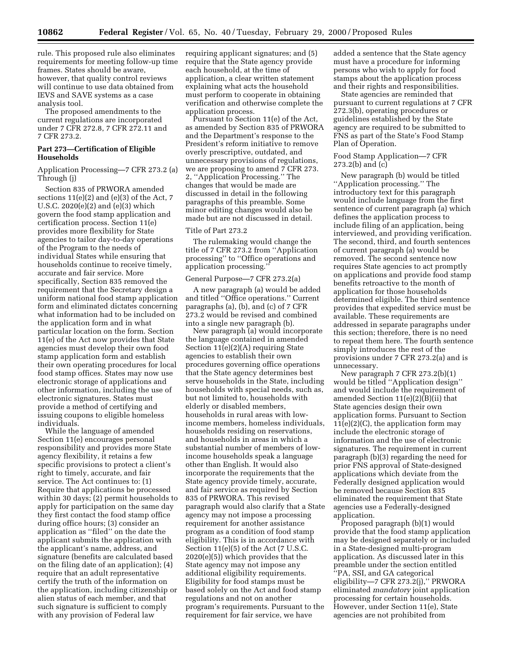rule. This proposed rule also eliminates requirements for meeting follow-up time frames. States should be aware, however, that quality control reviews will continue to use data obtained from IEVS and SAVE systems as a case analysis tool.

The proposed amendments to the current regulations are incorporated under 7 CFR 272.8, 7 CFR 272.11 and 7 CFR 273.2.

# **Part 273—Certification of Eligible Households**

Application Processing—7 CFR 273.2 (a) Through (j)

Section 835 of PRWORA amended sections  $11(e)(2)$  and  $(e)(3)$  of the Act, 7 U.S.C. 2020(e)(2) and (e)(3) which govern the food stamp application and certification process. Section 11(e) provides more flexibility for State agencies to tailor day-to-day operations of the Program to the needs of individual States while ensuring that households continue to receive timely, accurate and fair service. More specifically, Section 835 removed the requirement that the Secretary design a uniform national food stamp application form and eliminated dictates concerning what information had to be included on the application form and in what particular location on the form. Section 11(e) of the Act now provides that State agencies must develop their own food stamp application form and establish their own operating procedures for local food stamp offices. States may now use electronic storage of applications and other information, including the use of electronic signatures. States must provide a method of certifying and issuing coupons to eligible homeless individuals.

While the language of amended Section 11(e) encourages personal responsibility and provides more State agency flexibility, it retains a few specific provisions to protect a client's right to timely, accurate, and fair service. The Act continues to: (1) Require that applications be processed within 30 days; (2) permit households to apply for participation on the same day they first contact the food stamp office during office hours; (3) consider an application as ''filed'' on the date the applicant submits the application with the applicant's name, address, and signature (benefits are calculated based on the filing date of an application); (4) require that an adult representative certify the truth of the information on the application, including citizenship or alien status of each member, and that such signature is sufficient to comply with any provision of Federal law

requiring applicant signatures; and (5) require that the State agency provide each household, at the time of application, a clear written statement explaining what acts the household must perform to cooperate in obtaining verification and otherwise complete the application process.

Pursuant to Section 11(e) of the Act, as amended by Section 835 of PRWORA and the Department's response to the President's reform initiative to remove overly prescriptive, outdated, and unnecessary provisions of regulations, we are proposing to amend 7 CFR 273. 2, ''Application Processing.'' The changes that would be made are discussed in detail in the following paragraphs of this preamble. Some minor editing changes would also be made but are not discussed in detail.

#### Title of Part 273.2

The rulemaking would change the title of 7 CFR 273.2 from ''Application processing'' to ''Office operations and application processing.''

# General Purpose—7 CFR 273.2(a)

A new paragraph (a) would be added and titled ''Office operations.'' Current paragraphs (a), (b), and (c) of 7 CFR 273.2 would be revised and combined into a single new paragraph (b).

New paragraph (a) would incorporate the language contained in amended Section 11(e)(2)(A) requiring State agencies to establish their own procedures governing office operations that the State agency determines best serve households in the State, including households with special needs, such as, but not limited to, households with elderly or disabled members, households in rural areas with lowincome members, homeless individuals, households residing on reservations, and households in areas in which a substantial number of members of lowincome households speak a language other than English. It would also incorporate the requirements that the State agency provide timely, accurate, and fair service as required by Section 835 of PRWORA. This revised paragraph would also clarify that a State agency may not impose a processing requirement for another assistance program as a condition of food stamp eligibility. This is in accordance with Section 11(e)(5) of the Act (7 U.S.C. 2020(e)(5)) which provides that the State agency may not impose any additional eligibility requirements. Eligibility for food stamps must be based solely on the Act and food stamp regulations and not on another program's requirements. Pursuant to the requirement for fair service, we have

added a sentence that the State agency must have a procedure for informing persons who wish to apply for food stamps about the application process and their rights and responsibilities.

State agencies are reminded that pursuant to current regulations at 7 CFR 272.3(b), operating procedures or guidelines established by the State agency are required to be submitted to FNS as part of the State's Food Stamp Plan of Operation.

# Food Stamp Application—7 CFR 273.2(b) and (c)

New paragraph (b) would be titled ''Application processing.'' The introductory text for this paragraph would include language from the first sentence of current paragraph (a) which defines the application process to include filing of an application, being interviewed, and providing verification. The second, third, and fourth sentences of current paragraph (a) would be removed. The second sentence now requires State agencies to act promptly on applications and provide food stamp benefits retroactive to the month of application for those households determined eligible. The third sentence provides that expedited service must be available. These requirements are addressed in separate paragraphs under this section; therefore, there is no need to repeat them here. The fourth sentence simply introduces the rest of the provisions under 7 CFR 273.2(a) and is unnecessary.

New paragraph 7 CFR 273.2(b)(1) would be titled ''Application design'' and would include the requirement of amended Section 11(e)(2)(B)(ii) that State agencies design their own application forms. Pursuant to Section  $11(e)(2)(C)$ , the application form may include the electronic storage of information and the use of electronic signatures. The requirement in current paragraph (b)(3) regarding the need for prior FNS approval of State-designed applications which deviate from the Federally designed application would be removed because Section 835 eliminated the requirement that State agencies use a Federally-designed application.

Proposed paragraph (b)(1) would provide that the food stamp application may be designed separately or included in a State-designed multi-program application. As discussed later in this preamble under the section entitled ''PA, SSI, and GA categorical eligibility—7 CFR 273.2(j),'' PRWORA eliminated *mandatory* joint application processing for certain households. However, under Section 11(e), State agencies are not prohibited from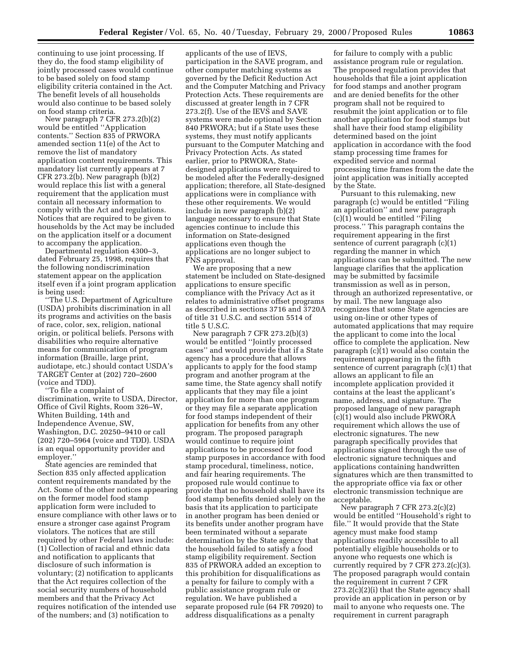continuing to use joint processing. If they do, the food stamp eligibility of jointly processed cases would continue to be based solely on food stamp eligibility criteria contained in the Act. The benefit levels of all households would also continue to be based solely on food stamp criteria.

New paragraph 7 CFR 273.2(b)(2) would be entitled ''Application contents.'' Section 835 of PRWORA amended section 11(e) of the Act to remove the list of mandatory application content requirements. This mandatory list currently appears at 7 CFR 273.2(b). New paragraph (b)(2) would replace this list with a general requirement that the application must contain all necessary information to comply with the Act and regulations. Notices that are required to be given to households by the Act may be included on the application itself or a document to accompany the application.

Departmental regulation 4300–3, dated February 25, 1998, requires that the following nondiscrimination statement appear on the application itself even if a joint program application is being used:

''The U.S. Department of Agriculture (USDA) prohibits discrimination in all its programs and activities on the basis of race, color, sex, religion, national origin, or political beliefs. Persons with disabilities who require alternative means for communication of program information (Braille, large print, audiotape, etc.) should contact USDA's TARGET Center at (202) 720–2600 (voice and TDD).

''To file a complaint of discrimination, write to USDA, Director, Office of Civil Rights, Room 326–W, Whiten Building, 14th and Independence Avenue, SW, Washington, D.C. 20250–9410 or call (202) 720–5964 (voice and TDD). USDA is an equal opportunity provider and employer.''

State agencies are reminded that Section 835 only affected application content requirements mandated by the Act. Some of the other notices appearing on the former model food stamp application form were included to ensure compliance with other laws or to ensure a stronger case against Program violators. The notices that are still required by other Federal laws include: (1) Collection of racial and ethnic data and notification to applicants that disclosure of such information is voluntary; (2) notification to applicants that the Act requires collection of the social security numbers of household members and that the Privacy Act requires notification of the intended use of the numbers; and (3) notification to

applicants of the use of IEVS, participation in the SAVE program, and other computer matching systems as governed by the Deficit Reduction Act and the Computer Matching and Privacy Protection Acts. These requirements are discussed at greater length in 7 CFR 273.2(f). Use of the IEVS and SAVE systems were made optional by Section 840 PRWORA; but if a State uses these systems, they must notify applicants pursuant to the Computer Matching and Privacy Protection Acts. As stated earlier, prior to PRWORA, Statedesigned applications were required to be modeled after the Federally-designed application; therefore, all State-designed applications were in compliance with these other requirements. We would include in new paragraph (b)(2) language necessary to ensure that State agencies continue to include this information on State-designed applications even though the applications are no longer subject to FNS approval.

We are proposing that a new statement be included on State-designed applications to ensure specific compliance with the Privacy Act as it relates to administrative offset programs as described in sections 3716 and 3720A of title 31 U.S.C. and section 5514 of title 5 U.S.C.

New paragraph 7 CFR 273.2(b)(3) would be entitled ''Jointly processed cases'' and would provide that if a State agency has a procedure that allows applicants to apply for the food stamp program and another program at the same time, the State agency shall notify applicants that they may file a joint application for more than one program or they may file a separate application for food stamps independent of their application for benefits from any other program. The proposed paragraph would continue to require joint applications to be processed for food stamp purposes in accordance with food stamp procedural, timeliness, notice, and fair hearing requirements. The proposed rule would continue to provide that no household shall have its food stamp benefits denied solely on the basis that its application to participate in another program has been denied or its benefits under another program have been terminated without a separate determination by the State agency that the household failed to satisfy a food stamp eligibility requirement. Section 835 of PRWORA added an exception to this prohibition for disqualifications as a penalty for failure to comply with a public assistance program rule or regulation. We have published a separate proposed rule (64 FR 70920) to address disqualifications as a penalty

for failure to comply with a public assistance program rule or regulation. The proposed regulation provides that households that file a joint application for food stamps and another program and are denied benefits for the other program shall not be required to resubmit the joint application or to file another application for food stamps but shall have their food stamp eligibility determined based on the joint application in accordance with the food stamp processing time frames for expedited service and normal processing time frames from the date the joint application was initially accepted by the State.

Pursuant to this rulemaking, new paragraph (c) would be entitled ''Filing an application'' and new paragraph (c)(1) would be entitled ''Filing process.'' This paragraph contains the requirement appearing in the first sentence of current paragraph (c)(1) regarding the manner in which applications can be submitted. The new language clarifies that the application may be submitted by facsimile transmission as well as in person, through an authorized representative, or by mail. The new language also recognizes that some State agencies are using on-line or other types of automated applications that may require the applicant to come into the local office to complete the application. New paragraph (c)(1) would also contain the requirement appearing in the fifth sentence of current paragraph (c)(1) that allows an applicant to file an incomplete application provided it contains at the least the applicant's name, address, and signature. The proposed language of new paragraph (c)(1) would also include PRWORA requirement which allows the use of electronic signatures. The new paragraph specifically provides that applications signed through the use of electronic signature techniques and applications containing handwritten signatures which are then transmitted to the appropriate office via fax or other electronic transmission technique are acceptable.

New paragraph 7 CFR 273.2(c)(2) would be entitled ''Household's right to file.'' It would provide that the State agency must make food stamp applications readily accessible to all potentially eligible households or to anyone who requests one which is currently required by 7 CFR 273.2(c)(3). The proposed paragraph would contain the requirement in current 7 CFR 273.2(c)(2)(i) that the State agency shall provide an application in person or by mail to anyone who requests one. The requirement in current paragraph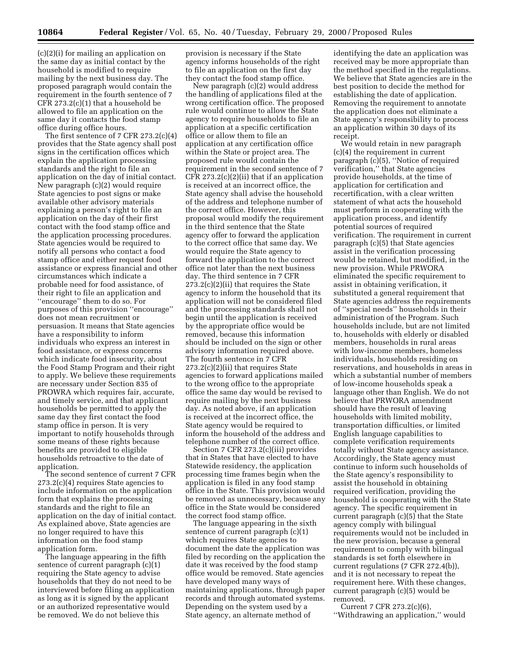(c)(2)(i) for mailing an application on the same day as initial contact by the household is modified to require mailing by the next business day. The proposed paragraph would contain the requirement in the fourth sentence of 7 CFR 273.2(c)(1) that a household be allowed to file an application on the same day it contacts the food stamp office during office hours.

The first sentence of 7 CFR 273.2(c)(4) provides that the State agency shall post signs in the certification offices which explain the application processing standards and the right to file an application on the day of initial contact. New paragraph (c)(2) would require State agencies to post signs or make available other advisory materials explaining a person's right to file an application on the day of their first contact with the food stamp office and the application processing procedures. State agencies would be required to notify all persons who contact a food stamp office and either request food assistance or express financial and other circumstances which indicate a probable need for food assistance, of their right to file an application and ''encourage'' them to do so. For purposes of this provision ''encourage'' does not mean recruitment or persuasion. It means that State agencies have a responsibility to inform individuals who express an interest in food assistance, or express concerns which indicate food insecurity, about the Food Stamp Program and their right to apply. We believe these requirements are necessary under Section 835 of PROWRA which requires fair, accurate, and timely service, and that applicant households be permitted to apply the same day they first contact the food stamp office in person. It is very important to notify households through some means of these rights because benefits are provided to eligible households retroactive to the date of application.

The second sentence of current 7 CFR 273.2(c)(4) requires State agencies to include information on the application form that explains the processing standards and the right to file an application on the day of initial contact. As explained above, State agencies are no longer required to have this information on the food stamp application form.

The language appearing in the fifth sentence of current paragraph (c)(1) requiring the State agency to advise households that they do not need to be interviewed before filing an application as long as it is signed by the applicant or an authorized representative would be removed. We do not believe this

provision is necessary if the State agency informs households of the right to file an application on the first day they contact the food stamp office.

New paragraph (c)(2) would address the handling of applications filed at the wrong certification office. The proposed rule would continue to allow the State agency to require households to file an application at a specific certification office or allow them to file an application at any certification office within the State or project area. The proposed rule would contain the requirement in the second sentence of 7 CFR  $273.2(c)(2)(ii)$  that if an application is received at an incorrect office, the State agency shall advise the household of the address and telephone number of the correct office. However, this proposal would modify the requirement in the third sentence that the State agency offer to forward the application to the correct office that same day. We would require the State agency to forward the application to the correct office not later than the next business day. The third sentence in 7 CFR  $273.2(c)(2)(ii)$  that requires the State agency to inform the household that its application will not be considered filed and the processing standards shall not begin until the application is received by the appropriate office would be removed, because this information should be included on the sign or other advisory information required above. The fourth sentence in 7 CFR 273.2(c)(2)(ii) that requires State agencies to forward applications mailed to the wrong office to the appropriate office the same day would be revised to require mailing by the next business day. As noted above, if an application is received at the incorrect office, the State agency would be required to inform the household of the address and telephone number of the correct office.

Section 7 CFR 273.2(c)(iii) provides that in States that have elected to have Statewide residency, the application processing time frames begin when the application is filed in any food stamp office in the State. This provision would be removed as unnecessary, because any office in the State would be considered the correct food stamp office.

The language appearing in the sixth sentence of current paragraph (c)(1) which requires State agencies to document the date the application was filed by recording on the application the date it was received by the food stamp office would be removed. State agencies have developed many ways of maintaining applications, through paper records and through automated systems. Depending on the system used by a State agency, an alternate method of

identifying the date an application was received may be more appropriate than the method specified in the regulations. We believe that State agencies are in the best position to decide the method for establishing the date of application. Removing the requirement to annotate the application does not eliminate a State agency's responsibility to process an application within 30 days of its receipt.

We would retain in new paragraph (c)(4) the requirement in current paragraph (c)(5), ''Notice of required verification,'' that State agencies provide households, at the time of application for certification and recertification, with a clear written statement of what acts the household must perform in cooperating with the application process, and identify potential sources of required verification. The requirement in current paragraph (c)(5) that State agencies assist in the verification processing would be retained, but modified, in the new provision. While PRWORA eliminated the specific requirement to assist in obtaining verification, it substituted a general requirement that State agencies address the requirements of ''special needs'' households in their administration of the Program. Such households include, but are not limited to, households with elderly or disabled members, households in rural areas with low-income members, homeless individuals, households residing on reservations, and households in areas in which a substantial number of members of low-income households speak a language other than English. We do not believe that PRWORA amendment should have the result of leaving households with limited mobility, transportation difficulties, or limited English language capabilities to complete verification requirements totally without State agency assistance. Accordingly, the State agency must continue to inform such households of the State agency's responsibility to assist the household in obtaining required verification, providing the household is cooperating with the State agency. The specific requirement in current paragraph (c)(5) that the State agency comply with bilingual requirements would not be included in the new provision, because a general requirement to comply with bilingual standards is set forth elsewhere in current regulations (7 CFR 272.4(b)), and it is not necessary to repeat the requirement here. With these changes, current paragraph (c)(5) would be removed.

Current 7 CFR 273.2(c)(6), ''Withdrawing an application,'' would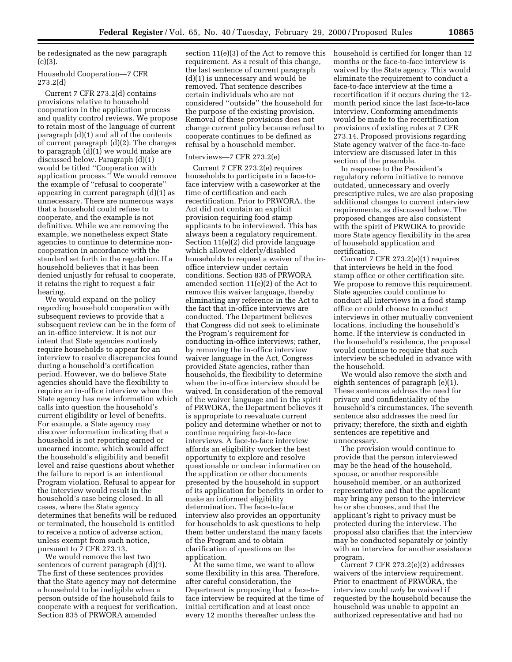be redesignated as the new paragraph  $(c)(3)$ .

#### Household Cooperation—7 CFR 273.2(d)

Current 7 CFR 273.2(d) contains provisions relative to household cooperation in the application process and quality control reviews. We propose to retain most of the language of current paragraph (d)(1) and all of the contents of current paragraph (d)(2). The changes to paragraph (d)(1) we would make are discussed below. Paragraph (d)(1) would be titled ''Cooperation with application process.'' We would remove the example of ''refusal to cooperate'' appearing in current paragraph (d)(1) as unnecessary. There are numerous ways that a household could refuse to cooperate, and the example is not definitive. While we are removing the example, we nonetheless expect State agencies to continue to determine noncooperation in accordance with the standard set forth in the regulation. If a household believes that it has been denied unjustly for refusal to cooperate, it retains the right to request a fair hearing.

We would expand on the policy regarding household cooperation with subsequent reviews to provide that a subsequent review can be in the form of an in-office interview. It is not our intent that State agencies routinely require households to appear for an interview to resolve discrepancies found during a household's certification period. However, we do believe State agencies should have the flexibility to require an in-office interview when the State agency has new information which calls into question the household's current eligibility or level of benefits. For example, a State agency may discover information indicating that a household is not reporting earned or unearned income, which would affect the household's eligibility and benefit level and raise questions about whether the failure to report is an intentional Program violation. Refusal to appear for the interview would result in the household's case being closed. In all cases, where the State agency determines that benefits will be reduced or terminated, the household is entitled to receive a notice of adverse action, unless exempt from such notice, pursuant to 7 CFR 273.13.

We would remove the last two sentences of current paragraph (d)(1). The first of these sentences provides that the State agency may not determine a household to be ineligible when a person outside of the household fails to cooperate with a request for verification. Section 835 of PRWORA amended

section 11(e)(3) of the Act to remove this requirement. As a result of this change, the last sentence of current paragraph (d)(1) is unnecessary and would be removed. That sentence describes certain individuals who are not considered ''outside'' the household for the purpose of the existing provision. Removal of these provisions does not change current policy because refusal to cooperate continues to be defined as refusal by a household member.

#### Interviews—7 CFR 273.2(e)

Current 7 CFR 273.2(e) requires households to participate in a face-toface interview with a caseworker at the time of certification and each recertification. Prior to PRWORA, the Act did not contain an explicit provision requiring food stamp applicants to be interviewed. This has always been a regulatory requirement. Section 11(e)(2) did provide language which allowed elderly/disabled households to request a waiver of the inoffice interview under certain conditions. Section 835 of PRWORA amended section 11(e)(2) of the Act to remove this waiver language, thereby eliminating any reference in the Act to the fact that in-office interviews are conducted. The Department believes that Congress did not seek to eliminate the Program's requirement for conducting in-office interviews; rather, by removing the in-office interview waiver language in the Act, Congress provided State agencies, rather than households, the flexibility to determine when the in-office interview should be waived. In consideration of the removal of the waiver language and in the spirit of PRWORA, the Department believes it is appropriate to reevaluate current policy and determine whether or not to continue requiring face-to-face interviews. A face-to-face interview affords an eligibility worker the best opportunity to explore and resolve questionable or unclear information on the application or other documents presented by the household in support of its application for benefits in order to make an informed eligibility determination. The face-to-face interview also provides an opportunity for households to ask questions to help them better understand the many facets of the Program and to obtain clarification of questions on the application.

At the same time, we want to allow some flexibility in this area. Therefore, after careful consideration, the Department is proposing that a face-toface interview be required at the time of initial certification and at least once every 12 months thereafter unless the

household is certified for longer than 12 months or the face-to-face interview is waived by the State agency. This would eliminate the requirement to conduct a face-to-face interview at the time a recertification if it occurs during the 12 month period since the last face-to-face interview. Conforming amendments would be made to the recertification provisions of existing rules at 7 CFR 273.14. Proposed provisions regarding State agency waiver of the face-to-face interview are discussed later in this section of the preamble.

In response to the President's regulatory reform initiative to remove outdated, unnecessary and overly prescriptive rules, we are also proposing additional changes to current interview requirements, as discussed below. The proposed changes are also consistent with the spirit of PRWORA to provide more State agency flexibility in the area of household application and certification.

Current 7 CFR 273.2(e)(1) requires that interviews be held in the food stamp office or other certification site. We propose to remove this requirement. State agencies could continue to conduct all interviews in a food stamp office or could choose to conduct interviews in other mutually convenient locations, including the household's home. If the interview is conducted in the household's residence, the proposal would continue to require that such interview be scheduled in advance with the household.

We would also remove the sixth and eighth sentences of paragraph (e)(1). These sentences address the need for privacy and confidentiality of the household's circumstances. The seventh sentence also addresses the need for privacy; therefore, the sixth and eighth sentences are repetitive and unnecessary.

The provision would continue to provide that the person interviewed may be the head of the household, spouse, or another responsible household member, or an authorized representative and that the applicant may bring any person to the interview he or she chooses, and that the applicant's right to privacy must be protected during the interview. The proposal also clarifies that the interview may be conducted separately or jointly with an interview for another assistance program.

Current 7 CFR 273.2(e)(2) addresses waivers of the interview requirement. Prior to enactment of PRWORA, the interview could *only* be waived if requested by the household because the household was unable to appoint an authorized representative and had no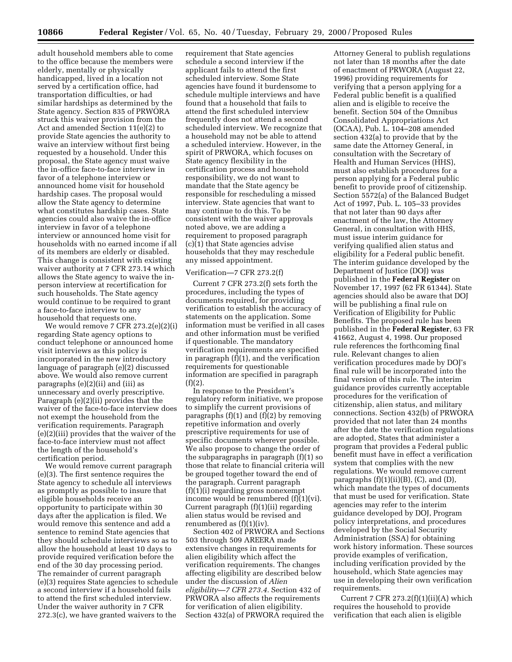adult household members able to come to the office because the members were elderly, mentally or physically handicapped, lived in a location not served by a certification office, had transportation difficulties, or had similar hardships as determined by the State agency. Section 835 of PRWORA struck this waiver provision from the Act and amended Section 11(e)(2) to provide State agencies the authority to waive an interview without first being requested by a household. Under this proposal, the State agency must waive the in-office face-to-face interview in favor of a telephone interview or announced home visit for household hardship cases. The proposal would allow the State agency to determine what constitutes hardship cases. State agencies could also waive the in-office interview in favor of a telephone interview or announced home visit for households with no earned income if all of its members are elderly or disabled. This change is consistent with existing waiver authority at 7 CFR 273.14 which allows the State agency to waive the inperson interview at recertification for such households. The State agency would continue to be required to grant a face-to-face interview to any household that requests one.

We would remove 7 CFR 273.2(e)(2)(i) regarding State agency options to conduct telephone or announced home visit interviews as this policy is incorporated in the new introductory language of paragraph (e)(2) discussed above. We would also remove current paragraphs (e)(2)(ii) and (iii) as unnecessary and overly prescriptive. Paragraph (e)(2)(ii) provides that the waiver of the face-to-face interview does not exempt the household from the verification requirements. Paragraph (e)(2)(iii) provides that the waiver of the face-to-face interview must not affect the length of the household's certification period.

We would remove current paragraph (e)(3). The first sentence requires the State agency to schedule all interviews as promptly as possible to insure that eligible households receive an opportunity to participate within 30 days after the application is filed. We would remove this sentence and add a sentence to remind State agencies that they should schedule interviews so as to allow the household at least 10 days to provide required verification before the end of the 30 day processing period. The remainder of current paragraph (e)(3) requires State agencies to schedule a second interview if a household fails to attend the first scheduled interview. Under the waiver authority in 7 CFR 272.3(c), we have granted waivers to the

requirement that State agencies schedule a second interview if the applicant fails to attend the first scheduled interview. Some State agencies have found it burdensome to schedule multiple interviews and have found that a household that fails to attend the first scheduled interview frequently does not attend a second scheduled interview. We recognize that a household may not be able to attend a scheduled interview. However, in the spirit of PRWORA, which focuses on State agency flexibility in the certification process and household responsibility, we do not want to mandate that the State agency be responsible for rescheduling a missed interview. State agencies that want to may continue to do this. To be consistent with the waiver approvals noted above, we are adding a requirement to proposed paragraph (c)(1) that State agencies advise households that they may reschedule any missed appointment.

#### Verification—7 CFR 273.2(f)

Current 7 CFR 273.2(f) sets forth the procedures, including the types of documents required, for providing verification to establish the accuracy of statements on the application. Some information must be verified in all cases and other information must be verified if questionable. The mandatory verification requirements are specified in paragraph (f)(1), and the verification requirements for questionable information are specified in paragraph  $(f)(2)$ .

In response to the President's regulatory reform initiative, we propose to simplify the current provisions of paragraphs (f)(1) and (f)(2) by removing repetitive information and overly prescriptive requirements for use of specific documents wherever possible. We also propose to change the order of the subparagraphs in paragraph (f)(1) so those that relate to financial criteria will be grouped together toward the end of the paragraph. Current paragraph (f)(1)(i) regarding gross nonexempt income would be renumbered (f)(1)(vi). Current paragraph (f)(1)(ii) regarding alien status would be revised and renumbered as (f)(1)(iv).

Section 402 of PRWORA and Sections 503 through 509 AREERA made extensive changes in requirements for alien eligibility which affect the verification requirements. The changes affecting eligibility are described below under the discussion of *Alien eligibility—7 CFR 273.4.* Section 432 of PRWORA also affects the requirements for verification of alien eligibility. Section 432(a) of PRWORA required the

Attorney General to publish regulations not later than 18 months after the date of enactment of PRWORA (August 22, 1996) providing requirements for verifying that a person applying for a Federal public benefit is a qualified alien and is eligible to receive the benefit. Section 504 of the Omnibus Consolidated Appropriations Act (OCAA), Pub. L. 104–208 amended section 432(a) to provide that by the same date the Attorney General, in consultation with the Secretary of Health and Human Services (HHS), must also establish procedures for a person applying for a Federal public benefit to provide proof of citizenship. Section 5572(a) of the Balanced Budget Act of 1997, Pub. L. 105–33 provides that not later than 90 days after enactment of the law, the Attorney General, in consultation with HHS, must issue interim guidance for verifying qualified alien status and eligibility for a Federal public benefit. The interim guidance developed by the Department of Justice (DOJ) was published in the **Federal Register** on November 17, 1997 (62 FR 61344). State agencies should also be aware that DOJ will be publishing a final rule on Verification of Eligibility for Public Benefits. The proposed rule has been published in the **Federal Register**, 63 FR 41662, August 4, 1998. Our proposed rule references the forthcoming final rule. Relevant changes to alien verification procedures made by DOJ's final rule will be incorporated into the final version of this rule. The interim guidance provides currently acceptable procedures for the verification of citizenship, alien status, and military connections. Section 432(b) of PRWORA provided that not later than 24 months after the date the verification regulations are adopted, States that administer a program that provides a Federal public benefit must have in effect a verification system that complies with the new regulations. We would remove current paragraphs  $(f)(1)(ii)(B)$ ,  $(C)$ , and  $(D)$ , which mandate the types of documents that must be used for verification. State agencies may refer to the interim guidance developed by DOJ, Program policy interpretations, and procedures developed by the Social Security Administration (SSA) for obtaining work history information. These sources provide examples of verification, including verification provided by the household, which State agencies may use in developing their own verification requirements.

Current 7 CFR  $273.2(f)(1)(ii)(A)$  which requires the household to provide verification that each alien is eligible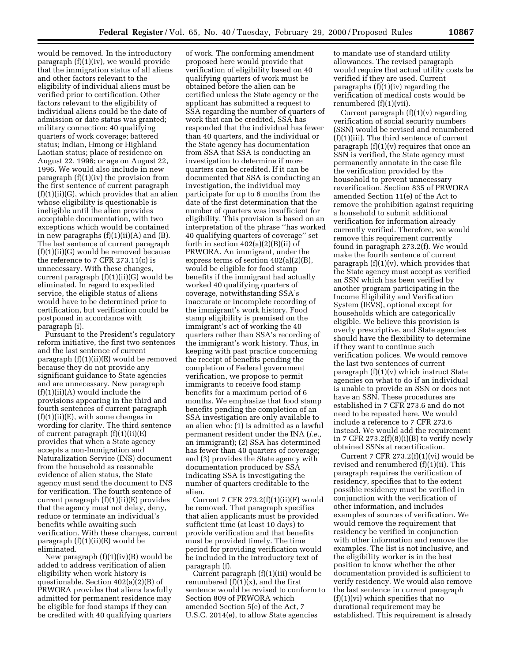would be removed. In the introductory paragraph (f)(1)(iv), we would provide that the immigration status of all aliens and other factors relevant to the eligibility of individual aliens must be verified prior to certification. Other factors relevant to the eligibility of individual aliens could be the date of admission or date status was granted; military connection; 40 qualifying quarters of work coverage; battered status; Indian, Hmong or Highland Laotian status; place of residence on August 22, 1996; or age on August 22, 1996. We would also include in new paragraph (f)(1)(iv) the provision from the first sentence of current paragraph (f)(1)(ii)(G), which provides that an alien whose eligibility is questionable is ineligible until the alien provides acceptable documentation, with two exceptions which would be contained in new paragraphs  $(f)(1)(ii)(A)$  and  $(B)$ . The last sentence of current paragraph (f)(1)(ii)(G) would be removed because the reference to 7 CFR 273.11(c) is unnecessary. With these changes, current paragraph (f)(1)(ii)(G) would be eliminated. In regard to expedited service, the eligible status of aliens would have to be determined prior to certification, but verification could be postponed in accordance with paragraph (i).

Pursuant to the President's regulatory reform initiative, the first two sentences and the last sentence of current paragraph (f)(1)(ii)(E) would be removed because they do not provide any significant guidance to State agencies and are unnecessary. New paragraph  $(f)(1)(ii)(A)$  would include the provisions appearing in the third and fourth sentences of current paragraph  $(f)(1)(ii)(E)$ , with some changes in wording for clarity. The third sentence of current paragraph (f)(1)(ii)(E) provides that when a State agency accepts a non-Immigration and Naturalization Service (INS) document from the household as reasonable evidence of alien status, the State agency must send the document to INS for verification. The fourth sentence of current paragraph (f)(1)(ii)(E) provides that the agency must not delay, deny, reduce or terminate an individual's benefits while awaiting such verification. With these changes, current paragraph (f)(1)(ii)(E) would be eliminated.

New paragraph  $(f)(1)(iv)(B)$  would be added to address verification of alien eligibility when work history is questionable. Section 402(a)(2)(B) of PRWORA provides that aliens lawfully admitted for permanent residence may be eligible for food stamps if they can be credited with 40 qualifying quarters

of work. The conforming amendment proposed here would provide that verification of eligibility based on 40 qualifying quarters of work must be obtained before the alien can be certified unless the State agency or the applicant has submitted a request to SSA regarding the number of quarters of work that can be credited, SSA has responded that the individual has fewer than 40 quarters, and the individual or the State agency has documentation from SSA that SSA is conducting an investigation to determine if more quarters can be credited. If it can be documented that SSA is conducting an investigation, the individual may participate for up to 6 months from the date of the first determination that the number of quarters was insufficient for eligibility. This provision is based on an interpretation of the phrase ''has worked 40 qualifying quarters of coverage'' set forth in section  $402(a)(2)(B)(ii)$  of PRWORA. An immigrant, under the express terms of section 402(a)(2)(B), would be eligible for food stamp benefits if the immigrant had actually worked 40 qualifying quarters of coverage, notwithstanding SSA's inaccurate or incomplete recording of the immigrant's work history. Food stamp eligibility is premised on the immigrant's act of working the 40 quarters rather than SSA's recording of the immigrant's work history. Thus, in keeping with past practice concerning the receipt of benefits pending the completion of Federal government verification, we propose to permit immigrants to receive food stamp benefits for a maximum period of 6 months. We emphasize that food stamp benefits pending the completion of an SSA investigation are only available to an alien who: (1) Is admitted as a lawful permanent resident under the INA (*i.e.,* an immigrant); (2) SSA has determined has fewer than 40 quarters of coverage; and (3) provides the State agency with documentation produced by SSA indicating SSA is investigating the number of quarters creditable to the alien.

Current 7 CFR  $273.2(f)(1)(ii)(F)$  would be removed. That paragraph specifies that alien applicants must be provided sufficient time (at least 10 days) to provide verification and that benefits must be provided timely. The time period for providing verification would be included in the introductory text of paragraph (f).

Current paragraph (f)(1)(iii) would be renumbered  $(f)(1)(x)$ , and the first sentence would be revised to conform to Section 809 of PRWORA which amended Section 5(e) of the Act, 7 U.S.C. 2014(e), to allow State agencies

to mandate use of standard utility allowances. The revised paragraph would require that actual utility costs be verified if they are used. Current paragraphs (f)(1)(iv) regarding the verification of medical costs would be renumbered (f)(1)(vii).

Current paragraph  $(f)(1)(v)$  regarding verification of social security numbers (SSN) would be revised and renumbered (f)(1)(iii). The third sentence of current paragraph  $(f)(1)(v)$  requires that once an SSN is verified, the State agency must permanently annotate in the case file the verification provided by the household to prevent unnecessary reverification. Section 835 of PRWORA amended Section 11(e) of the Act to remove the prohibition against requiring a household to submit additional verification for information already currently verified. Therefore, we would remove this requirement currently found in paragraph 273.2(f). We would make the fourth sentence of current paragraph (f)(1)(v), which provides that the State agency must accept as verified an SSN which has been verified by another program participating in the Income Eligibility and Verification System (IEVS), optional except for households which are categorically eligible. We believe this provision is overly prescriptive, and State agencies should have the flexibility to determine if they want to continue such verification polices. We would remove the last two sentences of current paragraph (f)(1)(v) which instruct State agencies on what to do if an individual is unable to provide an SSN or does not have an SSN. These procedures are established in 7 CFR 273.6 and do not need to be repeated here. We would include a reference to 7 CFR 273.6 instead. We would add the requirement in 7 CFR  $273.2(f)(8)(i)(B)$  to verify newly obtained SSNs at recertification.

Current 7 CFR  $273.2(f)(1)(vi)$  would be revised and renumbered (f)(1)(ii). This paragraph requires the verification of residency, specifies that to the extent possible residency must be verified in conjunction with the verification of other information, and includes examples of sources of verification. We would remove the requirement that residency be verified in conjunction with other information and remove the examples. The list is not inclusive, and the eligibility worker is in the best position to know whether the other documentation provided is sufficient to verify residency. We would also remove the last sentence in current paragraph (f)(1)(vi) which specifies that no durational requirement may be established. This requirement is already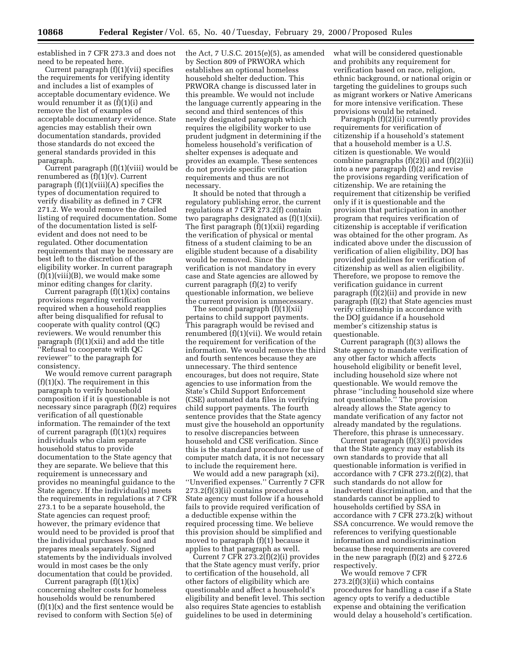established in 7 CFR 273.3 and does not need to be repeated here.

Current paragraph (f)(1)(vii) specifies the requirements for verifying identity and includes a list of examples of acceptable documentary evidence. We would renumber it as (f)(1)(i) and remove the list of examples of acceptable documentary evidence. State agencies may establish their own documentation standards, provided those standards do not exceed the general standards provided in this paragraph.

Current paragraph (f)(1)(viii) would be renumbered as  $(f)(1)(v)$ . Current paragraph (f)(1)(viii)(A) specifies the types of documentation required to verify disability as defined in 7 CFR 271.2. We would remove the detailed listing of required documentation. Some of the documentation listed is selfevident and does not need to be regulated. Other documentation requirements that may be necessary are best left to the discretion of the eligibility worker. In current paragraph  $(f)(1)(viii)(B)$ , we would make some minor editing changes for clarity.

Current paragraph  $(f)(1)(ix)$  contains provisions regarding verification required when a household reapplies after being disqualified for refusal to cooperate with quality control (QC) reviewers. We would renumber this paragraph (f)(1)(xii) and add the title ''Refusal to cooperate with QC reviewer'' to the paragraph for consistency.

We would remove current paragraph  $(f)(1)(x)$ . The requirement in this paragraph to verify household composition if it is questionable is not necessary since paragraph (f)(2) requires verification of all questionable information. The remainder of the text of current paragraph  $(f)(1)(x)$  requires individuals who claim separate household status to provide documentation to the State agency that they are separate. We believe that this requirement is unnecessary and provides no meaningful guidance to the State agency. If the individual(s) meets the requirements in regulations at 7 CFR 273.1 to be a separate household, the State agencies can request proof; however, the primary evidence that would need to be provided is proof that the individual purchases food and prepares meals separately. Signed statements by the individuals involved would in most cases be the only documentation that could be provided.

Current paragraph (f)(1)(ix) concerning shelter costs for homeless households would be renumbered  $(f)(1)(x)$  and the first sentence would be revised to conform with Section 5(e) of

the Act, 7 U.S.C. 2015(e)(5), as amended by Section 809 of PRWORA which establishes an optional homeless household shelter deduction. This PRWORA change is discussed later in this preamble. We would not include the language currently appearing in the second and third sentences of this newly designated paragraph which requires the eligibility worker to use prudent judgment in determining if the homeless household's verification of shelter expenses is adequate and provides an example. These sentences do not provide specific verification requirements and thus are not necessary.

It should be noted that through a regulatory publishing error, the current regulations at 7 CFR 273.2(f) contain two paragraphs designated as (f)(1)(xii). The first paragraph (f)(1)(xii) regarding the verification of physical or mental fitness of a student claiming to be an eligible student because of a disability would be removed. Since the verification is not mandatory in every case and State agencies are allowed by current paragraph (f)(2) to verify questionable information, we believe the current provision is unnecessary.

The second paragraph (f)(1)(xii) pertains to child support payments. This paragraph would be revised and renumbered (f)(1)(vii). We would retain the requirement for verification of the information. We would remove the third and fourth sentences because they are unnecessary. The third sentence encourages, but does not require, State agencies to use information from the State's Child Support Enforcement (CSE) automated data files in verifying child support payments. The fourth sentence provides that the State agency must give the household an opportunity to resolve discrepancies between household and CSE verification. Since this is the standard procedure for use of computer match data, it is not necessary to include the requirement here.

We would add a new paragraph (xi), ''Unverified expenses.'' Currently 7 CFR 273.2(f)(3)(ii) contains procedures a State agency must follow if a household fails to provide required verification of a deductible expense within the required processing time. We believe this provision should be simplified and moved to paragraph (f)(1) because it applies to that paragraph as well.

Current 7 CFR 273.2(f)(2)(i) provides that the State agency must verify, prior to certification of the household, all other factors of eligibility which are questionable and affect a household's eligibility and benefit level. This section also requires State agencies to establish guidelines to be used in determining

what will be considered questionable and prohibits any requirement for verification based on race, religion, ethnic background, or national origin or targeting the guidelines to groups such as migrant workers or Native Americans for more intensive verification. These provisions would be retained.

Paragraph (f)(2)(ii) currently provides requirements for verification of citizenship if a household's statement that a household member is a U.S. citizen is questionable. We would combine paragraphs  $(f)(2)(i)$  and  $(f)(2)(ii)$ into a new paragraph (f)(2) and revise the provisions regarding verification of citizenship. We are retaining the requirement that citizenship be verified only if it is questionable and the provision that participation in another program that requires verification of citizenship is acceptable if verification was obtained for the other program. As indicated above under the discussion of verification of alien eligibility, DOJ has provided guidelines for verification of citizenship as well as alien eligibility. Therefore, we propose to remove the verification guidance in current paragraph (f)(2)(ii) and provide in new paragraph (f)(2) that State agencies must verify citizenship in accordance with the DOJ guidance if a household member's citizenship status is questionable.

Current paragraph (f)(3) allows the State agency to mandate verification of any other factor which affects household eligibility or benefit level, including household size where not questionable. We would remove the phrase ''including household size where not questionable.'' The provision already allows the State agency to mandate verification of any factor not already mandated by the regulations. Therefore, this phrase is unnecessary.

Current paragraph (f)(3)(i) provides that the State agency may establish its own standards to provide that all questionable information is verified in accordance with 7 CFR 273.2(f)(2), that such standards do not allow for inadvertent discrimination, and that the standards cannot be applied to households certified by SSA in accordance with 7 CFR 273.2(k) without SSA concurrence. We would remove the references to verifying questionable information and nondiscrimination because these requirements are covered in the new paragraph (f)(2) and § 272.6 respectively.

We would remove 7 CFR 273.2(f)(3)(ii) which contains procedures for handling a case if a State agency opts to verify a deductible expense and obtaining the verification would delay a household's certification.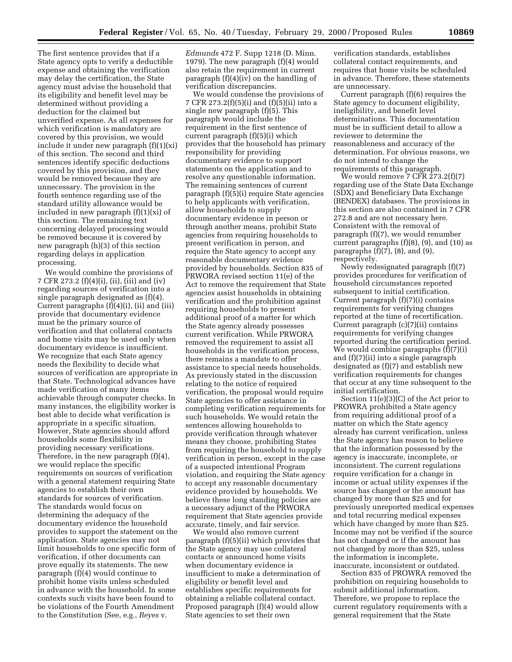The first sentence provides that if a State agency opts to verify a deductible expense and obtaining the verification may delay the certification, the State agency must advise the household that its eligibility and benefit level may be determined without providing a deduction for the claimed but unverified expense. As all expenses for which verification is mandatory are covered by this provision, we would include it under new paragraph  $(f)(1)(xi)$ of this section. The second and third sentences identify specific deductions covered by this provision, and they would be removed because they are unnecessary. The provision in the fourth sentence regarding use of the standard utility allowance would be included in new paragraph (f)(1)(xi) of this section. The remaining text concerning delayed processing would be removed because it is covered by new paragraph (h)(3) of this section regarding delays in application processing.

We would combine the provisions of 7 CFR 273.2 (f)(4)(i), (ii), (iii) and (iv) regarding sources of verification into a single paragraph designated as (f)(4). Current paragraphs (f)(4)(i), (ii) and (iii) provide that documentary evidence must be the primary source of verification and that collateral contacts and home visits may be used only when documentary evidence is insufficient. We recognize that each State agency needs the flexibility to decide what sources of verification are appropriate in that State. Technological advances have made verification of many items achievable through computer checks. In many instances, the eligibility worker is best able to decide what verification is appropriate in a specific situation. However, State agencies should afford households some flexibility in providing necessary verifications. Therefore, in the new paragraph (f)(4), we would replace the specific requirements on sources of verification with a general statement requiring State agencies to establish their own standards for sources of verification. The standards would focus on determining the adequacy of the documentary evidence the household provides to support the statement on the application. State agencies may not limit households to one specific form of verification, if other documents can prove equally its statements. The new paragraph (f)(4) would continue to prohibit home visits unless scheduled in advance with the household. In some contexts such visits have been found to be violations of the Fourth Amendment to the Constitution (See, e.g., *Reyes* v.

*Edmunds* 472 F. Supp 1218 (D. Minn. 1979). The new paragraph (f)(4) would also retain the requirement in current paragraph (f)(4)(iv) on the handling of verification discrepancies.

We would condense the provisions of 7 CFR 273.2(f)(5)(i) and (f)(5)(ii) into a single new paragraph (f)(5). This paragraph would include the requirement in the first sentence of current paragraph (f)(5)(i) which provides that the household has primary responsibility for providing documentary evidence to support statements on the application and to resolve any questionable information. The remaining sentences of current paragraph (f)(5)(i) require State agencies to help applicants with verification, allow households to supply documentary evidence in person or through another means, prohibit State agencies from requiring households to present verification in person, and require the State agency to accept any reasonable documentary evidence provided by households. Section 835 of PRWORA revised section 11(e) of the Act to remove the requirement that State agencies assist households in obtaining verification and the prohibition against requiring households to present additional proof of a matter for which the State agency already possesses current verification. While PRWORA removed the requirement to assist all households in the verification process, there remains a mandate to offer assistance to special needs households. As previously stated in the discussion relating to the notice of required verification, the proposal would require State agencies to offer assistance in completing verification requirements for such households. We would retain the sentences allowing households to provide verification through whatever means they choose, prohibiting States from requiring the household to supply verification in person, except in the case of a suspected intentional Program violation, and requiring the State agency to accept any reasonable documentary evidence provided by households. We believe these long standing policies are a necessary adjunct of the PRWORA requirement that State agencies provide accurate, timely, and fair service.

We would also remove current paragraph (f)(5)(ii) which provides that the State agency may use collateral contacts or announced home visits when documentary evidence is insufficient to make a determination of eligibility or benefit level and establishes specific requirements for obtaining a reliable collateral contact. Proposed paragraph (f)(4) would allow State agencies to set their own

verification standards, establishes collateral contact requirements, and requires that home visits be scheduled in advance. Therefore, these statements are unnecessary.

Current paragraph (f)(6) requires the State agency to document eligibility, ineligibility, and benefit level determinations. This documentation must be in sufficient detail to allow a reviewer to determine the reasonableness and accuracy of the determination. For obvious reasons, we do not intend to change the requirements of this paragraph.

We would remove  $7$  CFR  $273.2(f)(7)$ regarding use of the State Data Exchange (SDX) and Beneficiary Data Exchange (BENDEX) databases. The provisions in this section are also contained in 7 CFR 272.8 and are not necessary here. Consistent with the removal of paragraph (f)(7), we would renumber current paragraphs (f)(8), (9), and (10) as paragraphs  $(f)(7)$ ,  $(8)$ , and  $(9)$ , respectively.

Newly redesignated paragraph (f)(7) provides procedures for verification of household circumstances reported subsequent to initial certification. Current paragraph (f)(7)(i) contains requirements for verifying changes reported at the time of recertification. Current paragraph (c)(7)(ii) contains requirements for verifying changes reported during the certification period. We would combine paragraphs (f)(7)(i) and (f)(7)(ii) into a single paragraph designated as (f)(7) and establish new verification requirements for changes that occur at any time subsequent to the initial certification.

Section 11(e)(3)(C) of the Act prior to PROWRA prohibited a State agency from requiring additional proof of a matter on which the State agency already has current verification, unless the State agency has reason to believe that the information possessed by the agency is inaccurate, incomplete, or inconsistent. The current regulations require verification for a change in income or actual utility expenses if the source has changed or the amount has changed by more than \$25 and for previously unreported medical expenses and total recurring medical expenses which have changed by more than \$25. Income may not be verified if the source has not changed or if the amount has not changed by more than \$25, unless the information is incomplete, inaccurate, inconsistent or outdated.

Section 835 of PROWRA removed the prohibition on requiring households to submit additional information. Therefore, we propose to replace the current regulatory requirements with a general requirement that the State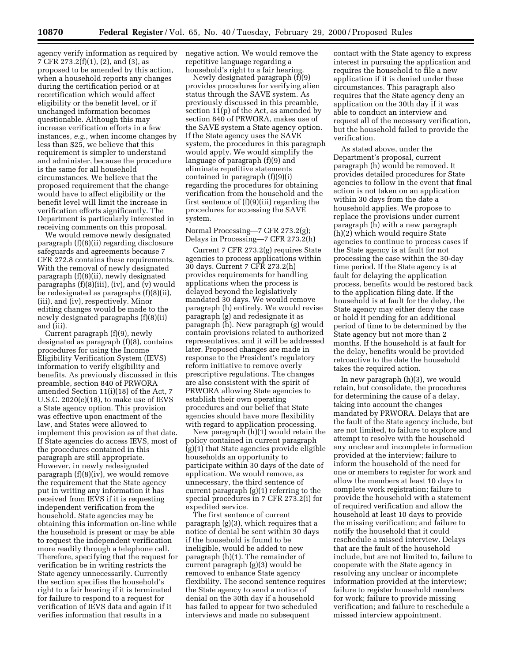agency verify information as required by 7 CFR 273.2(f)(1), (2), and (3), as proposed to be amended by this action, when a household reports any changes during the certification period or at recertification which would affect eligibility or the benefit level, or if unchanged information becomes questionable. Although this may increase verification efforts in a few instances, *e.g.*, when income changes by less than \$25, we believe that this requirement is simpler to understand and administer, because the procedure is the same for all household circumstances. We believe that the proposed requirement that the change would have to affect eligibility or the benefit level will limit the increase in verification efforts significantly. The Department is particularly interested in receiving comments on this proposal.

We would remove newly designated paragraph (f)(8)(ii) regarding disclosure safeguards and agreements because 7 CFR 272.8 contains these requirements. With the removal of newly designated paragraph (f)(8)(ii), newly designated paragraphs (f)(8)(iii), (iv), and (v) would be redesignated as paragraphs (f)(8)(ii), (iii), and (iv), respectively. Minor editing changes would be made to the newly designated paragraphs (f)(8)(ii) and (iii).

Current paragraph (f)(9), newly designated as paragraph (f)(8), contains procedures for using the Income Eligibility Verification System (IEVS) information to verify eligibility and benefits. As previously discussed in this preamble, section 840 of PRWORA amended Section 11(i)(18) of the Act, 7 U.S.C. 2020(e)(18), to make use of IEVS a State agency option. This provision was effective upon enactment of the law, and States were allowed to implement this provision as of that date. If State agencies do access IEVS, most of the procedures contained in this paragraph are still appropriate. However, in newly redesignated paragraph (f)(8)(iv), we would remove the requirement that the State agency put in writing any information it has received from IEVS if it is requesting independent verification from the household. State agencies may be obtaining this information on-line while the household is present or may be able to request the independent verification more readily through a telephone call. Therefore, specifying that the request for verification be in writing restricts the State agency unnecessarily. Currently the section specifies the household's right to a fair hearing if it is terminated for failure to respond to a request for verification of IEVS data and again if it verifies information that results in a

negative action. We would remove the repetitive language regarding a household's right to a fair hearing.

Newly designated paragraph (f)(9) provides procedures for verifying alien status through the SAVE system. As previously discussed in this preamble, section 11(p) of the Act, as amended by section 840 of PRWORA, makes use of the SAVE system a State agency option. If the State agency uses the SAVE system, the procedures in this paragraph would apply. We would simplify the language of paragraph (f)(9) and eliminate repetitive statements contained in paragraph (f)(9)(i) regarding the procedures for obtaining verification from the household and the first sentence of (f)(9)(iii) regarding the procedures for accessing the SAVE system.

Normal Processing—7 CFR 273.2(g); Delays in Processing—7 CFR 273.2(h)

Current 7 CFR 273.2(g) requires State agencies to process applications within 30 days. Current 7 CFR 273.2(h) provides requirements for handling applications when the process is delayed beyond the legislatively mandated 30 days. We would remove paragraph (h) entirely. We would revise paragraph (g) and redesignate it as paragraph (h). New paragraph (g) would contain provisions related to authorized representatives, and it will be addressed later. Proposed changes are made in response to the President's regulatory reform initiative to remove overly prescriptive regulations. The changes are also consistent with the spirit of PRWORA allowing State agencies to establish their own operating procedures and our belief that State agencies should have more flexibility with regard to application processing.

New paragraph (h)(1) would retain the policy contained in current paragraph (g)(1) that State agencies provide eligible households an opportunity to participate within 30 days of the date of application. We would remove, as unnecessary, the third sentence of current paragraph (g)(1) referring to the special procedures in 7 CFR 273.2(i) for expedited service.

The first sentence of current paragraph (g)(3), which requires that a notice of denial be sent within 30 days if the household is found to be ineligible, would be added to new paragraph (h)(1). The remainder of current paragraph (g)(3) would be removed to enhance State agency flexibility. The second sentence requires the State agency to send a notice of denial on the 30th day if a household has failed to appear for two scheduled interviews and made no subsequent

contact with the State agency to express interest in pursuing the application and requires the household to file a new application if it is denied under these circumstances. This paragraph also requires that the State agency deny an application on the 30th day if it was able to conduct an interview and request all of the necessary verification, but the household failed to provide the verification.

As stated above, under the Department's proposal, current paragraph (h) would be removed. It provides detailed procedures for State agencies to follow in the event that final action is not taken on an application within 30 days from the date a household applies. We propose to replace the provisions under current paragraph (h) with a new paragraph (h)(2) which would require State agencies to continue to process cases if the State agency is at fault for not processing the case within the 30-day time period. If the State agency is at fault for delaying the application process, benefits would be restored back to the application filing date. If the household is at fault for the delay, the State agency may either deny the case or hold it pending for an additional period of time to be determined by the State agency but not more than 2 months. If the household is at fault for the delay, benefits would be provided retroactive to the date the household takes the required action.

In new paragraph (h)(3), we would retain, but consolidate, the procedures for determining the cause of a delay, taking into account the changes mandated by PRWORA. Delays that are the fault of the State agency include, but are not limited, to failure to explore and attempt to resolve with the household any unclear and incomplete information provided at the interview; failure to inform the household of the need for one or members to register for work and allow the members at least 10 days to complete work registration; failure to provide the household with a statement of required verification and allow the household at least 10 days to provide the missing verification; and failure to notify the household that it could reschedule a missed interview. Delays that are the fault of the household include, but are not limited to, failure to cooperate with the State agency in resolving any unclear or incomplete information provided at the interview; failure to register household members for work; failure to provide missing verification; and failure to reschedule a missed interview appointment.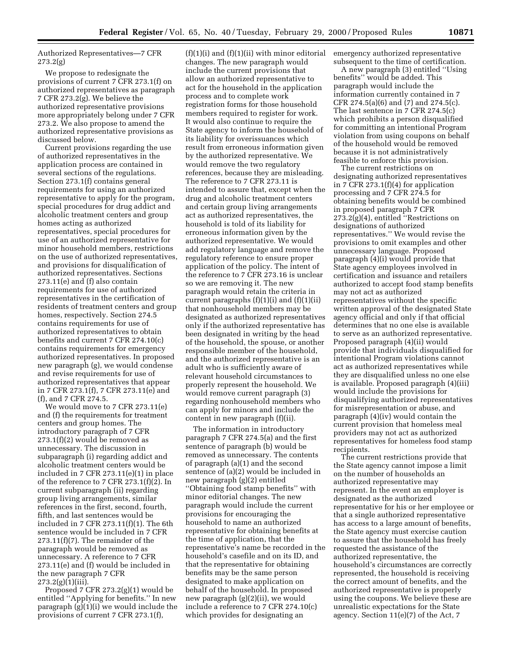Authorized Representatives—7 CFR 273.2(g)

We propose to redesignate the provisions of current 7 CFR 273.1(f) on authorized representatives as paragraph 7 CFR 273.2(g). We believe the authorized representative provisions more appropriately belong under 7 CFR 273.2. We also propose to amend the authorized representative provisions as discussed below.

Current provisions regarding the use of authorized representatives in the application process are contained in several sections of the regulations. Section 273.1(f) contains general requirements for using an authorized representative to apply for the program, special procedures for drug addict and alcoholic treatment centers and group homes acting as authorized representatives, special procedures for use of an authorized representative for minor household members, restrictions on the use of authorized representatives, and provisions for disqualification of authorized representatives. Sections 273.11(e) and (f) also contain requirements for use of authorized representatives in the certification of residents of treatment centers and group homes, respectively. Section 274.5 contains requirements for use of authorized representatives to obtain benefits and current 7 CFR 274.10(c) contains requirements for emergency authorized representatives. In proposed new paragraph (g), we would condense and revise requirements for use of authorized representatives that appear in 7 CFR 273.1(f), 7 CFR 273.11(e) and (f), and 7 CFR 274.5.

We would move to 7 CFR 273.11(e) and (f) the requirements for treatment centers and group homes. The introductory paragraph of 7 CFR 273.1(f)(2) would be removed as unnecessary. The discussion in subparagraph (i) regarding addict and alcoholic treatment centers would be included in 7 CFR 273.11(e)(1) in place of the reference to 7 CFR 273.1(f)(2). In current subparagraph (ii) regarding group living arrangements, similar references in the first, second, fourth, fifth, and last sentences would be included in 7 CFR 273.11(f)(1). The 6th sentence would be included in 7 CFR 273.11(f)(7). The remainder of the paragraph would be removed as unnecessary. A reference to 7 CFR 273.11(e) and (f) would be included in the new paragraph 7 CFR  $273.2(g)(1)(iii)$ .

Proposed 7 CFR 273.2(g)(1) would be entitled ''Applying for benefits.'' In new paragraph (g)(1)(i) we would include the provisions of current 7 CFR 273.1(f),

 $(f)(1)(i)$  and  $(f)(1)(ii)$  with minor editorial changes. The new paragraph would include the current provisions that allow an authorized representative to act for the household in the application process and to complete work registration forms for those household members required to register for work. It would also continue to require the State agency to inform the household of its liability for overissuances which result from erroneous information given by the authorized representative. We would remove the two regulatory references, because they are misleading. The reference to 7 CFR 273.11 is intended to assure that, except when the drug and alcoholic treatment centers and certain group living arrangements act as authorized representatives, the household is told of its liability for erroneous information given by the authorized representative. We would add regulatory language and remove the regulatory reference to ensure proper application of the policy. The intent of the reference to 7 CFR 273.16 is unclear so we are removing it. The new paragraph would retain the criteria in current paragraphs  $(f)(1)(i)$  and  $(f)(1)(ii)$ that nonhousehold members may be designated as authorized representatives only if the authorized representative has been designated in writing by the head of the household, the spouse, or another responsible member of the household, and the authorized representative is an adult who is sufficiently aware of relevant household circumstances to properly represent the household. We would remove current paragraph (3) regarding nonhousehold members who can apply for minors and include the content in new paragraph (f)(ii).

The information in introductory paragraph 7 CFR 274.5(a) and the first sentence of paragraph (b) would be removed as unnecessary. The contents of paragraph (a)(1) and the second sentence of (a)(2) would be included in new paragraph (g)(2) entitled ''Obtaining food stamp benefits'' with minor editorial changes. The new paragraph would include the current provisions for encouraging the household to name an authorized representative for obtaining benefits at the time of application, that the representative's name be recorded in the household's casefile and on its ID, and that the representative for obtaining benefits may be the same person designated to make application on behalf of the household. In proposed new paragraph (g)(2)(ii), we would include a reference to 7 CFR 274.10(c) which provides for designating an

emergency authorized representative subsequent to the time of certification.

A new paragraph (3) entitled ''Using benefits'' would be added. This paragraph would include the information currently contained in 7 CFR 274.5(a)(6) and (7) and 274.5(c). The last sentence in 7 CFR 274.5(c) which prohibits a person disqualified for committing an intentional Program violation from using coupons on behalf of the household would be removed because it is not administratively feasible to enforce this provision.

The current restrictions on designating authorized representatives in 7 CFR 273.1(f)(4) for application processing and 7 CFR 274.5 for obtaining benefits would be combined in proposed paragraph 7 CFR 273.2(g)(4), entitled ''Restrictions on designations of authorized representatives.'' We would revise the provisions to omit examples and other unnecessary language. Proposed paragraph (4)(i) would provide that State agency employees involved in certification and issuance and retailers authorized to accept food stamp benefits may not act as authorized representatives without the specific written approval of the designated State agency official and only if that official determines that no one else is available to serve as an authorized representative. Proposed paragraph (4)(ii) would provide that individuals disqualified for intentional Program violations cannot act as authorized representatives while they are disqualified unless no one else is available. Proposed paragraph (4)(iii) would include the provisions for disqualifying authorized representatives for misrepresentation or abuse, and paragraph (4)(iv) would contain the current provision that homeless meal providers may not act as authorized representatives for homeless food stamp recipients.

The current restrictions provide that the State agency cannot impose a limit on the number of households an authorized representative may represent. In the event an employer is designated as the authorized representative for his or her employee or that a single authorized representative has access to a large amount of benefits, the State agency must exercise caution to assure that the household has freely requested the assistance of the authorized representative, the household's circumstances are correctly represented, the household is receiving the correct amount of benefits, and the authorized representative is properly using the coupons. We believe these are unrealistic expectations for the State agency. Section 11(e)(7) of the Act, 7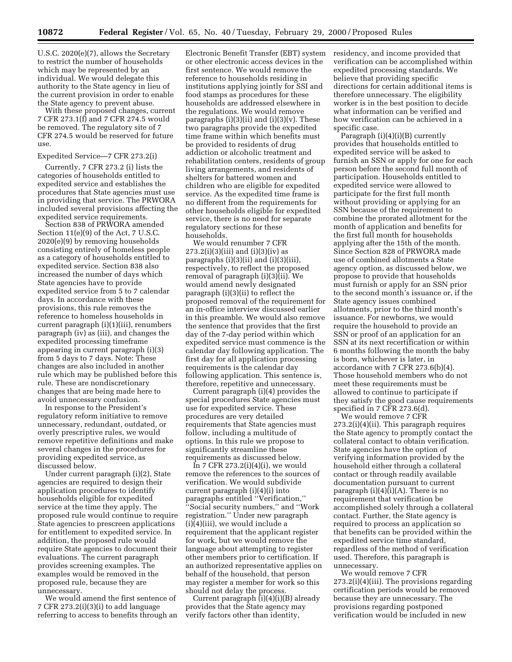U.S.C. 2020(e)(7), allows the Secretary to restrict the number of households which may be represented by an individual. We would delegate this authority to the State agency in lieu of the current provision in order to enable the State agency to prevent abuse.

With these proposed changes, current 7 CFR 273.1(f) and 7 CFR 274.5 would be removed. The regulatory site of 7 CFR 274.5 would be reserved for future use.

#### Expedited Service—7 CFR 273.2(i)

Currently, 7 CFR 273.2 (i) lists the categories of households entitled to expedited service and establishes the procedures that State agencies must use in providing that service. The PRWORA included several provisions affecting the expedited service requirements.

Section 838 of PRWORA amended Section 11(e)(9) of the Act, 7 U.S.C. 2020(e)(9) by removing households consisting entirely of homeless people as a category of households entitled to expedited service. Section 838 also increased the number of days which State agencies have to provide expedited service from 5 to 7 calendar days. In accordance with these provisions, this rule removes the reference to homeless households in current paragraph (i)(1)(iii), renumbers paragraph (iv) as (iii), and changes the expedited processing timeframe appearing in current paragraph (i)(3) from 5 days to 7 days. Note: These changes are also included in another rule which may be published before this rule. These are nondiscretionary changes that are being made here to avoid unnecessary confusion.

In response to the President's regulatory reform initiative to remove unnecessary, redundant, outdated, or overly prescriptive rules, we would remove repetitive definitions and make several changes in the procedures for providing expedited service, as discussed below.

Under current paragraph (i)(2), State agencies are required to design their application procedures to identify households eligible for expedited service at the time they apply. The proposed rule would continue to require State agencies to prescreen applications for entitlement to expedited service. In addition, the proposed rule would require State agencies to document their evaluations. The current paragraph provides screening examples. The examples would be removed in the proposed rule, because they are unnecessary.

We would amend the first sentence of 7 CFR 273.2(i)(3)(i) to add language referring to access to benefits through an

Electronic Benefit Transfer (EBT) system or other electronic access devices in the first sentence. We would remove the reference to households residing in institutions applying jointly for SSI and food stamps as procedures for these households are addressed elsewhere in the regulations. We would remove paragraphs  $(i)(3)(ii)$  and  $(i)(3)(v)$ . These two paragraphs provide the expedited time frame within which benefits must be provided to residents of drug addiction or alcoholic treatment and rehabilitation centers, residents of group living arrangements, and residents of shelters for battered women and children who are eligible for expedited service. As the expedited time frame is no different from the requirements for other households eligible for expedited service, there is no need for separate regulatory sections for these households.

We would renumber 7 CFR  $273.2(i)(3)(iii)$  and  $(i)(3)(iv)$  as paragraphs (i)(3)(ii) and (i)(3)(iii), respectively, to reflect the proposed removal of paragraph (i)(3)(ii). We would amend newly designated paragraph (i)(3)(ii) to reflect the proposed removal of the requirement for an in-office interview discussed earlier in this preamble. We would also remove the sentence that provides that the first day of the 7-day period within which expedited service must commence is the calendar day following application. The first day for all application processing requirements is the calendar day following application. This sentence is, therefore, repetitive and unnecessary.

Current paragraph (i)(4) provides the special procedures State agencies must use for expedited service. These procedures are very detailed requirements that State agencies must follow, including a multitude of options. In this rule we propose to significantly streamline these requirements as discussed below.

In 7 CFR  $273.2(i)(4)(i)$ , we would remove the references to the sources of verification. We would subdivide current paragraph (i)(4)(i) into paragraphs entitled ''Verification,'' ''Social security numbers,'' and ''Work registration.'' Under new paragraph (i)(4)(iii), we would include a requirement that the applicant register for work, but we would remove the language about attempting to register other members prior to certification. If an authorized representative applies on behalf of the household, that person may register a member for work so this should not delay the process.

Current paragraph (i)(4)(i)(B) already provides that the State agency may verify factors other than identity,

residency, and income provided that verification can be accomplished within expedited processing standards. We believe that providing specific directions for certain additional items is therefore unnecessary. The eligibility worker is in the best position to decide what information can be verified and how verification can be achieved in a specific case.

Paragraph (i)(4)(i)(B) currently provides that households entitled to expedited service will be asked to furnish an SSN or apply for one for each person before the second full month of participation. Households entitled to expedited service were allowed to participate for the first full month without providing or applying for an SSN because of the requirement to combine the prorated allotment for the month of application and benefits for the first full month for households applying after the 15th of the month. Since Section 828 of PRWORA made use of combined allotments a State agency option, as discussed below, we propose to provide that households must furnish or apply for an SSN prior to the second month's issuance or, if the State agency issues combined allotments, prior to the third month's issuance. For newborns, we would require the household to provide an SSN or proof of an application for an SSN at its next recertification or within 6 months following the month the baby is born, whichever is later, in accordance with 7 CFR 273.6(b)(4). Those household members who do not meet these requirements must be allowed to continue to participate if they satisfy the good cause requirements specified in 7 CFR 273.6(d).

We would remove 7 CFR 273.2(i)(4)(ii). This paragraph requires the State agency to promptly contact the collateral contact to obtain verification. State agencies have the option of verifying information provided by the household either through a collateral contact or through readily available documentation pursuant to current paragraph (i)(4)(i)(A). There is no requirement that verification be accomplished solely through a collateral contact. Further, the State agency is required to process an application so that benefits can be provided within the expedited service time standard, regardless of the method of verification used. Therefore, this paragraph is unnecessary.

We would remove 7 CFR 273.2(i)(4)(iii). The provisions regarding certification periods would be removed because they are unnecessary. The provisions regarding postponed verification would be included in new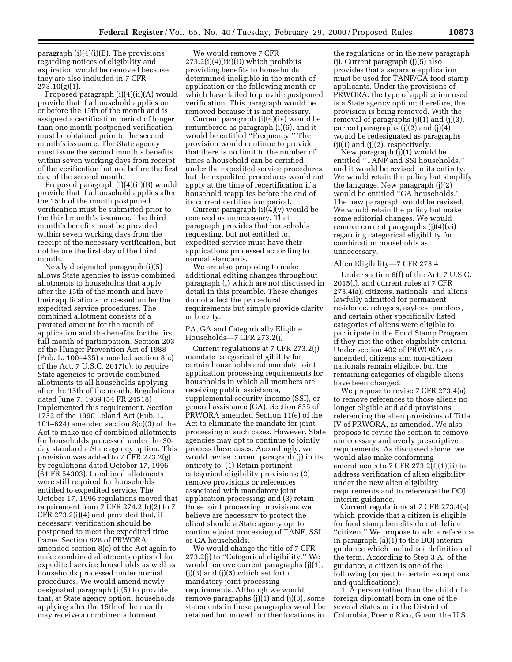paragraph  $(i)(4)(i)(B)$ . The provisions regarding notices of eligibility and expiration would be removed because they are also included in 7 CFR  $273.10(g)(1)$ .

Proposed paragraph (i)(4)(ii)(A) would provide that if a household applies on or before the 15th of the month and is assigned a certification period of longer than one month postponed verification must be obtained prior to the second month's issuance. The State agency must issue the second month's benefits within seven working days from receipt of the verification but not before the first day of the second month.

Proposed paragraph (i)(4)(ii)(B) would provide that if a household applies after the 15th of the month postponed verification must be submitted prior to the third month's issuance. The third month's benefits must be provided within seven working days from the receipt of the necessary verification, but not before the first day of the third month.

Newly designated paragraph (i)(5) allows State agencies to issue combined allotments to households that apply after the 15th of the month and have their applications processed under the expedited service procedures. The combined allotment consists of a prorated amount for the month of application and the benefits for the first full month of participation. Section 203 of the Hunger Prevention Act of 1988 (Pub. L. 100–435) amended section 8(c) of the Act, 7 U.S.C. 2017(c), to require State agencies to provide combined allotments to all households applying after the 15th of the month. Regulations dated June 7, 1989 (54 FR 24518) implemented this requirement. Section 1732 of the 1990 Leland Act (Pub. L. 101–624) amended section  $8(c)(3)$  of the Act to make use of combined allotments for households processed under the 30 day standard a State agency option. This provision was added to 7 CFR 273.2(g) by regulations dated October 17, 1996 (61 FR 54303). Combined allotments were still required for households entitled to expedited service. The October 17, 1996 regulations moved that requirement from 7 CFR 274.2(b)(2) to 7 CFR 273.2(i)(4) and provided that, if necessary, verification should be postponed to meet the expedited time frame. Section 828 of PRWORA amended section 8(c) of the Act again to make combined allotments optional for expedited service households as well as households processed under normal procedures. We would amend newly designated paragraph (i)(5) to provide that, at State agency option, households applying after the 15th of the month may receive a combined allotment.

We would remove 7 CFR 273.2(i)(4)(iii)(D) which prohibits providing benefits to households determined ineligible in the month of application or the following month or which have failed to provide postponed verification. This paragraph would be removed because it is not necessary.

Current paragraph (i)(4)(iv) would be renumbered as paragraph (i)(6), and it would be entitled ''Frequency.'' The provision would continue to provide that there is no limit to the number of times a household can be certified under the expedited service procedures but the expedited procedures would not apply at the time of recertification if a household reapplies before the end of its current certification period.

Current paragraph  $(i)(4)(v)$  would be removed as unnecessary. That paragraph provides that households requesting, but not entitled to, expedited service must have their applications processed according to normal standards.

We are also proposing to make additional editing changes throughout paragraph (i) which are not discussed in detail in this preamble. These changes do not affect the procedural requirements but simply provide clarity or brevity.

#### PA, GA and Categorically Eligible Households—7 CFR 273.2(j)

Current regulations at 7 CFR 273.2(j) mandate categorical eligibility for certain households and mandate joint application processing requirements for households in which all members are receiving public assistance, supplemental security income (SSI), or general assistance (GA). Section 835 of PRWORA amended Section 11(e) of the Act to eliminate the mandate for joint processing of such cases. However, State agencies may opt to continue to jointly process these cases. Accordingly, we would revise current paragraph (j) in its entirety to: (1) Retain pertinent categorical eligibility provisions; (2) remove provisions or references associated with mandatory joint application processing; and (3) retain those joint processing provisions we believe are necessary to protect the client should a State agency opt to continue joint processing of TANF, SSI or GA households.

We would change the title of 7 CFR 273.2(j) to ''Categorical eligibility.'' We would remove current paragraphs (j)(1),  $(j)(3)$  and  $(j)(5)$  which set forth mandatory joint processing requirements. Although we would remove paragraphs (j)(1) and (j)(3), some statements in these paragraphs would be retained but moved to other locations in

the regulations or in the new paragraph (j). Current paragraph (j)(5) also provides that a separate application must be used for TANF/GA food stamp applicants. Under the provisions of PRWORA, the type of application used is a State agency option; therefore, the provision is being removed. With the removal of paragraphs (j)(1) and (j)(3), current paragraphs (j)(2) and (j)(4) would be redesignated as paragraphs (j)(1) and (j)(2), respectively.

New paragraph (j)(1) would be entitled ''TANF and SSI households.'' and it would be revised in its entirety. We would retain the policy but simplify the language. New paragraph (j)(2) would be entitled ''GA households.'' The new paragraph would be revised. We would retain the policy but make some editorial changes. We would remove current paragraphs (j)(4)(vi) regarding categorical eligibility for combination households as unnecessary.

#### Alien Eligibility—7 CFR 273.4

Under section 6(f) of the Act, 7 U.S.C. 2015(f), and current rules at 7 CFR 273.4(a), citizens, nationals, and aliens lawfully admitted for permanent residence, refugees, asylees, parolees, and certain other specifically listed categories of aliens were eligible to participate in the Food Stamp Program, if they met the other eligibility criteria. Under section 402 of PRWORA, as amended, citizens and non-citizen nationals remain eligible, but the remaining categories of eligible aliens have been changed.

We propose to revise 7 CFR 273.4(a) to remove references to those aliens no longer eligible and add provisions referencing the alien provisions of Title IV of PRWORA, as amended. We also propose to revise the section to remove unnecessary and overly prescriptive requirements. As discussed above, we would also make conforming amendments to 7 CFR 273.2(f)(1)(ii) to address verification of alien eligibility under the new alien eligibility requirements and to reference the DOJ interim guidance.

Current regulations at 7 CFR 273.4(a) which provide that a citizen is eligible for food stamp benefits do not define ''citizen.'' We propose to add a reference in paragraph (a)(1) to the DOJ interim guidance which includes a definition of the term. According to Step 3 A. of the guidance, a citizen is one of the following (subject to certain exceptions and qualifications):

1. A person (other than the child of a foreign diplomat) born in one of the several States or in the District of Columbia, Puerto Rico, Guam, the U.S.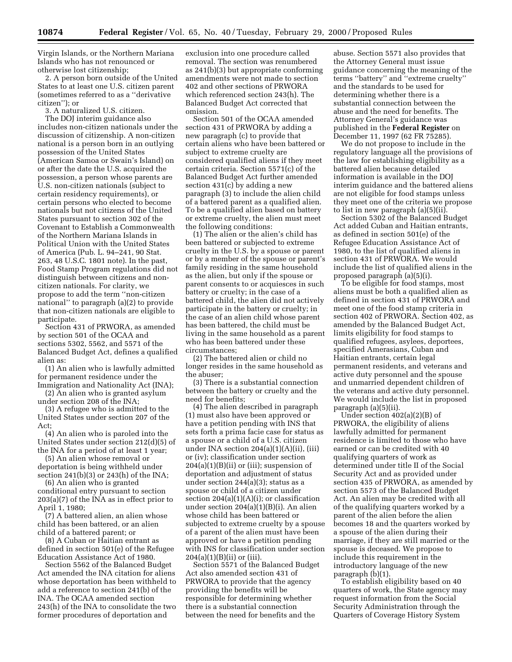Virgin Islands, or the Northern Mariana Islands who has not renounced or otherwise lost citizenship;

2. A person born outside of the United States to at least one U.S. citizen parent (sometimes referred to as a ''derivative citizen''); or

3. A naturalized U.S. citizen.

The DOJ interim guidance also includes non-citizen nationals under the discussion of citizenship. A non-citizen national is a person born in an outlying possession of the United States (American Samoa or Swain's Island) on or after the date the U.S. acquired the possession, a person whose parents are U.S. non-citizen nationals (subject to certain residency requirements), or certain persons who elected to become nationals but not citizens of the United States pursuant to section 302 of the Covenant to Establish a Commonwealth of the Northern Mariana Islands in Political Union with the United States of America (Pub. L. 94–241, 90 Stat. 263, 48 U.S.C. 1801 note). In the past, Food Stamp Program regulations did not distinguish between citizens and noncitizen nationals. For clarity, we propose to add the term ''non-citizen national'' to paragraph (a)(2) to provide that non-citizen nationals are eligible to participate.

Section 431 of PRWORA, as amended by section 501 of the OCAA and sections 5302, 5562, and 5571 of the Balanced Budget Act, defines a qualified alien as:

(1) An alien who is lawfully admitted for permanent residence under the Immigration and Nationality Act (INA);

(2) An alien who is granted asylum under section 208 of the INA;

(3) A refugee who is admitted to the United States under section 207 of the  $Act$ 

(4) An alien who is paroled into the United States under section 212(d)(5) of the INA for a period of at least 1 year;

(5) An alien whose removal or deportation is being withheld under section 241(b)(3) or 243(h) of the INA;

(6) An alien who is granted conditional entry pursuant to section 203(a)(7) of the INA as in effect prior to April 1, 1980;

(7) A battered alien, an alien whose child has been battered, or an alien child of a battered parent; or

(8) A Cuban or Haitian entrant as defined in section 501(e) of the Refugee Education Assistance Act of 1980.

Section 5562 of the Balanced Budget Act amended the INA citation for aliens whose deportation has been withheld to add a reference to section 241(b) of the INA. The OCAA amended section 243(h) of the INA to consolidate the two former procedures of deportation and

exclusion into one procedure called removal. The section was renumbered as 241(b)(3) but appropriate conforming amendments were not made to section 402 and other sections of PRWORA which referenced section 243(h). The Balanced Budget Act corrected that omission.

Section 501 of the OCAA amended section 431 of PRWORA by adding a new paragraph (c) to provide that certain aliens who have been battered or subject to extreme cruelty are considered qualified aliens if they meet certain criteria. Section 5571(c) of the Balanced Budget Act further amended section 431(c) by adding a new paragraph (3) to include the alien child of a battered parent as a qualified alien. To be a qualified alien based on battery or extreme cruelty, the alien must meet the following conditions:

(1) The alien or the alien's child has been battered or subjected to extreme cruelty in the U.S. by a spouse or parent or by a member of the spouse or parent's family residing in the same household as the alien, but only if the spouse or parent consents to or acquiesces in such battery or cruelty; in the case of a battered child, the alien did not actively participate in the battery or cruelty; in the case of an alien child whose parent has been battered, the child must be living in the same household as a parent who has been battered under these circumstances;

(2) The battered alien or child no longer resides in the same household as the abuser;

(3) There is a substantial connection between the battery or cruelty and the need for benefits;

(4) The alien described in paragraph (1) must also have been approved or have a petition pending with INS that sets forth a prima facie case for status as a spouse or a child of a U.S. citizen under INA section 204(a)(1)(A)(ii), (iii) or (iv); classification under section  $204(a)(1)(B)(ii)$  or (iii); suspension of deportation and adjustment of status under section 244(a)(3); status as a spouse or child of a citizen under section  $204(a)(1)(A)(i)$ ; or classification under section 204(a)(1)(B)(i). An alien whose child has been battered or subjected to extreme cruelty by a spouse of a parent of the alien must have been approved or have a petition pending with INS for classification under section  $204(a)(1)(B)(ii)$  or (iii).

Section 5571 of the Balanced Budget Act also amended section 431 of PRWORA to provide that the agency providing the benefits will be responsible for determining whether there is a substantial connection between the need for benefits and the

abuse. Section 5571 also provides that the Attorney General must issue guidance concerning the meaning of the terms ''battery'' and ''extreme cruelty'' and the standards to be used for determining whether there is a substantial connection between the abuse and the need for benefits. The Attorney General's guidance was published in the **Federal Register** on December 11, 1997 (62 FR 75285).

We do not propose to include in the regulatory language all the provisions of the law for establishing eligibility as a battered alien because detailed information is available in the DOJ interim guidance and the battered aliens are not eligible for food stamps unless they meet one of the criteria we propose to list in new paragraph (a)(5)(ii).

Section 5302 of the Balanced Budget Act added Cuban and Haitian entrants, as defined in section 501(e) of the Refugee Education Assistance Act of 1980, to the list of qualified aliens in section 431 of PRWORA. We would include the list of qualified aliens in the proposed paragraph (a)(5)(i).

To be eligible for food stamps, most aliens must be both a qualified alien as defined in section 431 of PRWORA and meet one of the food stamp criteria in section 402 of PRWORA. Section 402, as amended by the Balanced Budget Act, limits eligibility for food stamps to qualified refugees, asylees, deportees, specified Amerasians, Cuban and Haitian entrants, certain legal permanent residents, and veterans and active duty personnel and the spouse and unmarried dependent children of the veterans and active duty personnel. We would include the list in proposed paragraph (a)(5)(ii).

Under section 402(a)(2)(B) of PRWORA, the eligibility of aliens lawfully admitted for permanent residence is limited to those who have earned or can be credited with 40 qualifying quarters of work as determined under title II of the Social Security Act and as provided under section 435 of PRWORA, as amended by section 5573 of the Balanced Budget Act. An alien may be credited with all of the qualifying quarters worked by a parent of the alien before the alien becomes 18 and the quarters worked by a spouse of the alien during their marriage, if they are still married or the spouse is deceased. We propose to include this requirement in the introductory language of the new paragraph (b)(1).

To establish eligibility based on 40 quarters of work, the State agency may request information from the Social Security Administration through the Quarters of Coverage History System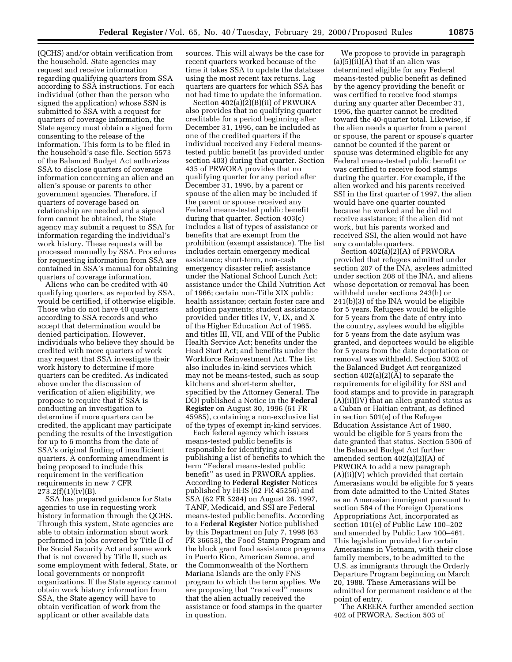(QCHS) and/or obtain verification from the household. State agencies may request and receive information regarding qualifying quarters from SSA according to SSA instructions. For each individual (other than the person who signed the application) whose SSN is submitted to SSA with a request for quarters of coverage information, the State agency must obtain a signed form consenting to the release of the information. This form is to be filed in the household's case file. Section 5573 of the Balanced Budget Act authorizes SSA to disclose quarters of coverage information concerning an alien and an alien's spouse or parents to other government agencies. Therefore, if quarters of coverage based on relationship are needed and a signed form cannot be obtained, the State agency may submit a request to SSA for information regarding the individual's work history. These requests will be processed manually by SSA. Procedures for requesting information from SSA are contained in SSA's manual for obtaining quarters of coverage information.

Aliens who can be credited with 40 qualifying quarters, as reported by SSA, would be certified, if otherwise eligible. Those who do not have 40 quarters according to SSA records and who accept that determination would be denied participation. However, individuals who believe they should be credited with more quarters of work may request that SSA investigate their work history to determine if more quarters can be credited. As indicated above under the discussion of verification of alien eligibility, we propose to require that if SSA is conducting an investigation to determine if more quarters can be credited, the applicant may participate pending the results of the investigation for up to 6 months from the date of SSA's original finding of insufficient quarters. A conforming amendment is being proposed to include this requirement in the verification requirements in new 7 CFR  $273.2(f)(1)(iv)(B)$ .

SSA has prepared guidance for State agencies to use in requesting work history information through the QCHS. Through this system, State agencies are able to obtain information about work performed in jobs covered by Title II of the Social Security Act and some work that is not covered by Title II, such as some employment with federal, State, or local governments or nonprofit organizations. If the State agency cannot obtain work history information from SSA, the State agency will have to obtain verification of work from the applicant or other available data

sources. This will always be the case for recent quarters worked because of the time it takes SSA to update the database using the most recent tax returns. Lag quarters are quarters for which SSA has not had time to update the information.

Section 402(a)(2)(B)(ii) of PRWORA also provides that no qualifying quarter creditable for a period beginning after December 31, 1996, can be included as one of the credited quarters if the individual received any Federal meanstested public benefit (as provided under section 403) during that quarter. Section 435 of PRWORA provides that no qualifying quarter for any period after December 31, 1996, by a parent or spouse of the alien may be included if the parent or spouse received any Federal means-tested public benefit during that quarter. Section 403(c) includes a list of types of assistance or benefits that are exempt from the prohibition (exempt assistance). The list includes certain emergency medical assistance; short-term, non-cash emergency disaster relief; assistance under the National School Lunch Act; assistance under the Child Nutrition Act of 1966; certain non-Title XIX public health assistance; certain foster care and adoption payments; student assistance provided under titles IV, V, IX, and X of the Higher Education Act of 1965, and titles III, VII, and VIII of the Public Health Service Act; benefits under the Head Start Act; and benefits under the Workforce Reinvestment Act. The list also includes in-kind services which may not be means-tested, such as soup kitchens and short-term shelter, specified by the Attorney General. The DOJ published a Notice in the **Federal Register** on August 30, 1996 (61 FR 45985), containing a non-exclusive list of the types of exempt in-kind services.

Each federal agency which issues means-tested public benefits is responsible for identifying and publishing a list of benefits to which the term ''Federal means-tested public benefit'' as used in PRWORA applies. According to **Federal Register** Notices published by HHS (62 FR 45256) and SSA (62 FR 5284) on August 26, 1997, TANF, Medicaid, and SSI are Federal means-tested public benefits. According to a **Federal Register** Notice published by this Department on July 7, 1998 (63 FR 36653), the Food Stamp Program and the block grant food assistance programs in Puerto Rico, American Samoa, and the Commonwealth of the Northern Mariana Islands are the only FNS program to which the term applies. We are proposing that "received" means that the alien actually received the assistance or food stamps in the quarter in question.

We propose to provide in paragraph  $(a)(5)(ii)(A)$  that if an alien was determined eligible for any Federal means-tested public benefit as defined by the agency providing the benefit or was certified to receive food stamps during any quarter after December 31, 1996, the quarter cannot be credited toward the 40-quarter total. Likewise, if the alien needs a quarter from a parent or spouse, the parent or spouse's quarter cannot be counted if the parent or spouse was determined eligible for any Federal means-tested public benefit or was certified to receive food stamps during the quarter. For example, if the alien worked and his parents received SSI in the first quarter of 1997, the alien would have one quarter counted because he worked and he did not receive assistance; if the alien did not work, but his parents worked and received SSI, the alien would not have any countable quarters.

Section 402(a)(2)(A) of PRWORA provided that refugees admitted under section 207 of the INA, asylees admitted under section 208 of the INA, and aliens whose deportation or removal has been withheld under sections 243(h) or 241(b)(3) of the INA would be eligible for 5 years. Refugees would be eligible for 5 years from the date of entry into the country, asylees would be eligible for 5 years from the date asylum was granted, and deportees would be eligible for 5 years from the date deportation or removal was withheld. Section 5302 of the Balanced Budget Act reorganized section 402(a)(2)(A) to separate the requirements for eligibility for SSI and food stamps and to provide in paragraph (A)(ii)(IV) that an alien granted status as a Cuban or Haitian entrant, as defined in section 501(e) of the Refugee Education Assistance Act of 1980, would be eligible for 5 years from the date granted that status. Section 5306 of the Balanced Budget Act further amended section 402(a)(2)(A) of PRWORA to add a new paragraph (A)(ii)(V) which provided that certain Amerasians would be eligible for 5 years from date admitted to the United States as an Amerasian immigrant pursuant to section 584 of the Foreign Operations Appropriations Act, incorporated as section 101(e) of Public Law 100–202 and amended by Public Law 100–461. This legislation provided for certain Amerasians in Vietnam, with their close family members, to be admitted to the U.S. as immigrants through the Orderly Departure Program beginning on March 20, 1988. These Amerasians will be admitted for permanent residence at the point of entry.

The AREERA further amended section 402 of PRWORA. Section 503 of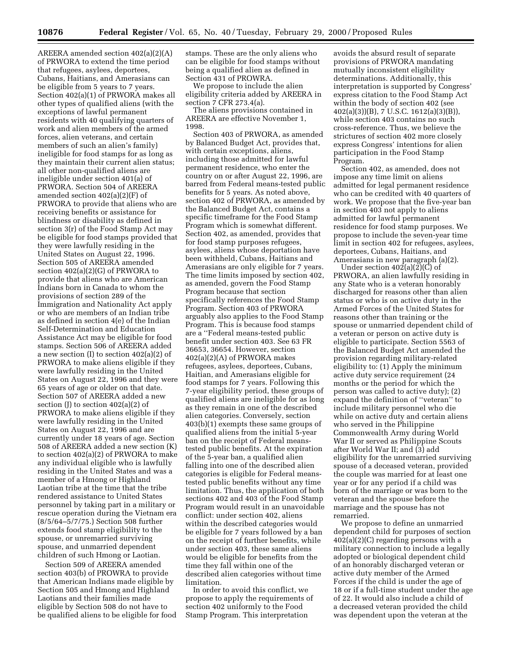AREERA amended section 402(a)(2)(A) of PRWORA to extend the time period that refugees, asylees, deportees, Cubans, Haitians, and Amerasians can be eligible from 5 years to 7 years. Section 402(a)(1) of PRWORA makes all other types of qualified aliens (with the exceptions of lawful permanent residents with 40 qualifying quarters of work and alien members of the armed forces, alien veterans, and certain members of such an alien's family) ineligible for food stamps for as long as they maintain their current alien status; all other non-qualified aliens are ineligible under section 401(a) of PRWORA. Section 504 of AREERA amended section 402(a)(2)(F) of PRWORA to provide that aliens who are receiving benefits or assistance for blindness or disability as defined in section 3(r) of the Food Stamp Act may be eligible for food stamps provided that they were lawfully residing in the United States on August 22, 1996. Section 505 of AREERA amended section 402(a)(2)(G) of PRWORA to provide that aliens who are American Indians born in Canada to whom the provisions of section 289 of the Immigration and Nationality Act apply or who are members of an Indian tribe as defined in section 4(e) of the Indian Self-Determination and Education Assistance Act may be eligible for food stamps. Section 506 of AREERA added a new section (I) to section 402(a)(2) of PRWORA to make aliens eligible if they were lawfully residing in the United States on August 22, 1996 and they were 65 years of age or older on that date. Section 507 of AREERA added a new section  $(I)$  to section  $402(a)(2)$  of PRWORA to make aliens eligible if they were lawfully residing in the United States on August 22, 1996 and are currently under 18 years of age. Section 508 of AREERA added a new section (K) to section 402(a)(2) of PRWORA to make any individual eligible who is lawfully residing in the United States and was a member of a Hmong or Highland Laotian tribe at the time that the tribe rendered assistance to United States personnel by taking part in a military or rescue operation during the Vietnam era (8/5/64–5/7/75.) Section 508 further extends food stamp eligibility to the spouse, or unremarried surviving spouse, and unmarried dependent children of such Hmong or Laotian.

Section 509 of AREERA amended section 403(b) of PROWRA to provide that American Indians made eligible by Section 505 and Hmong and Highland Laotians and their families made eligible by Section 508 do not have to be qualified aliens to be eligible for food stamps. These are the only aliens who can be eligible for food stamps without being a qualified alien as defined in Section 431 of PROWRA.

We propose to include the alien eligibility criteria added by AREERA in section 7 CFR 273.4(a).

The aliens provisions contained in AREERA are effective November 1, 1998.

Section 403 of PRWORA, as amended by Balanced Budget Act, provides that, with certain exceptions, aliens, including those admitted for lawful permanent residence, who enter the country on or after August 22, 1996, are barred from Federal means-tested public benefits for 5 years. As noted above, section 402 of PRWORA, as amended by the Balanced Budget Act, contains a specific timeframe for the Food Stamp Program which is somewhat different. Section 402, as amended, provides that for food stamp purposes refugees, asylees, aliens whose deportation have been withheld, Cubans, Haitians and Amerasians are only eligible for 7 years. The time limits imposed by section 402, as amended, govern the Food Stamp Program because that section specifically references the Food Stamp Program. Section 403 of PRWORA arguably also applies to the Food Stamp Program. This is because food stamps are a ''Federal means-tested public benefit under section 403. See 63 FR 36653, 36654. However, section 402(a)(2)(A) of PRWORA makes refugees, asylees, deportees, Cubans, Haitian, and Amerasians eligible for food stamps for 7 years. Following this 7-year eligibility period, these groups of qualified aliens are ineligible for as long as they remain in one of the described alien categories. Conversely, section 403(b)(1) exempts these same groups of qualified aliens from the initial 5-year ban on the receipt of Federal meanstested public benefits. At the expiration of the 5-year ban, a qualified alien falling into one of the described alien categories is eligible for Federal meanstested public benefits without any time limitation. Thus, the application of both sections 402 and 403 of the Food Stamp Program would result in an unavoidable conflict: under section 402, aliens within the described categories would be eligible for 7 years followed by a ban on the receipt of further benefits, while under section 403, these same aliens would be eligible for benefits from the time they fall within one of the described alien categories without time limitation.

In order to avoid this conflict, we propose to apply the requirements of section 402 uniformly to the Food Stamp Program. This interpretation

avoids the absurd result of separate provisions of PRWORA mandating mutually inconsistent eligibility determinations. Additionally, this interpretation is supported by Congress' express citation to the Food Stamp Act within the body of section 402 (see 402(a)(3))(B), 7 U.S.C. 1612(a)(3)(B)), while section 403 contains no such cross-reference. Thus, we believe the strictures of section 402 more closely express Congress' intentions for alien participation in the Food Stamp Program.

Section 402, as amended, does not impose any time limit on aliens admitted for legal permanent residence who can be credited with 40 quarters of work. We propose that the five-year ban in section 403 not apply to aliens admitted for lawful permanent residence for food stamp purposes. We propose to include the seven-year time limit in section 402 for refugees, asylees, deportees, Cubans, Haitians, and Amerasians in new paragraph (a)(2).

Under section  $402(a)(2)(C)$  of PRWORA, an alien lawfully residing in any State who is a veteran honorably discharged for reasons other than alien status or who is on active duty in the Armed Forces of the United States for reasons other than training or the spouse or unmarried dependent child of a veteran or person on active duty is eligible to participate. Section 5563 of the Balanced Budget Act amended the provision regarding military-related eligibility to: (1) Apply the minimum active duty service requirement (24 months or the period for which the person was called to active duty); (2) expand the definition of ''veteran'' to include military personnel who die while on active duty and certain aliens who served in the Philippine Commonwealth Army during World War II or served as Philippine Scouts after World War II; and (3) add eligibility for the unremarried surviving spouse of a deceased veteran, provided the couple was married for at least one year or for any period if a child was born of the marriage or was born to the veteran and the spouse before the marriage and the spouse has not remarried.

We propose to define an unmarried dependent child for purposes of section 402(a)(2)(C) regarding persons with a military connection to include a legally adopted or biological dependent child of an honorably discharged veteran or active duty member of the Armed Forces if the child is under the age of 18 or if a full-time student under the age of 22. It would also include a child of a decreased veteran provided the child was dependent upon the veteran at the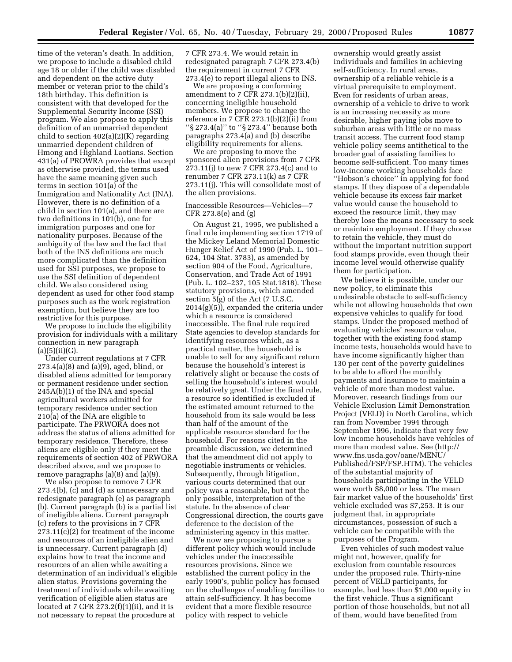time of the veteran's death. In addition, we propose to include a disabled child age 18 or older if the child was disabled and dependent on the active duty member or veteran prior to the child's 18th birthday. This definition is consistent with that developed for the Supplemental Security Income (SSI) program. We also propose to apply this definition of an unmarried dependent child to section 402(a)(2)(K) regarding unmarried dependent children of Hmong and Highland Laotians. Section 431(a) of PROWRA provides that except as otherwise provided, the terms used have the same meaning given such terms in section 101(a) of the Immigration and Nationality Act (INA). However, there is no definition of a child in section 101(a), and there are two definitions in 101(b), one for immigration purposes and one for nationality purposes. Because of the ambiguity of the law and the fact that both of the INS definitions are much more complicated than the definition used for SSI purposes, we propose to use the SSI definition of dependent child. We also considered using dependent as used for other food stamp purposes such as the work registration exemption, but believe they are too restrictive for this purpose.

We propose to include the eligibility provision for individuals with a military connection in new paragraph  $(a)(5)(ii)(G).$ 

Under current regulations at 7 CFR 273.4(a)(8) and (a)(9), aged, blind, or disabled aliens admitted for temporary or permanent residence under section 245A(b)(1) of the INA and special agricultural workers admitted for temporary residence under section 210(a) of the INA are eligible to participate. The PRWORA does not address the status of aliens admitted for temporary residence. Therefore, these aliens are eligible only if they meet the requirements of section 402 of PRWORA described above, and we propose to remove paragraphs (a)(8) and (a)(9).

We also propose to remove 7 CFR 273.4(b), (c) and (d) as unnecessary and redesignate paragraph (e) as paragraph (b). Current paragraph (b) is a partial list of ineligible aliens. Current paragraph (c) refers to the provisions in 7 CFR 273.11(c)(2) for treatment of the income and resources of an ineligible alien and is unnecessary. Current paragraph (d) explains how to treat the income and resources of an alien while awaiting a determination of an individual's eligible alien status. Provisions governing the treatment of individuals while awaiting verification of eligible alien status are located at 7 CFR  $273.2(f)(1)(ii)$ , and it is not necessary to repeat the procedure at

7 CFR 273.4. We would retain in redesignated paragraph 7 CFR 273.4(b) the requirement in current 7 CFR 273.4(e) to report illegal aliens to INS.

We are proposing a conforming amendment to 7 CFR 273.1(b)(2)(ii), concerning ineligible household members. We propose to change the reference in 7  $\overline{CFR}$  273.1(b)(2)(ii) from ''§ 273.4(a)'' to ''§ 273.4'' because both paragraphs 273.4(a) and (b) describe eligibility requirements for aliens.

We are proposing to move the sponsored alien provisions from 7 CFR 273.11(j) to new 7 CFR 273.4(c) and to renumber 7 CFR 273.11(k) as 7 CFR 273.11(j). This will consolidate most of the alien provisions.

# Inaccessible Resources—Vehicles—7 CFR 273.8(e) and (g)

On August 21, 1995, we published a final rule implementing section 1719 of the Mickey Leland Memorial Domestic Hunger Relief Act of 1990 (Pub. L. 101– 624, 104 Stat. 3783), as amended by section 904 of the Food, Agriculture, Conservation, and Trade Act of 1991 (Pub. L. 102–237, 105 Stat.1818). These statutory provisions, which amended section 5(g) of the Act (7 U.S.C. 2014(g)(5)), expanded the criteria under which a resource is considered inaccessible. The final rule required State agencies to develop standards for identifying resources which, as a practical matter, the household is unable to sell for any significant return because the household's interest is relatively slight or because the costs of selling the household's interest would be relatively great. Under the final rule, a resource so identified is excluded if the estimated amount returned to the household from its sale would be less than half of the amount of the applicable resource standard for the household. For reasons cited in the preamble discussion, we determined that the amendment did not apply to negotiable instruments or vehicles. Subsequently, through litigation, various courts determined that our policy was a reasonable, but not the only possible, interpretation of the statute. In the absence of clear Congressional direction, the courts gave deference to the decision of the administering agency in this matter.

We now are proposing to pursue a different policy which would include vehicles under the inaccessible resources provisions. Since we established the current policy in the early 1990's, public policy has focused on the challenges of enabling families to attain self-sufficiency. It has become evident that a more flexible resource policy with respect to vehicle

ownership would greatly assist individuals and families in achieving self-sufficiency. In rural areas, ownership of a reliable vehicle is a virtual prerequisite to employment. Even for residents of urban areas, ownership of a vehicle to drive to work is an increasing necessity as more desirable, higher paying jobs move to suburban areas with little or no mass transit access. The current food stamp vehicle policy seems antithetical to the broader goal of assisting families to become self-sufficient. Too many times low-income working households face ''Hobson's choice'' in applying for food stamps. If they dispose of a dependable vehicle because its excess fair market value would cause the household to exceed the resource limit, they may thereby lose the means necessary to seek or maintain employment. If they choose to retain the vehicle, they must do without the important nutrition support food stamps provide, even though their income level would otherwise qualify them for participation.

We believe it is possible, under our new policy, to eliminate this undesirable obstacle to self-sufficiency while not allowing households that own expensive vehicles to qualify for food stamps. Under the proposed method of evaluating vehicles' resource value, together with the existing food stamp income tests, households would have to have income significantly higher than 130 per cent of the poverty guidelines to be able to afford the monthly payments and insurance to maintain a vehicle of more than modest value. Moreover, research findings from our Vehicle Exclusion Limit Demonstration Project (VELD) in North Carolina, which ran from November 1994 through September 1996, indicate that very few low income households have vehicles of more than modest value. See (http:// www.fns.usda.gov/oane/MENU/ Published/FSP/FSP.HTM). The vehicles of the substantial majority of households participating in the VELD were worth \$8,000 or less. The mean fair market value of the households' first vehicle excluded was \$7,253. It is our judgment that, in appropriate circumstances, possession of such a vehicle can be compatible with the purposes of the Program.

Even vehicles of such modest value might not, however, qualify for exclusion from countable resources under the proposed rule. Thirty-nine percent of VELD participants, for example, had less than \$1,000 equity in the first vehicle. Thus a significant portion of those households, but not all of them, would have benefited from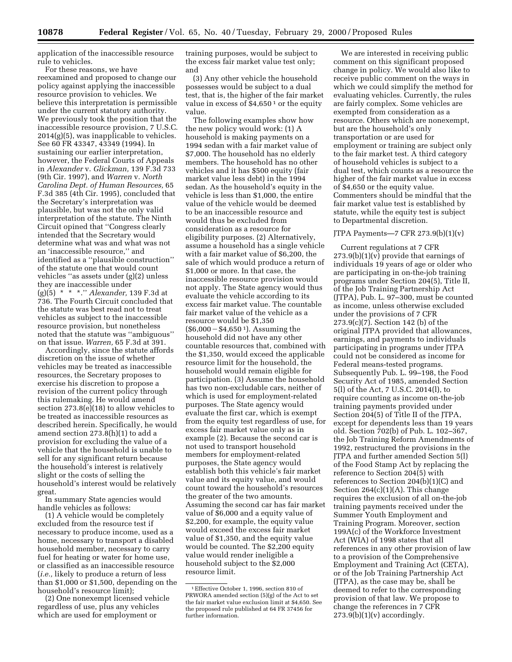application of the inaccessible resource rule to vehicles.

For these reasons, we have reexamined and proposed to change our policy against applying the inaccessible resource provision to vehicles. We believe this interpretation is permissible under the current statutory authority. We previously took the position that the inaccessible resource provision, 7 U.S.C. 2014(g)(5), was inapplicable to vehicles. See 60 FR 43347, 43349 (1994). In sustaining our earlier interpretation, however, the Federal Courts of Appeals in *Alexander* v. *Glickman,* 139 F.3d 733 (9th Cir. 1997), and *Warren* v. *North Carolina Dept. of Human Resources,* 65 F.3d 385 (4th Cir. 1995), concluded that the Secretary's interpretation was plausible, but was not the only valid interpretation of the statute. The Ninth Circuit opined that ''Congress clearly intended that the Secretary would determine what was and what was not an 'inaccessible resource,'' and identified as a ''plausible construction'' of the statute one that would count vehicles ''as assets under (g)(2) unless they are inaccessible under (g)(5) \* \* \*.'' *Alexander,* 139 F.3d at 736. The Fourth Circuit concluded that the statute was best read not to treat vehicles as subject to the inaccessible resource provision, but nonetheless noted that the statute was ''ambiguous'' on that issue. *Warren,* 65 F.3d at 391.

Accordingly, since the statute affords discretion on the issue of whether vehicles may be treated as inaccessible resources, the Secretary proposes to exercise his discretion to propose a revision of the current policy through this rulemaking. He would amend section 273.8(e)(18) to allow vehicles to be treated as inaccessible resources as described herein. Specifically, he would amend section 273.8(h)(1) to add a provision for excluding the value of a vehicle that the household is unable to sell for any significant return because the household's interest is relatively slight or the costs of selling the household's interest would be relatively great.

In summary State agencies would handle vehicles as follows:

(1) A vehicle would be completely excluded from the resource test if necessary to produce income, used as a home, necessary to transport a disabled household member, necessary to carry fuel for heating or water for home use, or classified as an inaccessible resource (*i.e.,* likely to produce a return of less than \$1,000 or \$1,500, depending on the household's resource limit);

(2) One nonexempt licensed vehicle regardless of use, plus any vehicles which are used for employment or

training purposes, would be subject to the excess fair market value test only; and

(3) Any other vehicle the household possesses would be subject to a dual test, that is, the higher of the fair market value in excess of  $$4,650<sup>1</sup>$  or the equity value.

The following examples show how the new policy would work: (1) A household is making payments on a 1994 sedan with a fair market value of \$7,000. The household has no elderly members. The household has no other vehicles and it has \$500 equity (fair market value less debt) in the 1994 sedan. As the household's equity in the vehicle is less than \$1,000, the entire value of the vehicle would be deemed to be an inaccessible resource and would thus be excluded from consideration as a resource for eligibility purposes. (2) Alternatively, assume a household has a single vehicle with a fair market value of \$6,200, the sale of which would produce a return of \$1,000 or more. In that case, the inaccessible resource provision would not apply. The State agency would thus evaluate the vehicle according to its excess fair market value. The countable fair market value of the vehicle as a resource would be \$1,350  $($6,000 - $4,650]$ . Assuming the household did not have any other countable resources that, combined with the \$1,350, would exceed the applicable resource limit for the household, the household would remain eligible for participation. (3) Assume the household has two non-excludable cars, neither of which is used for employment-related purposes. The State agency would evaluate the first car, which is exempt from the equity test regardless of use, for excess fair market value only as in example (2). Because the second car is not used to transport household members for employment-related purposes, the State agency would establish both this vehicle's fair market value and its equity value, and would count toward the household's resources the greater of the two amounts. Assuming the second car has fair market value of \$6,000 and a equity value of \$2,200, for example, the equity value would exceed the excess fair market value of \$1,350, and the equity value would be counted. The \$2,200 equity value would render ineligible a household subject to the \$2,000 resource limit.

We are interested in receiving public comment on this significant proposed change in policy. We would also like to receive public comment on the ways in which we could simplify the method for evaluating vehicles. Currently, the rules are fairly complex. Some vehicles are exempted from consideration as a resource. Others which are nonexempt, but are the household's only transportation or are used for employment or training are subject only to the fair market test. A third category of household vehicles is subject to a dual test, which counts as a resource the higher of the fair market value in excess of \$4,650 or the equity value. Commenters should be mindful that the fair market value test is established by statute, while the equity test is subject to Departmental discretion.

#### JTPA Payments—7 CFR 273.9(b)(1)(v)

Current regulations at 7 CFR  $273.9(b)(1)(v)$  provide that earnings of individuals 19 years of age or older who are participating in on-the-job training programs under Section 204(5), Title II, of the Job Training Partnership Act (JTPA), Pub. L. 97–300, must be counted as income, unless otherwise excluded under the provisions of 7 CFR 273.9(c)(7). Section 142 (b) of the original JTPA provided that allowances, earnings, and payments to individuals participating in programs under JTPA could not be considered as income for Federal means-tested programs. Subsequently Pub. L. 99–198, the Food Security Act of 1985, amended Section 5(l) of the Act, 7 U.S.C. 2014(l), to require counting as income on-the-job training payments provided under Section 204(5) of Title II of the JTPA, except for dependents less than 19 years old. Section 702(b) of Pub. L. 102–367, the Job Training Reform Amendments of 1992, restructured the provisions in the JTPA and further amended Section 5(l) of the Food Stamp Act by replacing the reference to Section 204(5) with references to Section 204(b)(1)(C) and Section  $264(c)(1)(A)$ . This change requires the exclusion of all on-the-job training payments received under the Summer Youth Employment and Training Program. Moreover, section 199A(c) of the Workforce Investment Act (WIA) of 1998 states that all references in any other provision of law to a provision of the Comprehensive Employment and Training Act (CETA), or of the Job Training Partnership Act (JTPA), as the case may be, shall be deemed to refer to the corresponding provision of that law. We propose to change the references in 7 CFR  $273.9(b)(1)(v)$  accordingly.

<sup>1</sup>Effective October 1, 1996, section 810 of PRWORA amended section (5)(g) of the Act to set the fair market value exclusion limit at \$4,650. See the proposed rule published at 64 FR 37456 for further information.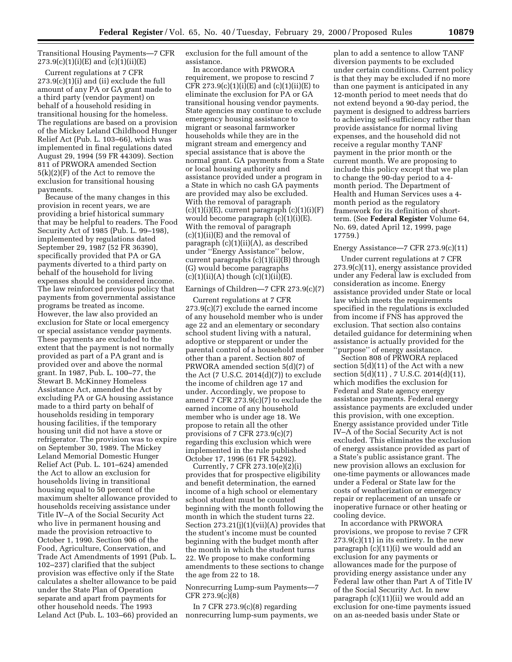Transitional Housing Payments—7 CFR  $273.9(c)(1)(i)(E)$  and  $(c)(1)(ii)(E)$ 

Current regulations at 7 CFR  $273.9(c)(1)(i)$  and (ii) exclude the full amount of any PA or GA grant made to a third party (vendor payment) on behalf of a household residing in transitional housing for the homeless. The regulations are based on a provision of the Mickey Leland Childhood Hunger Relief Act (Pub. L. 103–66), which was implemented in final regulations dated August 29, 1994 (59 FR 44309). Section 811 of PRWORA amended Section 5(k)(2)(F) of the Act to remove the exclusion for transitional housing payments.

Because of the many changes in this provision in recent years, we are providing a brief historical summary that may be helpful to readers. The Food Security Act of 1985 (Pub. L. 99–198), implemented by regulations dated September 29, 1987 (52 FR 36390), specifically provided that PA or GA payments diverted to a third party on behalf of the household for living expenses should be considered income. The law reinforced previous policy that payments from governmental assistance programs be treated as income. However, the law also provided an exclusion for State or local emergency or special assistance vendor payments. These payments are excluded to the extent that the payment is not normally provided as part of a PA grant and is provided over and above the normal grant. In 1987, Pub. L. 100–77, the Stewart B. McKinney Homeless Assistance Act, amended the Act by excluding PA or GA housing assistance made to a third party on behalf of households residing in temporary housing facilities, if the temporary housing unit did not have a stove or refrigerator. The provision was to expire on September 30, 1989. The Mickey Leland Memorial Domestic Hunger Relief Act (Pub. L. 101–624) amended the Act to allow an exclusion for households living in transitional housing equal to 50 percent of the maximum shelter allowance provided to households receiving assistance under Title IV–A of the Social Security Act who live in permanent housing and made the provision retroactive to October 1, 1990. Section 906 of the Food, Agriculture, Conservation, and Trade Act Amendments of 1991 (Pub. L. 102–237) clarified that the subject provision was effective only if the State calculates a shelter allowance to be paid under the State Plan of Operation separate and apart from payments for other household needs. The 1993 Leland Act (Pub. L. 103–66) provided an exclusion for the full amount of the assistance.

In accordance with PRWORA requirement, we propose to rescind 7 CFR  $273.9(c)(1)(i)(E)$  and  $(c)(1)(ii)(E)$  to eliminate the exclusion for PA or GA transitional housing vendor payments. State agencies may continue to exclude emergency housing assistance to migrant or seasonal farmworker households while they are in the migrant stream and emergency and special assistance that is above the normal grant. GA payments from a State or local housing authority and assistance provided under a program in a State in which no cash GA payments are provided may also be excluded. With the removal of paragraph  $(c)(1)(i)(E)$ , current paragraph  $(c)(1)(i)(F)$ would become paragraph (c)(1)(i)(E). With the removal of paragraph (c)(1)(ii)(E) and the removal of paragraph (c)(1)(ii)(A), as described under ''Energy Assistance'' below, current paragraphs (c)(1)(ii)(B) through (G) would become paragraphs  $(c)(1)(ii)(A)$  though  $(c)(1)(ii)(E)$ .

#### Earnings of Children—7 CFR 273.9(c)(7)

Current regulations at 7 CFR 273.9(c)(7) exclude the earned income of any household member who is under age 22 and an elementary or secondary school student living with a natural, adoptive or stepparent or under the parental control of a household member other than a parent. Section 807 of PRWORA amended section 5(d)(7) of the Act (7 U.S.C. 2014(d)(7)) to exclude the income of children age 17 and under. Accordingly, we propose to amend 7 CFR 273.9(c)(7) to exclude the earned income of any household member who is under age 18. We propose to retain all the other provisions of 7 CFR 273.9(c)(7) regarding this exclusion which were implemented in the rule published October 17, 1996 (61 FR 54292).

Currently, 7 CFR 273.10(e)(2)(i) provides that for prospective eligibility and benefit determination, the earned income of a high school or elementary school student must be counted beginning with the month following the month in which the student turns 22. Section  $273.21(j)(1)(vii)(A)$  provides that the student's income must be counted beginning with the budget month after the month in which the student turns 22. We propose to make conforming amendments to these sections to change the age from 22 to 18.

# Nonrecurring Lump-sum Payments—7 CFR 273.9(c)(8)

In 7 CFR  $273.9(c)(8)$  regarding nonrecurring lump-sum payments, we

plan to add a sentence to allow TANF diversion payments to be excluded under certain conditions. Current policy is that they may be excluded if no more than one payment is anticipated in any 12-month period to meet needs that do not extend beyond a 90-day period, the payment is designed to address barriers to achieving self-sufficiency rather than provide assistance for normal living expenses, and the household did not receive a regular monthy TANF payment in the prior month or the current month. We are proposing to include this policy except that we plan to change the 90-day period to a 4 month period. The Department of Health and Human Services uses a 4 month period as the regulatory framework for its definition of shortterm. (See **Federal Register** Volume 64, No. 69, dated April 12, 1999, page 17759.)

#### Energy Assistance—7 CFR 273.9(c)(11)

Under current regulations at 7 CFR 273.9(c)(11), energy assistance provided under any Federal law is excluded from consideration as income. Energy assistance provided under State or local law which meets the requirements specified in the regulations is excluded from income if FNS has approved the exclusion. That section also contains detailed guidance for determining when assistance is actually provided for the ''purpose'' of energy assistance.

Section 808 of PRWORA replaced section 5(d)(11) of the Act with a new section 5(d)(11) , 7 U.S.C. 2014(d)(11), which modifies the exclusion for Federal and State agency energy assistance payments. Federal energy assistance payments are excluded under this provision, with one exception. Energy assistance provided under Title IV–A of the Social Security Act is not excluded. This eliminates the exclusion of energy assistance provided as part of a State's public assistance grant. The new provision allows an exclusion for one-time payments or allowances made under a Federal or State law for the costs of weatherization or emergency repair or replacement of an unsafe or inoperative furnace or other heating or cooling device.

In accordance with PRWORA provisions, we propose to revise 7 CFR  $273.9(c)(11)$  in its entirety. In the new paragraph (c)(11)(i) we would add an exclusion for any payments or allowances made for the purpose of providing energy assistance under any Federal law other than Part A of Title IV of the Social Security Act. In new paragraph (c)(11)(ii) we would add an exclusion for one-time payments issued on an as-needed basis under State or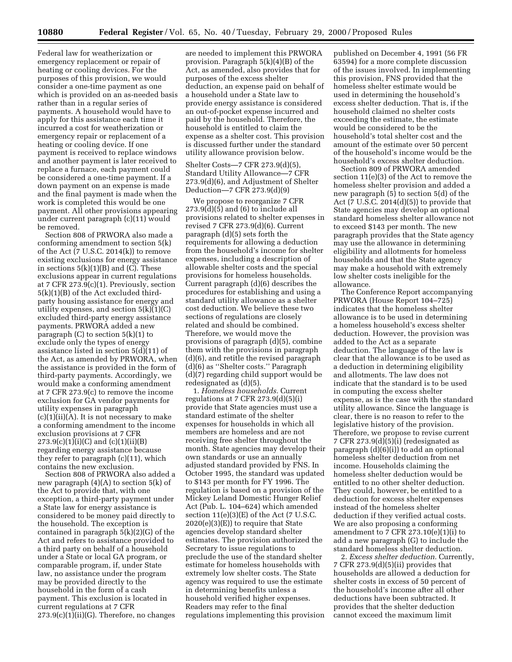Federal law for weatherization or emergency replacement or repair of heating or cooling devices. For the purposes of this provision, we would consider a one-time payment as one which is provided on an as-needed basis rather than in a regular series of payments. A household would have to apply for this assistance each time it incurred a cost for weatherization or emergency repair or replacement of a heating or cooling device. If one payment is received to replace windows and another payment is later received to replace a furnace, each payment could be considered a one-time payment. If a down payment on an expense is made and the final payment is made when the work is completed this would be one payment. All other provisions appearing under current paragraph (c)(11) would be removed.

Section 808 of PRWORA also made a conforming amendment to section 5(k) of the Act (7 U.S.C. 2014(k)) to remove existing exclusions for energy assistance in sections 5(k)(1)(B) and (C). These exclusions appear in current regulations at 7 CFR 273.9(c)(1). Previously, section 5(k)(1)(B) of the Act excluded thirdparty housing assistance for energy and utility expenses, and section  $5(k)(1)(C)$ excluded third-party energy assistance payments. PRWORA added a new paragraph  $(C)$  to section  $5(k)(1)$  to exclude only the types of energy assistance listed in section 5(d)(11) of the Act, as amended by PRWORA, when the assistance is provided in the form of third-party payments. Accordingly, we would make a conforming amendment at 7 CFR 273.9(c) to remove the income exclusion for GA vendor payments for utility expenses in paragraph  $(c)(1)(ii)(A)$ . It is not necessary to make a conforming amendment to the income exclusion provisions at 7 CFR  $273.9(c)(1)(i)(C)$  and  $(c)(1)(ii)(B)$ regarding energy assistance because they refer to paragraph (c)(11), which contains the new exclusion.

Section 808 of PRWORA also added a new paragraph (4)(A) to section 5(k) of the Act to provide that, with one exception, a third-party payment under a State law for energy assistance is considered to be money paid directly to the household. The exception is contained in paragraph  $5(k)(2)(G)$  of the Act and refers to assistance provided to a third party on behalf of a household under a State or local GA program, or comparable program, if, under State law, no assistance under the program may be provided directly to the household in the form of a cash payment. This exclusion is located in current regulations at 7 CFR  $273.9(c)(1)(ii)(G)$ . Therefore, no changes

are needed to implement this PRWORA provision. Paragraph 5(k)(4)(B) of the Act, as amended, also provides that for purposes of the excess shelter deduction, an expense paid on behalf of a household under a State law to provide energy assistance is considered an out-of-pocket expense incurred and paid by the household. Therefore, the household is entitled to claim the expense as a shelter cost. This provision is discussed further under the standard utility allowance provision below.

Shelter Costs—7 CFR 273.9(d)(5), Standard Utility Allowance—7 CFR 273.9(d)(6), and Adjustment of Shelter Deduction—7 CFR 273.9(d)(9)

We propose to reorganize 7 CFR  $273.9(d)(5)$  and  $(6)$  to include all provisions related to shelter expenses in revised 7 CFR 273.9(d)(6). Current paragraph (d)(5) sets forth the requirements for allowing a deduction from the household's income for shelter expenses, including a description of allowable shelter costs and the special provisions for homeless households. Current paragraph (d)(6) describes the procedures for establishing and using a standard utility allowance as a shelter cost deduction. We believe these two sections of regulations are closely related and should be combined. Therefore, we would move the provisions of paragraph (d)(5), combine them with the provisions in paragraph (d)(6), and retitle the revised paragraph (d)(6) as ''Shelter costs.'' Paragraph (d)(7) regarding child support would be redesignated as (d)(5).

1. *Homeless households.* Current regulations at 7 CFR  $273.9(d)(5)(i)$ provide that State agencies must use a standard estimate of the shelter expenses for households in which all members are homeless and are not receiving free shelter throughout the month. State agencies may develop their own standards or use an annually adjusted standard provided by FNS. In October 1995, the standard was updated to \$143 per month for FY 1996. The regulation is based on a provision of the Mickey Leland Domestic Hunger Relief Act (Pub. L. 104–624) which amended section  $11(e)(3)(E)$  of the Act (7 U.S.C. 2020(e)(3)(E)) to require that State agencies develop standard shelter estimates. The provision authorized the Secretary to issue regulations to preclude the use of the standard shelter estimate for homeless households with extremely low shelter costs. The State agency was required to use the estimate in determining benefits unless a household verified higher expenses. Readers may refer to the final regulations implementing this provision

published on December 4, 1991 (56 FR 63594) for a more complete discussion of the issues involved. In implementing this provision, FNS provided that the homeless shelter estimate would be used in determining the household's excess shelter deduction. That is, if the household claimed no shelter costs exceeding the estimate, the estimate would be considered to be the household's total shelter cost and the amount of the estimate over 50 percent of the household's income would be the household's excess shelter deduction.

Section 809 of PRWORA amended section 11(e)(3) of the Act to remove the homeless shelter provision and added a new paragraph (5) to section 5(d) of the Act  $(7 \text{ U.S.C. } 2014(d)(5))$  to provide that State agencies may develop an optional standard homeless shelter allowance not to exceed \$143 per month. The new paragraph provides that the State agency may use the allowance in determining eligibility and allotments for homeless households and that the State agency may make a household with extremely low shelter costs ineligible for the allowance.

The Conference Report accompanying PRWORA (House Report 104–725) indicates that the homeless shelter allowance is to be used in determining a homeless household's excess shelter deduction. However, the provision was added to the Act as a separate deduction. The language of the law is clear that the allowance is to be used as a deduction in determining eligibility and allotments. The law does not indicate that the standard is to be used in computing the excess shelter expense, as is the case with the standard utility allowance. Since the language is clear, there is no reason to refer to the legislative history of the provision. Therefore, we propose to revise current 7 CFR 273.9 $(d)(5)(i)$  (redesignated as paragraph (d)(6)(i)) to add an optional homeless shelter deduction from net income. Households claiming the homeless shelter deduction would be entitled to no other shelter deduction. They could, however, be entitled to a deduction for excess shelter expenses instead of the homeless shelter deduction if they verified actual costs. We are also proposing a conforming amendment to 7 CFR  $273.10(e)(1)(i)$  to add a new paragraph (G) to include the standard homeless shelter deduction.

2. *Excess shelter deduction.* Currently, 7 CFR 273.9(d)(5)(ii) provides that households are allowed a deduction for shelter costs in excess of 50 percent of the household's income after all other deductions have been subtracted. It provides that the shelter deduction cannot exceed the maximum limit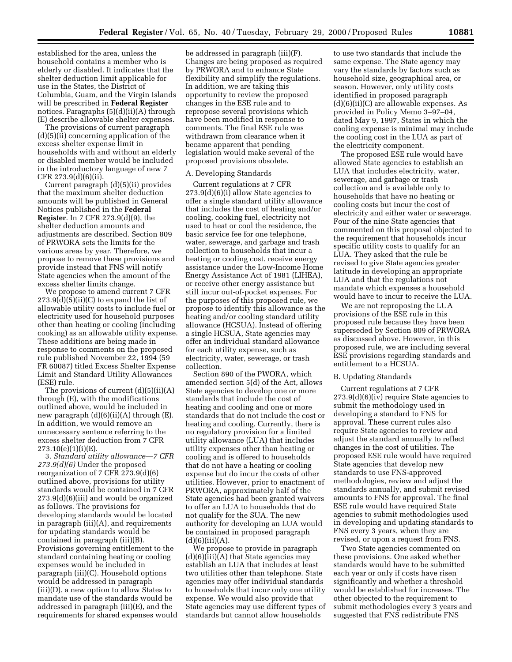established for the area, unless the household contains a member who is elderly or disabled. It indicates that the shelter deduction limit applicable for use in the States, the District of Columbia, Guam, and the Virgin Islands will be prescribed in **Federal Register** notices. Paragraphs (5)(d)(ii)(A) through (E) describe allowable shelter expenses.

The provisions of current paragraph (d)(5)(ii) concerning application of the excess shelter expense limit in households with and without an elderly or disabled member would be included in the introductory language of new 7 CFR 273.9(d)(6)(ii).

Current paragraph (d)(5)(ii) provides that the maximum shelter deduction amounts will be published in General Notices published in the **Federal Register**. In 7 CFR 273.9(d)(9), the shelter deduction amounts and adjustments are described. Section 809 of PRWORA sets the limits for the various areas by year. Therefore, we propose to remove these provisions and provide instead that FNS will notify State agencies when the amount of the excess shelter limits change.

We propose to amend current 7 CFR  $273.9(d)(5)(ii)(C)$  to expand the list of allowable utility costs to include fuel or electricity used for household purposes other than heating or cooling (including cooking) as an allowable utility expense. These additions are being made in response to comments on the proposed rule published November 22, 1994 (59 FR 60087) titled Excess Shelter Expense Limit and Standard Utility Allowances (ESE) rule.

The provisions of current (d)(5)(ii)(A) through (E), with the modifications outlined above, would be included in new paragraph  $(d)(6)(ii)(A)$  through  $(E)$ . In addition, we would remove an unnecessary sentence referring to the excess shelter deduction from 7 CFR 273.10(e)(1)(i)(E).

3. *Standard utility allowance—7 CFR 273.9(d)(6)* Under the proposed reorganization of 7 CFR 273.9(d)(6) outlined above, provisions for utility standards would be contained in 7 CFR 273.9(d)(6)(iii) and would be organized as follows. The provisions for developing standards would be located in paragraph (iii)(A), and requirements for updating standards would be contained in paragraph (iii)(B). Provisions governing entitlement to the standard containing heating or cooling expenses would be included in paragraph (iii)(C). Household options would be addressed in paragraph (iii)(D), a new option to allow States to mandate use of the standards would be addressed in paragraph (iii)(E), and the requirements for shared expenses would

be addressed in paragraph (iii)(F). Changes are being proposed as required by PRWORA and to enhance State flexibility and simplify the regulations. In addition, we are taking this opportunity to review the proposed changes in the ESE rule and to repropose several provisions which have been modified in response to comments. The final ESE rule was withdrawn from clearance when it became apparent that pending legislation would make several of the proposed provisions obsolete.

#### A. Developing Standards

Current regulations at 7 CFR  $273.9(d)(6)(i)$  allow State agencies to offer a single standard utility allowance that includes the cost of heating and/or cooling, cooking fuel, electricity not used to heat or cool the residence, the basic service fee for one telephone, water, sewerage, and garbage and trash collection to households that incur a heating or cooling cost, receive energy assistance under the Low-Income Home Energy Assistance Act of 1981 (LIHEA), or receive other energy assistance but still incur out-of-pocket expenses. For the purposes of this proposed rule, we propose to identify this allowance as the heating and/or cooling standard utility allowance (HCSUA). Instead of offering a single HCSUA, State agencies may offer an individual standard allowance for each utility expense, such as electricity, water, sewerage, or trash collection.

Section 890 of the PWORA, which amended section 5(d) of the Act, allows State agencies to develop one or more standards that include the cost of heating and cooling and one or more standards that do not include the cost or heating and cooling. Currently, there is no regulatory provision for a limited utility allowance (LUA) that includes utility expenses other than heating or cooling and is offered to households that do not have a heating or cooling expense but do incur the costs of other utilities. However, prior to enactment of PRWORA, approximately half of the State agencies had been granted waivers to offer an LUA to households that do not qualify for the SUA. The new authority for developing an LUA would be contained in proposed paragraph  $(d)(6)(iii)(A).$ 

We propose to provide in paragraph (d)(6)(iii)(A) that State agencies may establish an LUA that includes at least two utilities other than telephone. State agencies may offer individual standards to households that incur only one utility expense. We would also provide that State agencies may use different types of standards but cannot allow households

to use two standards that include the same expense. The State agency may vary the standards by factors such as household size, geographical area, or season. However, only utility costs identified in proposed paragraph (d)(6)(ii)(C) are allowable expenses. As provided in Policy Memo 3–97–04, dated May 9, 1997, States in which the cooling expense is minimal may include the cooling cost in the LUA as part of the electricity component.

The proposed ESE rule would have allowed State agencies to establish an LUA that includes electricity, water, sewerage, and garbage or trash collection and is available only to households that have no heating or cooling costs but incur the cost of electricity and either water or sewerage. Four of the nine State agencies that commented on this proposal objected to the requirement that households incur specific utility costs to qualify for an LUA. They asked that the rule be revised to give State agencies greater latitude in developing an appropriate LUA and that the regulations not mandate which expenses a household would have to incur to receive the LUA.

We are not reproposing the LUA provisions of the ESE rule in this proposed rule because they have been superseded by Section 809 of PRWORA as discussed above. However, in this proposed rule, we are including several ESE provisions regarding standards and entitlement to a HCSUA.

#### B. Updating Standards

Current regulations at 7 CFR 273.9(d)(6)(iv) require State agencies to submit the methodology used in developing a standard to FNS for approval. These current rules also require State agencies to review and adjust the standard annually to reflect changes in the cost of utilities. The proposed ESE rule would have required State agencies that develop new standards to use FNS-approved methodologies, review and adjust the standards annually, and submit revised amounts to FNS for approval. The final ESE rule would have required State agencies to submit methodologies used in developing and updating standards to FNS every 3 years, when they are revised, or upon a request from FNS.

Two State agencies commented on these provisions. One asked whether standards would have to be submitted each year or only if costs have risen significantly and whether a threshold would be established for increases. The other objected to the requirement to submit methodologies every 3 years and suggested that FNS redistribute FNS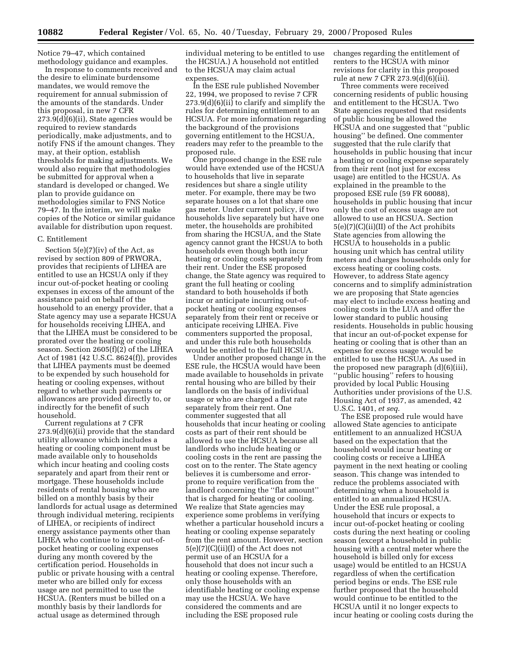Notice 79–47, which contained methodology guidance and examples.

In response to comments received and the desire to eliminate burdensome mandates, we would remove the requirement for annual submission of the amounts of the standards. Under this proposal, in new 7 CFR 273.9(d)(6)(ii), State agencies would be required to review standards periodically, make adjustments, and to notify FNS if the amount changes. They may, at their option, establish thresholds for making adjustments. We would also require that methodologies be submitted for approval when a standard is developed or changed. We plan to provide guidance on methodologies similar to FNS Notice 79–47. In the interim, we will make copies of the Notice or similar guidance available for distribution upon request.

#### C. Entitlement

Section 5(e)(7)(iv) of the Act, as revised by section 809 of PRWORA, provides that recipients of LIHEA are entitled to use an HCSUA only if they incur out-of-pocket heating or cooling expenses in excess of the amount of the assistance paid on behalf of the household to an energy provider, that a State agency may use a separate HCSUA for households receiving LIHEA, and that the LIHEA must be considered to be prorated over the heating or cooling season. Section 2605(f)(2) of the LIHEA Act of 1981 (42 U.S.C. 8624(f)), provides that LIHEA payments must be deemed to be expended by such household for heating or cooling expenses, without regard to whether such payments or allowances are provided directly to, or indirectly for the benefit of such household.

Current regulations at 7 CFR 273.9(d)(6)(ii) provide that the standard utility allowance which includes a heating or cooling component must be made available only to households which incur heating and cooling costs separately and apart from their rent or mortgage. These households include residents of rental housing who are billed on a monthly basis by their landlords for actual usage as determined through individual metering, recipients of LIHEA, or recipients of indirect energy assistance payments other than LIHEA who continue to incur out-ofpocket heating or cooling expenses during any month covered by the certification period. Households in public or private housing with a central meter who are billed only for excess usage are not permitted to use the HCSUA. (Renters must be billed on a monthly basis by their landlords for actual usage as determined through

individual metering to be entitled to use the HCSUA.) A household not entitled to the HCSUA may claim actual expenses.

In the ESE rule published November 22, 1994, we proposed to revise 7 CFR 273.9(d)(6)(ii) to clarify and simplify the rules for determining entitlement to an HCSUA. For more information regarding the background of the provisions governing entitlement to the HCSUA, readers may refer to the preamble to the proposed rule.

One proposed change in the ESE rule would have extended use of the HCSUA to households that live in separate residences but share a single utility meter. For example, there may be two separate houses on a lot that share one gas meter. Under current policy, if two households live separately but have one meter, the households are prohibited from sharing the HCSUA, and the State agency cannot grant the HCSUA to both households even though both incur heating or cooling costs separately from their rent. Under the ESE proposed change, the State agency was required to grant the full heating or cooling standard to both households if both incur or anticipate incurring out-ofpocket heating or cooling expenses separately from their rent or receive or anticipate receiving LIHEA. Five commenters supported the proposal, and under this rule both households would be entitled to the full HCSUA.

Under another proposed change in the ESE rule, the HCSUA would have been made available to households in private rental housing who are billed by their landlords on the basis of individual usage or who are charged a flat rate separately from their rent. One commenter suggested that all households that incur heating or cooling costs as part of their rent should be allowed to use the HCSUA because all landlords who include heating or cooling costs in the rent are passing the cost on to the renter. The State agency believes it is cumbersome and errorprone to require verification from the landlord concerning the ''flat amount'' that is charged for heating or cooling. We realize that State agencies may experience some problems in verifying whether a particular household incurs a heating or cooling expense separately from the rent amount. However, section 5(e)(7)(C)(ii)(I) of the Act does not permit use of an HCSUA for a household that does not incur such a heating or cooling expense. Therefore, only those households with an identifiable heating or cooling expense may use the HCSUA. We have considered the comments and are including the ESE proposed rule

changes regarding the entitlement of renters to the HCSUA with minor revisions for clarity in this proposed rule at new 7 CFR 273.9(d)(6)(iii).

Three comments were received concerning residents of public housing and entitlement to the HCSUA. Two State agencies requested that residents of public housing be allowed the HCSUA and one suggested that ''public housing'' be defined. One commenter suggested that the rule clarify that households in public housing that incur a heating or cooling expense separately from their rent (not just for excess usage) are entitled to the HCSUA. As explained in the preamble to the proposed ESE rule (59 FR 60088), households in public housing that incur only the cost of excess usage are not allowed to use an HCSUA. Section 5(e)(7)(C)(ii)(II) of the Act prohibits State agencies from allowing the HCSUA to households in a public housing unit which has central utility meters and charges households only for excess heating or cooling costs. However, to address State agency concerns and to simplify administration we are proposing that State agencies may elect to include excess heating and cooling costs in the LUA and offer the lower standard to public housing residents. Households in public housing that incur an out-of-pocket expense for heating or cooling that is other than an expense for excess usage would be entitled to use the HCSUA. As used in the proposed new paragraph (d)(6)(iii), ''public housing'' refers to housing provided by local Public Housing Authorities under provisions of the U.S. Housing Act of 1937, as amended, 42 U.S.C. 1401, *et seq*.

The ESE proposed rule would have allowed State agencies to anticipate entitlement to an annualized HCSUA based on the expectation that the household would incur heating or cooling costs or receive a LIHEA payment in the next heating or cooling season. This change was intended to reduce the problems associated with determining when a household is entitled to an annualized HCSUA. Under the ESE rule proposal, a household that incurs or expects to incur out-of-pocket heating or cooling costs during the next heating or cooling season (except a household in public housing with a central meter where the household is billed only for excess usage) would be entitled to an HCSUA regardless of when the certification period begins or ends. The ESE rule further proposed that the household would continue to be entitled to the HCSUA until it no longer expects to incur heating or cooling costs during the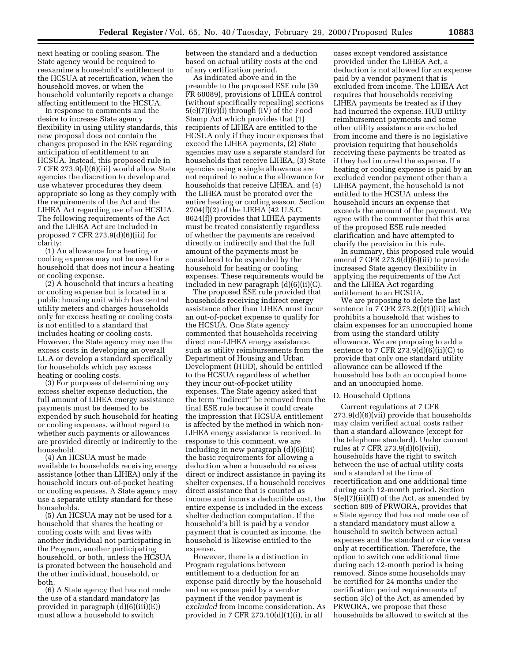next heating or cooling season. The State agency would be required to reexamine a household's entitlement to the HCSUA at recertification, when the household moves, or when the household voluntarily reports a change affecting entitlement to the HCSUA.

In response to comments and the desire to increase State agency flexibility in using utility standards, this new proposal does not contain the changes proposed in the ESE regarding anticipation of entitlement to an HCSUA. Instead, this proposed rule in 7 CFR 273.9(d)(6)(iii) would allow State agencies the discretion to develop and use whatever procedures they deem appropriate so long as they comply with the requirements of the Act and the LIHEA Act regarding use of an HCSUA. The following requirements of the Act and the LIHEA Act are included in proposed 7 CFR 273.9(d)(6)(iii) for clarity:

(1) An allowance for a heating or cooling expense may not be used for a household that does not incur a heating or cooling expense.

(2) A household that incurs a heating or cooling expense but is located in a public housing unit which has central utility meters and charges households only for excess heating or cooling costs is not entitled to a standard that includes heating or cooling costs. However, the State agency may use the excess costs in developing an overall LUA or develop a standard specifically for households which pay excess heating or cooling costs.

(3) For purposes of determining any excess shelter expense deduction, the full amount of LIHEA energy assistance payments must be deemed to be expended by such household for heating or cooling expenses, without regard to whether such payments or allowances are provided directly or indirectly to the household.

(4) An HCSUA must be made available to households receiving energy assistance (other than LIHEA) only if the household incurs out-of-pocket heating or cooling expenses. A State agency may use a separate utility standard for these households.

(5) An HCSUA may not be used for a household that shares the heating or cooling costs with and lives with another individual not participating in the Program, another participating household, or both, unless the HCSUA is prorated between the household and the other individual, household, or both.

(6) A State agency that has not made the use of a standard mandatory (as provided in paragraph (d)(6)(iii)(E)) must allow a household to switch

between the standard and a deduction based on actual utility costs at the end of any certification period.

As indicated above and in the preamble to the proposed ESE rule (59 FR 60089), provisions of LIHEA control (without specifically repealing) sections 5(e)(7)(iv)(I) through (IV) of the Food Stamp Act which provides that (1) recipients of LIHEA are entitled to the HCSUA only if they incur expenses that exceed the LIHEA payments, (2) State agencies may use a separate standard for households that receive LIHEA, (3) State agencies using a single allowance are not required to reduce the allowance for households that receive LIHEA, and (4) the LIHEA must be prorated over the entire heating or cooling season. Section 2704(f)(2) of the LIEHA (42 U.S.C. 8624(f)) provides that LIHEA payments must be treated consistently regardless of whether the payments are received directly or indirectly and that the full amount of the payments must be considered to be expended by the household for heating or cooling expenses. These requirements would be included in new paragraph (d)(6)(ii)(C).

The proposed ESE rule provided that households receiving indirect energy assistance other than LIHEA must incur an out-of-pocket expense to qualify for the HCSUA. One State agency commented that households receiving direct non-LIHEA energy assistance, such as utility reimbursements from the Department of Housing and Urban Development (HUD), should be entitled to the HCSUA regardless of whether they incur out-of-pocket utility expenses. The State agency asked that the term ''indirect'' be removed from the final ESE rule because it could create the impression that HCSUA entitlement is affected by the method in which non-LIHEA energy assistance is received. In response to this comment, we are including in new paragraph (d)(6)(iii) the basic requirements for allowing a deduction when a household receives direct or indirect assistance in paying its shelter expenses. If a household receives direct assistance that is counted as income and incurs a deductible cost, the entire expense is included in the excess shelter deduction computation. If the household's bill is paid by a vendor payment that is counted as income, the household is likewise entitled to the expense.

However, there is a distinction in Program regulations between entitlement to a deduction for an expense paid directly by the household and an expense paid by a vendor payment if the vendor payment is *excluded* from income consideration. As provided in 7 CFR 273.10(d)(1)(i), in all

cases except vendored assistance provided under the LIHEA Act, a deduction is not allowed for an expense paid by a vendor payment that is excluded from income. The LIHEA Act requires that households receiving LIHEA payments be treated as if they had incurred the expense. HUD utility reimbursement payments and some other utility assistance are excluded from income and there is no legislative provision requiring that households receiving these payments be treated as if they had incurred the expense. If a heating or cooling expense is paid by an excluded vendor payment other than a LIHEA payment, the household is not entitled to the HCSUA unless the household incurs an expense that exceeds the amount of the payment. We agree with the commenter that this area of the proposed ESE rule needed clarification and have attempted to clarify the provision in this rule.

In summary, this proposed rule would amend 7 CFR 273.9(d)(6)(iii) to provide increased State agency flexibility in applying the requirements of the Act and the LIHEA Act regarding entitlement to an HCSUA.

We are proposing to delete the last sentence in 7 CFR 273.2(f)(1)(iii) which prohibits a household that wishes to claim expenses for an unoccupied home from using the standard utility allowance. We are proposing to add a sentence to 7 CFR  $273.9(d)(6)(ii)(C)$  to provide that only one standard utility allowance can be allowed if the household has both an occupied home and an unoccupied home.

# D. Household Options

Current regulations at 7 CFR 273.9(d)(6)(vii) provide that households may claim verified actual costs rather than a standard allowance (except for the telephone standard). Under current rules at 7 CFR 273.9(d)(6)(viii), households have the right to switch between the use of actual utility costs and a standard at the time of recertification and one additional time during each 12-month period. Section 5(e)(7)(iii)(II) of the Act, as amended by section 809 of PRWORA, provides that a State agency that has not made use of a standard mandatory must allow a household to switch between actual expenses and the standard or vice versa only at recertification. Therefore, the option to switch one additional time during each 12-month period is being removed. Since some households may be certified for 24 months under the certification period requirements of section 3(c) of the Act, as amended by PRWORA, we propose that these households be allowed to switch at the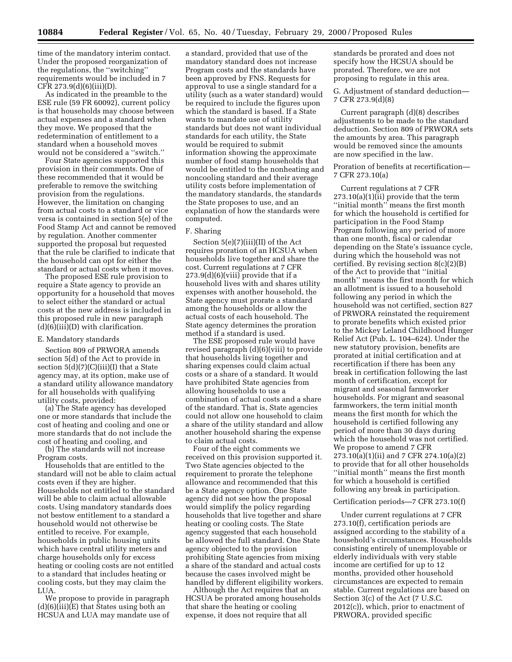time of the mandatory interim contact. Under the proposed reorganization of the regulations, the ''switching'' requirements would be included in 7  $CFR 273.9(d)(6)(iii)(D).$ 

As indicated in the preamble to the ESE rule (59 FR 60092), current policy is that households may choose between actual expenses and a standard when they move. We proposed that the redetermination of entitlement to a standard when a household moves would not be considered a ''switch.''

Four State agencies supported this provision in their comments. One of these recommended that it would be preferable to remove the switching provision from the regulations. However, the limitation on changing from actual costs to a standard or vice versa is contained in section 5(e) of the Food Stamp Act and cannot be removed by regulation. Another commenter supported the proposal but requested that the rule be clarified to indicate that the household can opt for either the standard or actual costs when it moves.

The proposed ESE rule provision to require a State agency to provide an opportunity for a household that moves to select either the standard or actual costs at the new address is included in this proposed rule in new paragraph (d)(6)(iii)(D) with clarification.

#### E. Mandatory standards

Section 809 of PRWORA amends section 5(d) of the Act to provide in section 5(d)(7)(C)(iii)(I) that a State agency may, at its option, make use of a standard utility allowance mandatory for all households with qualifying utility costs, provided:

(a) The State agency has developed one or more standards that include the cost of heating and cooling and one or more standards that do not include the cost of heating and cooling, and

(b) The standards will not increase Program costs.

Households that are entitled to the standard will not be able to claim actual costs even if they are higher. Households not entitled to the standard will be able to claim actual allowable costs. Using mandatory standards does not bestow entitlement to a standard a household would not otherwise be entitled to receive. For example, households in public housing units which have central utility meters and charge households only for excess heating or cooling costs are not entitled to a standard that includes heating or cooling costs, but they may claim the LUA.

We propose to provide in paragraph (d)(6)(iii)(E) that States using both an HCSUA and LUA may mandate use of a standard, provided that use of the mandatory standard does not increase Program costs and the standards have been approved by FNS. Requests for approval to use a single standard for a utility (such as a water standard) would be required to include the figures upon which the standard is based. If a State wants to mandate use of utility standards but does not want individual standards for each utility, the State would be required to submit information showing the approximate number of food stamp households that would be entitled to the nonheating and noncooling standard and their average utility costs before implementation of the mandatory standards, the standards the State proposes to use, and an explanation of how the standards were computed.

#### F. Sharing

Section 5(e)(7)(iii)(II) of the Act requires proration of an HCSUA when households live together and share the cost. Current regulations at 7 CFR  $273.9(d)(6)(viii)$  provide that if a household lives with and shares utility expenses with another household, the State agency must prorate a standard among the households or allow the actual costs of each household. The State agency determines the proration method if a standard is used.

The ESE proposed rule would have revised paragraph (d)(6)(viii) to provide that households living together and sharing expenses could claim actual costs or a share of a standard. It would have prohibited State agencies from allowing households to use a combination of actual costs and a share of the standard. That is, State agencies could not allow one household to claim a share of the utility standard and allow another household sharing the expense to claim actual costs.

Four of the eight comments we received on this provision supported it. Two State agencies objected to the requirement to prorate the telephone allowance and recommended that this be a State agency option. One State agency did not see how the proposal would simplify the policy regarding households that live together and share heating or cooling costs. The State agency suggested that each household be allowed the full standard. One State agency objected to the provision prohibiting State agencies from mixing a share of the standard and actual costs because the cases involved might be handled by different eligibility workers.

Although the Act requires that an HCSUA be prorated among households that share the heating or cooling expense, it does not require that all

standards be prorated and does not specify how the HCSUA should be prorated. Therefore, we are not proposing to regulate in this area.

G. Adjustment of standard deduction— 7 CFR 273.9(d)(8)

Current paragraph (d)(8) describes adjustments to be made to the standard deduction. Section 809 of PRWORA sets the amounts by area. This paragraph would be removed since the amounts are now specified in the law.

Proration of benefits at recertification— 7 CFR 273.10(a)

Current regulations at 7 CFR 273.10(a)(1)(ii) provide that the term ''initial month'' means the first month for which the household is certified for participation in the Food Stamp Program following any period of more than one month, fiscal or calendar depending on the State's issuance cycle, during which the household was not certified. By revising section 8(c)(2)(B) of the Act to provide that ''initial month'' means the first month for which an allotment is issued to a household following any period in which the household was not certified, section 827 of PRWORA reinstated the requirement to prorate benefits which existed prior to the Mickey Leland Childhood Hunger Relief Act (Pub. L. 104–624). Under the new statutory provision, benefits are prorated at initial certification and at recertification if there has been any break in certification following the last month of certification, except for migrant and seasonal farmworker households. For migrant and seasonal farmworkers, the term initial month means the first month for which the household is certified following any period of more than 30 days during which the household was not certified. We propose to amend 7 CFR 273.10(a)(1)(ii) and 7 CFR 274.10(a)(2) to provide that for all other households ''initial month'' means the first month for which a household is certified following any break in participation.

# Certification periods—7 CFR 273.10(f)

Under current regulations at 7 CFR 273.10(f), certification periods are assigned according to the stability of a household's circumstances. Households consisting entirely of unemployable or elderly individuals with very stable income are certified for up to 12 months, provided other household circumstances are expected to remain stable. Current regulations are based on Section 3(c) of the Act (7 U.S.C. 2012(c)), which, prior to enactment of PRWORA, provided specific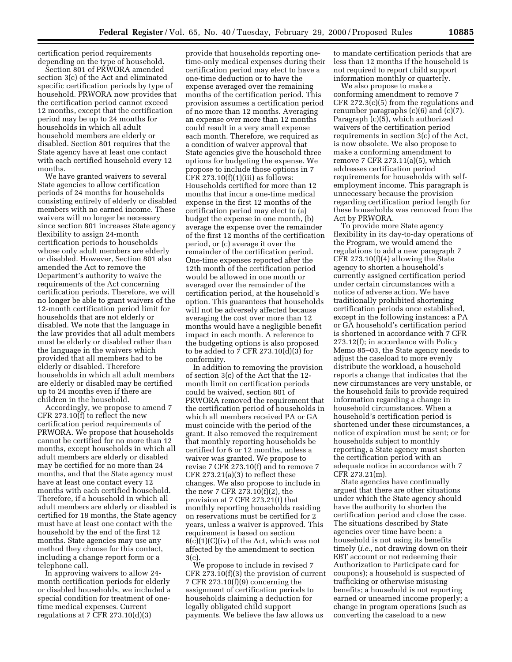certification period requirements depending on the type of household.

Section 801 of PRWORA amended section 3(c) of the Act and eliminated specific certification periods by type of household. PRWORA now provides that the certification period cannot exceed 12 months, except that the certification period may be up to 24 months for households in which all adult household members are elderly or disabled. Section 801 requires that the State agency have at least one contact with each certified household every 12 months.

We have granted waivers to several State agencies to allow certification periods of 24 months for households consisting entirely of elderly or disabled members with no earned income. These waivers will no longer be necessary since section 801 increases State agency flexibility to assign 24-month certification periods to households whose only adult members are elderly or disabled. However, Section 801 also amended the Act to remove the Department's authority to waive the requirements of the Act concerning certification periods. Therefore, we will no longer be able to grant waivers of the 12-month certification period limit for households that are not elderly or disabled. We note that the language in the law provides that all adult members must be elderly or disabled rather than the language in the waivers which provided that all members had to be elderly or disabled. Therefore households in which all adult members are elderly or disabled may be certified up to 24 months even if there are children in the household.

Accordingly, we propose to amend 7 CFR 273.10(f) to reflect the new certification period requirements of PRWORA. We propose that households cannot be certified for no more than 12 months, except households in which all adult members are elderly or disabled may be certified for no more than 24 months, and that the State agency must have at least one contact every 12 months with each certified household. Therefore, if a household in which all adult members are elderly or disabled is certified for 18 months, the State agency must have at least one contact with the household by the end of the first 12 months. State agencies may use any method they choose for this contact, including a change report form or a telephone call.

In approving waivers to allow 24 month certification periods for elderly or disabled households, we included a special condition for treatment of onetime medical expenses. Current regulations at 7 CFR  $273.10(d)(3)$ 

provide that households reporting onetime-only medical expenses during their certification period may elect to have a one-time deduction or to have the expense averaged over the remaining months of the certification period. This provision assumes a certification period of no more than 12 months. Averaging an expense over more than 12 months could result in a very small expense each month. Therefore, we required as a condition of waiver approval that State agencies give the household three options for budgeting the expense. We propose to include those options in 7 CFR  $273.10(f)(1)(iii)$  as follows: Households certified for more than 12 months that incur a one-time medical expense in the first 12 months of the certification period may elect to (a) budget the expense in one month, (b) average the expense over the remainder of the first 12 months of the certification period, or (c) average it over the remainder of the certification period. One-time expenses reported after the 12th month of the certification period would be allowed in one month or averaged over the remainder of the certification period, at the household's option. This guarantees that households will not be adversely affected because averaging the cost over more than 12 months would have a negligible benefit impact in each month. A reference to the budgeting options is also proposed to be added to 7 CFR 273.10(d)(3) for conformity.

In addition to removing the provision of section 3(c) of the Act that the 12 month limit on certification periods could be waived, section 801 of PRWORA removed the requirement that the certification period of households in which all members received PA or GA must coincide with the period of the grant. It also removed the requirement that monthly reporting households be certified for 6 or 12 months, unless a waiver was granted. We propose to revise 7 CFR 273.10(f) and to remove 7 CFR 273.21(a)(3) to reflect these changes. We also propose to include in the new 7 CFR 273.10(f)(2), the provision at 7 CFR 273.21(t) that monthly reporting households residing on reservations must be certified for 2 years, unless a waiver is approved. This requirement is based on section  $6(c)(1)(C)(iv)$  of the Act, which was not affected by the amendment to section 3(c).

We propose to include in revised 7 CFR 273.10(f)(3) the provision of current 7 CFR 273.10(f)(9) concerning the assignment of certification periods to households claiming a deduction for legally obligated child support payments. We believe the law allows us

to mandate certification periods that are less than 12 months if the household is not required to report child support information monthly or quarterly.

We also propose to make a conforming amendment to remove 7 CFR 272.3(c)(5) from the regulations and renumber paragraphs (c)(6) and (c)(7). Paragraph (c)(5), which authorized waivers of the certification period requirements in section 3(c) of the Act, is now obsolete. We also propose to make a conforming amendment to remove 7 CFR 273.11(a)(5), which addresses certification period requirements for households with selfemployment income. This paragraph is unnecessary because the provision regarding certification period length for these households was removed from the Act by PRWORA.

To provide more State agency flexibility in its day-to-day operations of the Program, we would amend the regulations to add a new paragraph 7 CFR 273.10(f)(4) allowing the State agency to shorten a household's currently assigned certification period under certain circumstances with a notice of adverse action. We have traditionally prohibited shortening certification periods once established, except in the following instances: a PA or GA household's certification period is shortened in accordance with 7 CFR 273.12(f); in accordance with Policy Memo 85–03, the State agency needs to adjust the caseload to more evenly distribute the workload, a household reports a change that indicates that the new circumstances are very unstable, or the household fails to provide required information regarding a change in household circumstances. When a household's certification period is shortened under these circumstances, a notice of expiration must be sent; or for households subject to monthly reporting, a State agency must shorten the certification period with an adequate notice in accordance with 7 CFR 273.21(m).

State agencies have continually argued that there are other situations under which the State agency should have the authority to shorten the certification period and close the case. The situations described by State agencies over time have been: a household is not using its benefits timely (*i.e.,* not drawing down on their EBT account or not redeeming their Authorization to Participate card for coupons); a household is suspected of trafficking or otherwise misusing benefits; a household is not reporting earned or unearned income properly; a change in program operations (such as converting the caseload to a new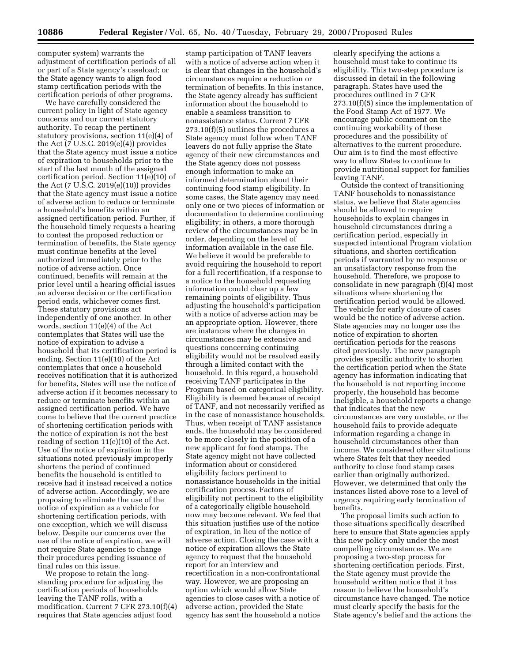computer system) warrants the adjustment of certification periods of all or part of a State agency's caseload; or the State agency wants to align food stamp certification periods with the certification periods of other programs.

We have carefully considered the current policy in light of State agency concerns and our current statutory authority. To recap the pertinent statutory provisions, section 11(e)(4) of the Act (7 U.S.C. 2019(e)(4)) provides that the State agency must issue a notice of expiration to households prior to the start of the last month of the assigned certification period. Section 11(e)(10) of the Act (7 U.S.C. 2019(e)(10)) provides that the State agency must issue a notice of adverse action to reduce or terminate a household's benefits within an assigned certification period. Further, if the household timely requests a hearing to contest the proposed reduction or termination of benefits, the State agency must continue benefits at the level authorized immediately prior to the notice of adverse action. Once continued, benefits will remain at the prior level until a hearing official issues an adverse decision or the certification period ends, whichever comes first. These statutory provisions act independently of one another. In other words, section 11(e)(4) of the Act contemplates that States will use the notice of expiration to advise a household that its certification period is ending. Section 11(e)(10) of the Act contemplates that once a household receives notification that it is authorized for benefits, States will use the notice of adverse action if it becomes necessary to reduce or terminate benefits within an assigned certification period. We have come to believe that the current practice of shortening certification periods with the notice of expiration is not the best reading of section 11(e)(10) of the Act. Use of the notice of expiration in the situations noted previously improperly shortens the period of continued benefits the household is entitled to receive had it instead received a notice of adverse action. Accordingly, we are proposing to eliminate the use of the notice of expiration as a vehicle for shortening certification periods, with one exception, which we will discuss below. Despite our concerns over the use of the notice of expiration, we will not require State agencies to change their procedures pending issuance of final rules on this issue.

We propose to retain the longstanding procedure for adjusting the certification periods of households leaving the TANF rolls, with a modification. Current 7 CFR 273.10(f)(4) requires that State agencies adjust food

stamp participation of TANF leavers with a notice of adverse action when it is clear that changes in the household's circumstances require a reduction or termination of benefits. In this instance, the State agency already has sufficient information about the household to enable a seamless transition to nonassistance status. Current 7 CFR 273.10(f)(5) outlines the procedures a State agency must follow when TANF leavers do not fully apprise the State agency of their new circumstances and the State agency does not possess enough information to make an informed determination about their continuing food stamp eligibility. In some cases, the State agency may need only one or two pieces of information or documentation to determine continuing eligibility; in others, a more thorough review of the circumstances may be in order, depending on the level of information available in the case file. We believe it would be preferable to avoid requiring the household to report for a full recertification, if a response to a notice to the household requesting information could clear up a few remaining points of eligibility. Thus adjusting the household's participation with a notice of adverse action may be an appropriate option. However, there are instances where the changes in circumstances may be extensive and questions concerning continuing eligibility would not be resolved easily through a limited contact with the household. In this regard, a household receiving TANF participates in the Program based on categorical eligibility. Eligibility is deemed because of receipt of TANF, and not necessarily verified as in the case of nonassistance households. Thus, when receipt of TANF assistance ends, the household may be considered to be more closely in the position of a new applicant for food stamps. The State agency might not have collected information about or considered eligibility factors pertinent to nonassistance households in the initial certification process. Factors of eligibility not pertinent to the eligibility of a categorically eligible household now may become relevant. We feel that this situation justifies use of the notice of expiration, in lieu of the notice of adverse action. Closing the case with a notice of expiration allows the State agency to request that the household report for an interview and recertification in a non-confrontational way. However, we are proposing an option which would allow State agencies to close cases with a notice of adverse action, provided the State agency has sent the household a notice

clearly specifying the actions a household must take to continue its eligibility. This two-step procedure is discussed in detail in the following paragraph. States have used the procedures outlined in 7 CFR 273.10(f)(5) since the implementation of the Food Stamp Act of 1977. We encourage public comment on the continuing workability of these procedures and the possibility of alternatives to the current procedure. Our aim is to find the most effective way to allow States to continue to provide nutritional support for families leaving TANF.

Outside the context of transitioning TANF households to nonassistance status, we believe that State agencies should be allowed to require households to explain changes in household circumstances during a certification period, especially in suspected intentional Program violation situations, and shorten certification periods if warranted by no response or an unsatisfactory response from the household. Therefore, we propose to consolidate in new paragraph (f)(4) most situations where shortening the certification period would be allowed. The vehicle for early closure of cases would be the notice of adverse action. State agencies may no longer use the notice of expiration to shorten certification periods for the reasons cited previously. The new paragraph provides specific authority to shorten the certification period when the State agency has information indicating that the household is not reporting income properly, the household has become ineligible, a household reports a change that indicates that the new circumstances are very unstable, or the household fails to provide adequate information regarding a change in household circumstances other than income. We considered other situations where States felt that they needed authority to close food stamp cases earlier than originally authorized. However, we determined that only the instances listed above rose to a level of urgency requiring early termination of benefits.

The proposal limits such action to those situations specifically described here to ensure that State agencies apply this new policy only under the most compelling circumstances. We are proposing a two-step process for shortening certification periods. First, the State agency must provide the household written notice that it has reason to believe the household's circumstance have changed. The notice must clearly specify the basis for the State agency's belief and the actions the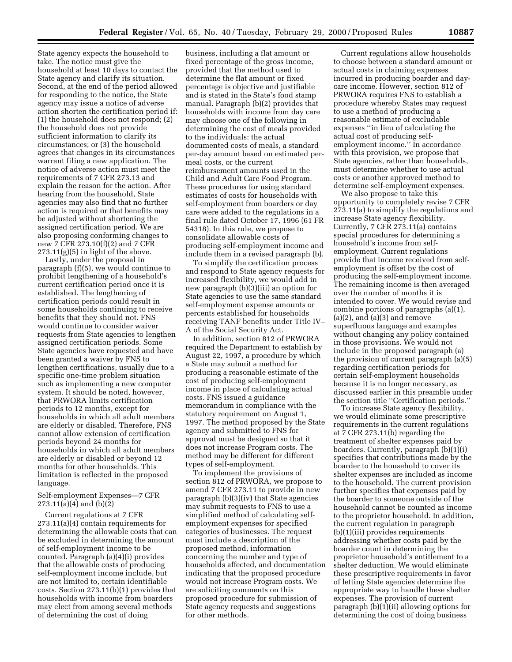State agency expects the household to take. The notice must give the household at least 10 days to contact the State agency and clarify its situation. Second, at the end of the period allowed for responding to the notice, the State agency may issue a notice of adverse action shorten the certification period if: (1) the household does not respond; (2) the household does not provide sufficient information to clarify its circumstances; or (3) the household agrees that changes in its circumstances warrant filing a new application. The notice of adverse action must meet the requirements of 7 CFR 273.13 and explain the reason for the action. After hearing from the household, State agencies may also find that no further action is required or that benefits may be adjusted without shortening the assigned certification period. We are also proposing conforming changes to new 7 CFR 273.10(f)(2) and 7 CFR 273.11(g)(5) in light of the above.

Lastly, under the proposal in paragraph (f)(5), we would continue to prohibit lengthening of a household's current certification period once it is established. The lengthening of certification periods could result in some households continuing to receive benefits that they should not. FNS would continue to consider waiver requests from State agencies to lengthen assigned certification periods. Some State agencies have requested and have been granted a waiver by FNS to lengthen certifications, usually due to a specific one-time problem situation such as implementing a new computer system. It should be noted, however, that PRWORA limits certification periods to 12 months, except for households in which all adult members are elderly or disabled. Therefore, FNS cannot allow extension of certification periods beyond 24 months for households in which all adult members are elderly or disabled or beyond 12 months for other households. This limitation is reflected in the proposed language.

# Self-employment Expenses—7 CFR 273.11(a)(4) and (b)(2)

Current regulations at 7 CFR 273.11(a)(4) contain requirements for determining the allowable costs that can be excluded in determining the amount of self-employment income to be counted. Paragraph (a)(4)(i) provides that the allowable costs of producing self-employment income include, but are not limited to, certain identifiable costs. Section 273.11(b)(1) provides that households with income from boarders may elect from among several methods of determining the cost of doing

business, including a flat amount or fixed percentage of the gross income, provided that the method used to determine the flat amount or fixed percentage is objective and justifiable and is stated in the State's food stamp manual. Paragraph (b)(2) provides that households with income from day care may choose one of the following in determining the cost of meals provided to the individuals: the actual documented costs of meals, a standard per-day amount based on estimated permeal costs, or the current reimbursement amounts used in the Child and Adult Care Food Program. These procedures for using standard estimates of costs for households with self-employment from boarders or day care were added to the regulations in a final rule dated October 17, 1996 (61 FR 54318). In this rule, we propose to consolidate allowable costs of producing self-employment income and include them in a revised paragraph (b).

To simplify the certification process and respond to State agency requests for increased flexibility, we would add in new paragraph (b)(3)(iii) an option for State agencies to use the same standard self-employment expense amounts or percents established for households receiving TANF benefits under Title IV– A of the Social Security Act.

In addition, section 812 of PRWORA required the Department to establish by August 22, 1997, a procedure by which a State may submit a method for producing a reasonable estimate of the cost of producing self-employment income in place of calculating actual costs. FNS issued a guidance memorandum in compliance with the statutory requirement on August 1, 1997. The method proposed by the State agency and submitted to FNS for approval must be designed so that it does not increase Program costs. The method may be different for different types of self-employment.

To implement the provisions of section 812 of PRWORA, we propose to amend 7 CFR 273.11 to provide in new paragraph (b)(3)(iv) that State agencies may submit requests to FNS to use a simplified method of calculating selfemployment expenses for specified categories of businesses. The request must include a description of the proposed method, information concerning the number and type of households affected, and documentation indicating that the proposed procedure would not increase Program costs. We are soliciting comments on this proposed procedure for submission of State agency requests and suggestions for other methods.

Current regulations allow households to choose between a standard amount or actual costs in claiming expenses incurred in producing boarder and daycare income. However, section 812 of PRWORA requires FNS to establish a procedure whereby States may request to use a method of producing a reasonable estimate of excludable expenses ''in lieu of calculating the actual cost of producing selfemployment income.'' In accordance with this provision, we propose that State agencies, rather than households, must determine whether to use actual costs or another approved method to determine self-employment expenses.

We also propose to take this opportunity to completely revise 7 CFR 273.11(a) to simplify the regulations and increase State agency flexibility. Currently, 7 CFR 273.11(a) contains special procedures for determining a household's income from selfemployment. Current regulations provide that income received from selfemployment is offset by the cost of producing the self-employment income. The remaining income is then averaged over the number of months it is intended to cover. We would revise and combine portions of paragraphs (a)(1),  $(a)(2)$ , and  $(a)(3)$  and remove superfluous language and examples without changing any policy contained in those provisions. We would not include in the proposed paragraph (a) the provision of current paragraph (a)(5) regarding certification periods for certain self-employment households because it is no longer necessary, as discussed earlier in this preamble under the section title ''Certification periods.''

To increase State agency flexibility, we would eliminate some prescriptive requirements in the current regulations at 7 CFR 273.11(b) regarding the treatment of shelter expenses paid by boarders. Currently, paragraph (b)(1)(i) specifies that contributions made by the boarder to the household to cover its shelter expenses are included as income to the household. The current provision further specifies that expenses paid by the boarder to someone outside of the household cannot be counted as income to the proprietor household. In addition, the current regulation in paragraph (b)(1)(iii) provides requirements addressing whether costs paid by the boarder count in determining the proprietor household's entitlement to a shelter deduction. We would eliminate these prescriptive requirements in favor of letting State agencies determine the appropriate way to handle these shelter expenses. The provision of current paragraph (b)(1)(ii) allowing options for determining the cost of doing business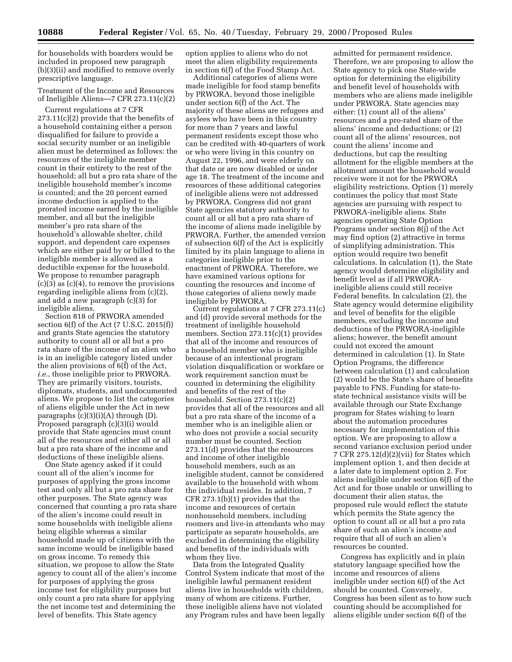for households with boarders would be included in proposed new paragraph (b)(3)(ii) and modified to remove overly prescriptive language.

Treatment of the Income and Resources of Ineligible Aliens—7 CFR 273.11(c)(2)

Current regulations at 7 CFR 273.11(c)(2) provide that the benefits of a household containing either a person disqualified for failure to provide a social security number or an ineligible alien must be determined as follows: the resources of the ineligible member count in their entirety to the rest of the household; all but a pro rata share of the ineligible household member's income is counted; and the 20 percent earned income deduction is applied to the prorated income earned by the ineligible member, and all but the ineligible member's pro rata share of the household's allowable shelter, child support, and dependent care expenses which are either paid by or billed to the ineligible member is allowed as a deductible expense for the household. We propose to renumber paragraph  $(c)(3)$  as  $(c)(4)$ , to remove the provisions regarding ineligible aliens from (c)(2), and add a new paragraph (c)(3) for ineligible aliens.

Section 818 of PRWORA amended section 6(f) of the Act (7 U.S.C. 2015(f)) and grants State agencies the statutory authority to count all or all but a pro rata share of the income of an alien who is in an ineligible category listed under the alien provisions of 6(f) of the Act, *i.e.*, those ineligible prior to PRWORA. They are primarily visitors, tourists, diplomats, students, and undocumented aliens. We propose to list the categories of aliens eligible under the Act in new paragraphs (c)(3)(i)(A) through (D). Proposed paragraph (c)(3)(i) would provide that State agencies must count all of the resources and either all or all but a pro rata share of the income and deductions of these ineligible aliens.

One State agency asked if it could count all of the alien's income for purposes of applying the gross income test and only all but a pro rata share for other purposes. The State agency was concerned that counting a pro rata share of the alien's income could result in some households with ineligible aliens being eligible whereas a similar household made up of citizens with the same income would be ineligible based on gross income. To remedy this situation, we propose to allow the State agency to count all of the alien's income for purposes of applying the gross income test for eligibility purposes but only count a pro rata share for applying the net income test and determining the level of benefits. This State agency

option applies to aliens who do not meet the alien eligibility requirements in section 6(f) of the Food Stamp Act.

Additional categories of aliens were made ineligible for food stamp benefits by PRWORA, beyond those ineligible under section 6(f) of the Act. The majority of these aliens are refugees and asylees who have been in this country for more than 7 years and lawful permanent residents except those who can be credited with 40-quarters of work or who were living in this country on August 22, 1996, and were elderly on that date or are now disabled or under age 18. The treatment of the income and resources of these additional categories of ineligible aliens were not addressed by PRWORA. Congress did not grant State agencies statutory authority to count all or all but a pro rata share of the income of aliens made ineligible by PRWORA. Further, the amended version of subsection 6(f) of the Act is explicitly limited by its plain language to aliens in categories ineligible prior to the enactment of PRWORA. Therefore, we have examined various options for counting the resources and income of those categories of aliens newly made ineligible by PRWORA.

Current regulations at 7 CFR 273.11(c) and (d) provide several methods for the treatment of ineligible household members. Section 273.11(c)(1) provides that all of the income and resources of a household member who is ineligible because of an intentional program violation disqualification or workfare or work requirement sanction must be counted in determining the eligibility and benefits of the rest of the household. Section 273.11(c)(2) provides that all of the resources and all but a pro rata share of the income of a member who is an ineligible alien or who does not provide a social security number must be counted. Section 273.11(d) provides that the resources and income of other ineligible household members, such as an ineligible student, cannot be considered available to the household with whom the individual resides. In addition, 7 CFR 273.1(b)(1) provides that the income and resources of certain nonhousehold members, including roomers and live-in attendants who may participate as separate households, are excluded in determining the eligibility and benefits of the individuals with whom they live.

Data from the Integrated Quality Control System indicate that most of the ineligible lawful permanent resident aliens live in households with children, many of whom are citizens. Further, these ineligible aliens have not violated any Program rules and have been legally

admitted for permanent residence. Therefore, we are proposing to allow the State agency to pick one State-wide option for determining the eligibility and benefit level of households with members who are aliens made ineligible under PRWORA. State agencies may either: (1) count all of the aliens' resources and a pro-rated share of the aliens' income and deductions; or (2) count all of the aliens' resources, not count the aliens' income and deductions, but cap the resulting allotment for the eligible members at the allotment amount the household would receive were it not for the PRWORA eligibility restrictions. Option (1) merely continues the policy that most State agencies are pursuing with respect to PRWORA-ineligible aliens. State agencies operating State Option Programs under section 8(j) of the Act may find option (2) attractive in terms of simplifying administration. This option would require two benefit calculations. In calculation (1), the State agency would determine eligibility and benefit level as if all PRWORAineligible aliens could still receive Federal benefits. In calculation (2), the State agency would determine eligibility and level of benefits for the eligible members, excluding the income and deductions of the PRWORA-ineligible aliens; however, the benefit amount could not exceed the amount determined in calculation (1). In State Option Programs, the difference between calculation (1) and calculation (2) would be the State's share of benefits payable to FNS. Funding for state-tostate technical assistance visits will be available through our State Exchange program for States wishing to learn about the automation procedures necessary for implementation of this option. We are proposing to allow a second variance exclusion period under 7 CFR 275.12(d)(2)(vii) for States which implement option 1, and then decide at a later date to implement option 2. For aliens ineligible under section 6(f) of the Act and for those unable or unwilling to document their alien status, the proposed rule would reflect the statute which permits the State agency the option to count all or all but a pro rata share of such an alien's income and require that all of such an alien's resources be counted.

Congress has explicitly and in plain statutory language specified how the income and resources of aliens ineligible under section 6(f) of the Act should be counted. Conversely, Congress has been silent as to how such counting should be accomplished for aliens eligible under section 6(f) of the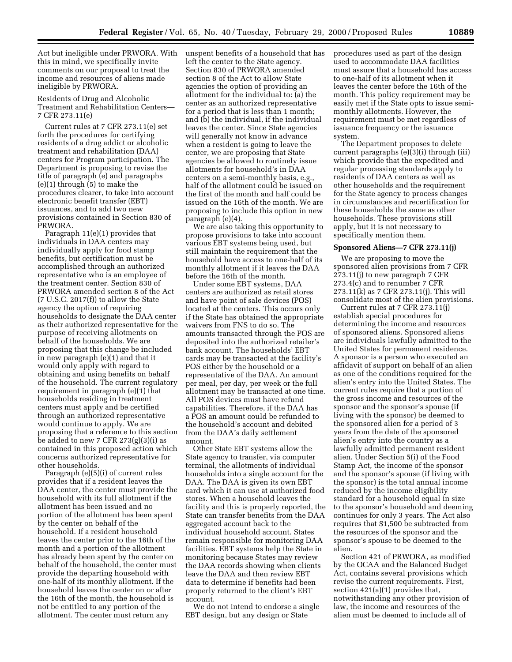Act but ineligible under PRWORA. With this in mind, we specifically invite comments on our proposal to treat the income and resources of aliens made ineligible by PRWORA.

Residents of Drug and Alcoholic Treatment and Rehabilitation Centers— 7 CFR 273.11(e)

Current rules at 7 CFR 273.11(e) set forth the procedures for certifying residents of a drug addict or alcoholic treatment and rehabilitation (DAA) centers for Program participation. The Department is proposing to revise the title of paragraph (e) and paragraphs (e)(1) through (5) to make the procedures clearer, to take into account electronic benefit transfer (EBT) issuances, and to add two new provisions contained in Section 830 of PRWORA.

Paragraph 11(e)(1) provides that individuals in DAA centers may individually apply for food stamp benefits, but certification must be accomplished through an authorized representative who is an employee of the treatment center. Section 830 of PRWORA amended section 8 of the Act  $(7 \text{ U.S.C. } 2017(f))$  to allow the State agency the option of requiring households to designate the DAA center as their authorized representative for the purpose of receiving allotments on behalf of the households. We are proposing that this change be included in new paragraph (e)(1) and that it would only apply with regard to obtaining and using benefits on behalf of the household. The current regulatory requirement in paragraph (e)(1) that households residing in treatment centers must apply and be certified through an authorized representative would continue to apply. We are proposing that a reference to this section be added to new 7 CFR 273(g)(3)(i) as contained in this proposed action which concerns authorized representative for other households.

Paragraph (e)(5)(i) of current rules provides that if a resident leaves the DAA center, the center must provide the household with its full allotment if the allotment has been issued and no portion of the allotment has been spent by the center on behalf of the household. If a resident household leaves the center prior to the 16th of the month and a portion of the allotment has already been spent by the center on behalf of the household, the center must provide the departing household with one-half of its monthly allotment. If the household leaves the center on or after the 16th of the month, the household is not be entitled to any portion of the allotment. The center must return any

unspent benefits of a household that has left the center to the State agency. Section 830 of PRWORA amended section 8 of the Act to allow State agencies the option of providing an allotment for the individual to: (a) the center as an authorized representative for a period that is less than 1 month; and (b) the individual, if the individual leaves the center. Since State agencies will generally not know in advance when a resident is going to leave the center, we are proposing that State agencies be allowed to routinely issue allotments for household's in DAA centers on a semi-monthly basis, e.g., half of the allotment could be issued on the first of the month and half could be issued on the 16th of the month. We are proposing to include this option in new paragraph (e)(4).

We are also taking this opportunity to propose provisions to take into account various EBT systems being used, but still maintain the requirement that the household have access to one-half of its monthly allotment if it leaves the DAA before the 16th of the month.

Under some EBT systems, DAA centers are authorized as retail stores and have point of sale devices (POS) located at the centers. This occurs only if the State has obtained the appropriate waivers from FNS to do so. The amounts transacted through the POS are deposited into the authorized retailer's bank account. The households' EBT cards may be transacted at the facility's POS either by the household or a representative of the DAA. An amount per meal, per day, per week or the full allotment may be transacted at one time. All POS devices must have refund capabilities. Therefore, if the DAA has a POS an amount could be refunded to the household's account and debited from the DAA's daily settlement amount.

Other State EBT systems allow the State agency to transfer, via computer terminal, the allotments of individual households into a single account for the DAA. The DAA is given its own EBT card which it can use at authorized food stores. When a household leaves the facility and this is properly reported, the State can transfer benefits from the DAA aggregated account back to the individual household account. States remain responsible for monitoring DAA facilities. EBT systems help the State in monitoring because States may review the DAA records showing when clients leave the DAA and then review EBT data to determine if benefits had been properly returned to the client's EBT account.

We do not intend to endorse a single EBT design, but any design or State

procedures used as part of the design used to accommodate DAA facilities must assure that a household has access to one-half of its allotment when it leaves the center before the 16th of the month. This policy requirement may be easily met if the State opts to issue semimonthly allotments. However, the requirement must be met regardless of issuance frequency or the issuance system.

The Department proposes to delete current paragraphs (e)(3)(i) through (iii) which provide that the expedited and regular processing standards apply to residents of DAA centers as well as other households and the requirement for the State agency to process changes in circumstances and recertification for these households the same as other households. These provisions still apply, but it is not necessary to specifically mention them.

# **Sponsored Aliens—7 CFR 273.11(j)**

We are proposing to move the sponsored alien provisions from 7 CFR 273.11(j) to new paragraph 7 CFR 273.4(c) and to renumber 7 CFR 273.11(k) as 7 CFR 273.11(j). This will consolidate most of the alien provisions.

Current rules at 7 CFR 273.11(j) establish special procedures for determining the income and resources of sponsored aliens. Sponsored aliens are individuals lawfully admitted to the United States for permanent residence. A sponsor is a person who executed an affidavit of support on behalf of an alien as one of the conditions required for the alien's entry into the United States. The current rules require that a portion of the gross income and resources of the sponsor and the sponsor's spouse (if living with the sponsor) be deemed to the sponsored alien for a period of 3 years from the date of the sponsored alien's entry into the country as a lawfully admitted permanent resident alien. Under Section 5(i) of the Food Stamp Act, the income of the sponsor and the sponsor's spouse (if living with the sponsor) is the total annual income reduced by the income eligibility standard for a household equal in size to the sponsor's household and deeming continues for only 3 years. The Act also requires that \$1,500 be subtracted from the resources of the sponsor and the sponsor's spouse to be deemed to the alien.

Section 421 of PRWORA, as modified by the OCAA and the Balanced Budget Act, contains several provisions which revise the current requirements. First, section 421(a)(1) provides that, notwithstanding any other provision of law, the income and resources of the alien must be deemed to include all of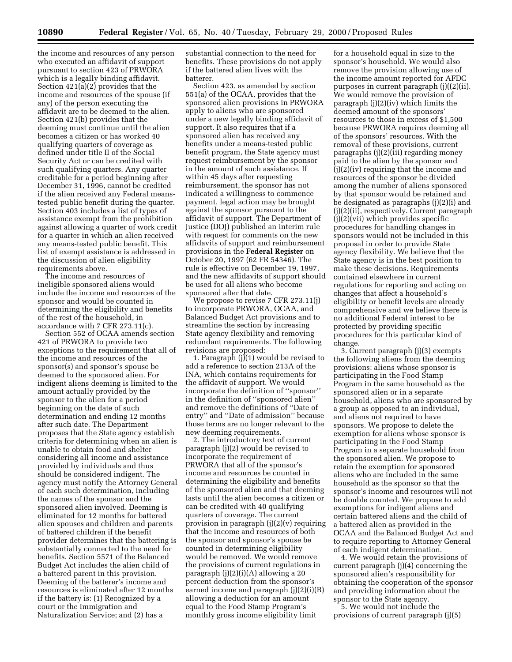the income and resources of any person who executed an affidavit of support pursuant to section 423 of PRWORA which is a legally binding affidavit. Section 421(a)(2) provides that the income and resources of the spouse (if any) of the person executing the affidavit are to be deemed to the alien. Section 421(b) provides that the deeming must continue until the alien becomes a citizen or has worked 40 qualifying quarters of coverage as defined under title II of the Social Security Act or can be credited with such qualifying quarters. Any quarter creditable for a period beginning after December 31, 1996, cannot be credited if the alien received any Federal meanstested public benefit during the quarter. Section 403 includes a list of types of assistance exempt from the prohibition against allowing a quarter of work credit for a quarter in which an alien received any means-tested public benefit. This list of exempt assistance is addressed in the discussion of alien eligibility requirements above.

The income and resources of ineligible sponsored aliens would include the income and resources of the sponsor and would be counted in determining the eligibility and benefits of the rest of the household, in accordance with 7 CFR 273.11(c).

Section 552 of OCAA amends section 421 of PRWORA to provide two exceptions to the requirement that all of the income and resources of the sponsor(s) and sponsor's spouse be deemed to the sponsored alien. For indigent aliens deeming is limited to the amount actually provided by the sponsor to the alien for a period beginning on the date of such determination and ending 12 months after such date. The Department proposes that the State agency establish criteria for determining when an alien is unable to obtain food and shelter considering all income and assistance provided by individuals and thus should be considered indigent. The agency must notify the Attorney General of each such determination, including the names of the sponsor and the sponsored alien involved. Deeming is eliminated for 12 months for battered alien spouses and children and parents of battered children if the benefit provider determines that the battering is substantially connected to the need for benefits. Section 5571 of the Balanced Budget Act includes the alien child of a battered parent in this provision. Deeming of the batterer's income and resources is eliminated after 12 months if the battery is: (1) Recognized by a court or the Immigration and Naturalization Service; and (2) has a

substantial connection to the need for benefits. These provisions do not apply if the battered alien lives with the batterer.

Section 423, as amended by section 551(a) of the OCAA, provides that the sponsored alien provisions in PRWORA apply to aliens who are sponsored under a new legally binding affidavit of support. It also requires that if a sponsored alien has received any benefits under a means-tested public benefit program, the State agency must request reimbursement by the sponsor in the amount of such assistance. If within 45 days after requesting reimbursement, the sponsor has not indicated a willingness to commence payment, legal action may be brought against the sponsor pursuant to the affidavit of support. The Department of Justice (DOJ) published an interim rule with request for comments on the new affidavits of support and reimbursement provisions in the **Federal Register** on October 20, 1997 (62 FR 54346). The rule is effective on December 19, 1997, and the new affidavits of support should be used for all aliens who become sponsored after that date.

We propose to revise 7 CFR 273.11(j) to incorporate PRWORA, OCAA, and Balanced Budget Act provisions and to streamline the section by increasing State agency flexibility and removing redundant requirements. The following revisions are proposed:

1. Paragraph  $(j)(1)$  would be revised to add a reference to section 213A of the INA, which contains requirements for the affidavit of support. We would incorporate the definition of ''sponsor'' in the definition of ''sponsored alien'' and remove the definitions of ''Date of entry'' and ''Date of admission'' because those terms are no longer relevant to the new deeming requirements.

2. The introductory text of current paragraph (j)(2) would be revised to incorporate the requirement of PRWORA that all of the sponsor's income and resources be counted in determining the eligibility and benefits of the sponsored alien and that deeming lasts until the alien becomes a citizen or can be credited with 40 qualifying quarters of coverage. The current provision in paragraph (j)(2)(v) requiring that the income and resources of both the sponsor and sponsor's spouse be counted in determining eligibility would be removed. We would remove the provisions of current regulations in paragraph (j)(2)(i)(A) allowing a 20 percent deduction from the sponsor's earned income and paragraph (j)(2)(i)(B) allowing a deduction for an amount equal to the Food Stamp Program's monthly gross income eligibility limit

for a household equal in size to the sponsor's household. We would also remove the provision allowing use of the income amount reported for AFDC purposes in current paragraph (j)((2)(ii). We would remove the provision of paragraph (j)(2)(iv) which limits the deemed amount of the sponsors' resources to those in excess of \$1,500 because PRWORA requires deeming all of the sponsors' resources. With the removal of these provisions, current paragraphs (j)(2)(iii) regarding money paid to the alien by the sponsor and (j)(2)(iv) requiring that the income and resources of the sponsor be divided among the number of aliens sponsored by that sponsor would be retained and be designated as paragraphs (j)(2)(i) and (j)(2)(ii), respectively. Current paragraph (j)(2)(vii) which provides specific procedures for handling changes in sponsors would not be included in this proposal in order to provide State agency flexibility. We believe that the State agency is in the best position to make these decisions. Requirements contained elsewhere in current regulations for reporting and acting on changes that affect a household's eligibility or benefit levels are already comprehensive and we believe there is no additional Federal interest to be protected by providing specific procedures for this particular kind of change.

3. Current paragraph (j)(3) exempts the following aliens from the deeming provisions: aliens whose sponsor is participating in the Food Stamp Program in the same household as the sponsored alien or in a separate household, aliens who are sponsored by a group as opposed to an individual, and aliens not required to have sponsors. We propose to delete the exemption for aliens whose sponsor is participating in the Food Stamp Program in a separate household from the sponsored alien. We propose to retain the exemption for sponsored aliens who are included in the same household as the sponsor so that the sponsor's income and resources will not be double counted. We propose to add exemptions for indigent aliens and certain battered aliens and the child of a battered alien as provided in the OCAA and the Balanced Budget Act and to require reporting to Attorney General of each indigent determination.

4. We would retain the provisions of current paragraph (j)(4) concerning the sponsored alien's responsibility for obtaining the cooperation of the sponsor and providing information about the sponsor to the State agency.

5. We would not include the provisions of current paragraph (j)(5)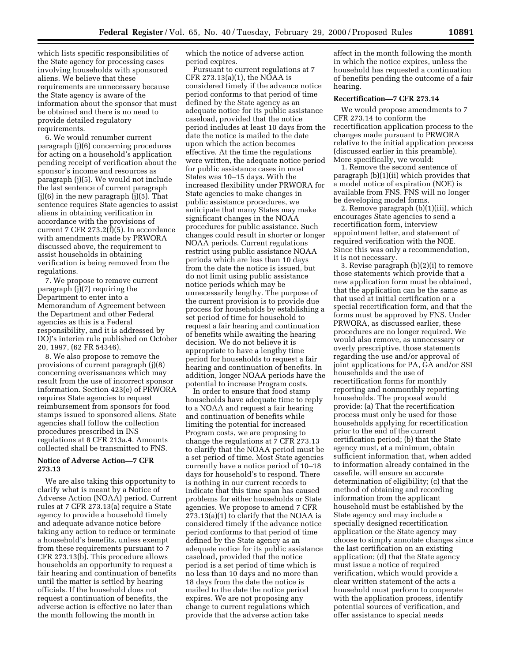which lists specific responsibilities of the State agency for processing cases involving households with sponsored aliens. We believe that these requirements are unnecessary because the State agency is aware of the information about the sponsor that must be obtained and there is no need to provide detailed regulatory requirements.

6. We would renumber current paragraph (j)(6) concerning procedures for acting on a household's application pending receipt of verification about the sponsor's income and resources as paragraph (j)(5). We would not include the last sentence of current paragraph  $(i)(6)$  in the new paragraph  $(i)(5)$ . That sentence requires State agencies to assist aliens in obtaining verification in accordance with the provisions of current 7 CFR 273.2(f)(5). In accordance with amendments made by PRWORA discussed above, the requirement to assist households in obtaining verification is being removed from the regulations.

7. We propose to remove current paragraph (j)(7) requiring the Department to enter into a Memorandum of Agreement between the Department and other Federal agencies as this is a Federal responsibility, and it is addressed by DOJ's interim rule published on October 20, 1997, (62 FR 54346).

8. We also propose to remove the provisions of current paragraph (j)(8) concerning overissuances which may result from the use of incorrect sponsor information. Section 423(e) of PRWORA requires State agencies to request reimbursement from sponsors for food stamps issued to sponsored aliens. State agencies shall follow the collection procedures prescribed in INS regulations at 8 CFR 213a.4. Amounts collected shall be transmitted to FNS.

# **Notice of Adverse Action—7 CFR 273.13**

We are also taking this opportunity to clarify what is meant by a Notice of Adverse Action (NOAA) period. Current rules at 7 CFR 273.13(a) require a State agency to provide a household timely and adequate advance notice before taking any action to reduce or terminate a household's benefits, unless exempt from these requirements pursuant to 7 CFR 273.13(b). This procedure allows households an opportunity to request a fair hearing and continuation of benefits until the matter is settled by hearing officials. If the household does not request a continuation of benefits, the adverse action is effective no later than the month following the month in

which the notice of adverse action period expires.

Pursuant to current regulations at 7 CFR 273.13(a)(1), the NOAA is considered timely if the advance notice period conforms to that period of time defined by the State agency as an adequate notice for its public assistance caseload, provided that the notice period includes at least 10 days from the date the notice is mailed to the date upon which the action becomes effective. At the time the regulations were written, the adequate notice period for public assistance cases in most States was 10–15 days. With the increased flexibility under PRWORA for State agencies to make changes in public assistance procedures, we anticipate that many States may make significant changes in the NOAA procedures for public assistance. Such changes could result in shorter or longer NOAA periods. Current regulations restrict using public assistance NOAA periods which are less than 10 days from the date the notice is issued, but do not limit using public assistance notice periods which may be unnecessarily lengthy. The purpose of the current provision is to provide due process for households by establishing a set period of time for household to request a fair hearing and continuation of benefits while awaiting the hearing decision. We do not believe it is appropriate to have a lengthy time period for households to request a fair hearing and continuation of benefits. In addition, longer NOAA periods have the potential to increase Program costs.

In order to ensure that food stamp households have adequate time to reply to a NOAA and request a fair hearing and continuation of benefits while limiting the potential for increased Program costs, we are proposing to change the regulations at 7 CFR 273.13 to clarify that the NOAA period must be a set period of time. Most State agencies currently have a notice period of 10–18 days for household's to respond. There is nothing in our current records to indicate that this time span has caused problems for either households or State agencies. We propose to amend 7 CFR 273.13(a)(1) to clarify that the NOAA is considered timely if the advance notice period conforms to that period of time defined by the State agency as an adequate notice for its public assistance caseload, provided that the notice period is a set period of time which is no less than 10 days and no more than 18 days from the date the notice is mailed to the date the notice period expires. We are not proposing any change to current regulations which provide that the adverse action take

affect in the month following the month in which the notice expires, unless the household has requested a continuation of benefits pending the outcome of a fair hearing.

# **Recertification—7 CFR 273.14**

We would propose amendments to 7 CFR 273.14 to conform the recertification application process to the changes made pursuant to PRWORA relative to the initial application process (discussed earlier in this preamble). More specifically, we would:

1. Remove the second sentence of paragraph (b)(1)(ii) which provides that a model notice of expiration (NOE) is available from FNS. FNS will no longer be developing model forms.

2. Remove paragraph (b)(1)(iii), which encourages State agencies to send a recertification form, interview appointment letter, and statement of required verification with the NOE. Since this was only a recommendation, it is not necessary.

3. Revise paragraph (b)(2)(i) to remove those statements which provide that a new application form must be obtained, that the application can be the same as that used at initial certification or a special recertification form, and that the forms must be approved by FNS. Under PRWORA, as discussed earlier, these procedures are no longer required. We would also remove, as unnecessary or overly prescriptive, those statements regarding the use and/or approval of joint applications for PA, GA and/or SSI households and the use of recertification forms for monthly reporting and nonmonthly reporting households. The proposal would provide: (a) That the recertification process must only be used for those households applying for recertification prior to the end of the current certification period; (b) that the State agency must, at a minimum, obtain sufficient information that, when added to information already contained in the casefile, will ensure an accurate determination of eligibility; (c) that the method of obtaining and recording information from the applicant household must be established by the State agency and may include a specially designed recertification application or the State agency may choose to simply annotate changes since the last certification on an existing application; (d) that the State agency must issue a notice of required verification, which would provide a clear written statement of the acts a household must perform to cooperate with the application process, identify potential sources of verification, and offer assistance to special needs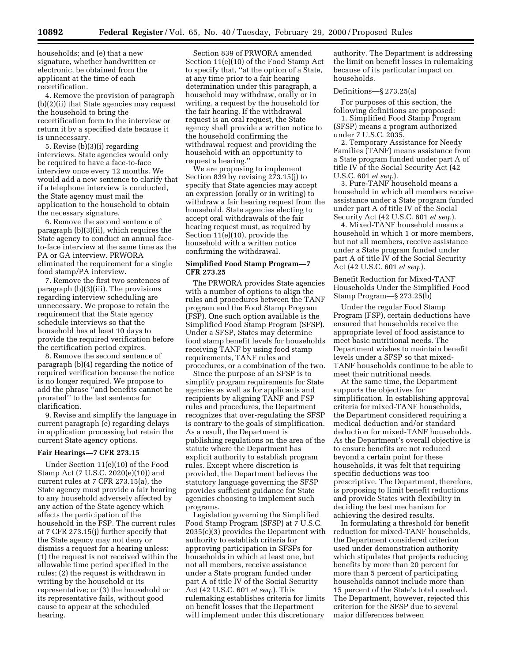households; and (e) that a new signature, whether handwritten or electronic, be obtained from the applicant at the time of each recertification.

4. Remove the provision of paragraph (b)(2)(ii) that State agencies may request the household to bring the recertification form to the interview or return it by a specified date because it is unnecessary.

5. Revise (b)(3)(i) regarding interviews. State agencies would only be required to have a face-to-face interview once every 12 months. We would add a new sentence to clarify that if a telephone interview is conducted, the State agency must mail the application to the household to obtain the necessary signature.

6. Remove the second sentence of paragraph (b)(3)(ii), which requires the State agency to conduct an annual faceto-face interview at the same time as the PA or GA interview. PRWORA eliminated the requirement for a single food stamp/PA interview.

7. Remove the first two sentences of paragraph (b)(3)(iii). The provisions regarding interview scheduling are unnecessary. We propose to retain the requirement that the State agency schedule interviews so that the household has at least 10 days to provide the required verification before the certification period expires.

8. Remove the second sentence of paragraph (b)(4) regarding the notice of required verification because the notice is no longer required. We propose to add the phrase ''and benefits cannot be prorated'' to the last sentence for clarification.

9. Revise and simplify the language in current paragraph (e) regarding delays in application processing but retain the current State agency options.

#### **Fair Hearings—7 CFR 273.15**

Under Section 11(e)(10) of the Food Stamp Act (7 U.S.C. 2020(e)(10)) and current rules at 7 CFR 273.15(a), the State agency must provide a fair hearing to any household adversely affected by any action of the State agency which affects the participation of the household in the FSP. The current rules at 7 CFR 273.15(j) further specify that the State agency may not deny or dismiss a request for a hearing unless: (1) the request is not received within the allowable time period specified in the rules; (2) the request is withdrawn in writing by the household or its representative; or (3) the household or its representative fails, without good cause to appear at the scheduled hearing.

Section 839 of PRWORA amended Section 11(e)(10) of the Food Stamp Act to specify that, ''at the option of a State, at any time prior to a fair hearing determination under this paragraph, a household may withdraw, orally or in writing, a request by the household for the fair hearing. If the withdrawal request is an oral request, the State agency shall provide a written notice to the household confirming the withdrawal request and providing the household with an opportunity to request a hearing.''

We are proposing to implement Section 839 by revising 273.15(j) to specify that State agencies may accept an expression (orally or in writing) to withdraw a fair hearing request from the household. State agencies electing to accept oral withdrawals of the fair hearing request must, as required by Section 11(e)(10), provide the household with a written notice confirming the withdrawal.

#### **Simplified Food Stamp Program—7 CFR 273.25**

The PRWORA provides State agencies with a number of options to align the rules and procedures between the TANF program and the Food Stamp Program (FSP). One such option available is the Simplified Food Stamp Program (SFSP). Under a SFSP, States may determine food stamp benefit levels for households receiving TANF by using food stamp requirements, TANF rules and procedures, or a combination of the two.

Since the purpose of an SFSP is to simplify program requirements for State agencies as well as for applicants and recipients by aligning TANF and FSP rules and procedures, the Department recognizes that over-regulating the SFSP is contrary to the goals of simplification. As a result, the Department is publishing regulations on the area of the statute where the Department has explicit authority to establish program rules. Except where discretion is provided, the Department believes the statutory language governing the SFSP provides sufficient guidance for State agencies choosing to implement such programs.

Legislation governing the Simplified Food Stamp Program (SFSP) at 7 U.S.C. 2035(c)(3) provides the Department with authority to establish criteria for approving participation in SFSPs for households in which at least one, but not all members, receive assistance under a State program funded under part A of title IV of the Social Security Act (42 U.S.C. 601 *et seq.*). This rulemaking establishes criteria for limits on benefit losses that the Department will implement under this discretionary

authority. The Department is addressing the limit on benefit losses in rulemaking because of its particular impact on households.

# Definitions—§ 273.25(a)

For purposes of this section, the following definitions are proposed:

1. Simplified Food Stamp Program (SFSP) means a program authorized under 7 U.S.C. 2035.

2. Temporary Assistance for Needy Families (TANF) means assistance from a State program funded under part A of title IV of the Social Security Act (42 U.S.C. 601 *et seq.*).

3. Pure-TANF household means a household in which all members receive assistance under a State program funded under part A of title IV of the Social Security Act (42 U.S.C. 601 *et seq.*).

4. Mixed-TANF household means a household in which 1 or more members, but not all members, receive assistance under a State program funded under part A of title IV of the Social Security Act (42 U.S.C. 601 *et seq.*).

Benefit Reduction for Mixed-TANF Households Under the Simplified Food Stamp Program—§ 273.25(b)

Under the regular Food Stamp Program (FSP), certain deductions have ensured that households receive the appropriate level of food assistance to meet basic nutritional needs. The Department wishes to maintain benefit levels under a SFSP so that mixed-TANF households continue to be able to meet their nutritional needs.

At the same time, the Department supports the objectives for simplification. In establishing approval criteria for mixed-TANF households, the Department considered requiring a medical deduction and/or standard deduction for mixed-TANF households. As the Department's overall objective is to ensure benefits are not reduced beyond a certain point for these households, it was felt that requiring specific deductions was too prescriptive. The Department, therefore, is proposing to limit benefit reductions and provide States with flexibility in deciding the best mechanism for achieving the desired results.

In formulating a threshold for benefit reduction for mixed-TANF households, the Department considered criterion used under demonstration authority which stipulates that projects reducing benefits by more than 20 percent for more than 5 percent of participating households cannot include more than 15 percent of the State's total caseload. The Department, however, rejected this criterion for the SFSP due to several major differences between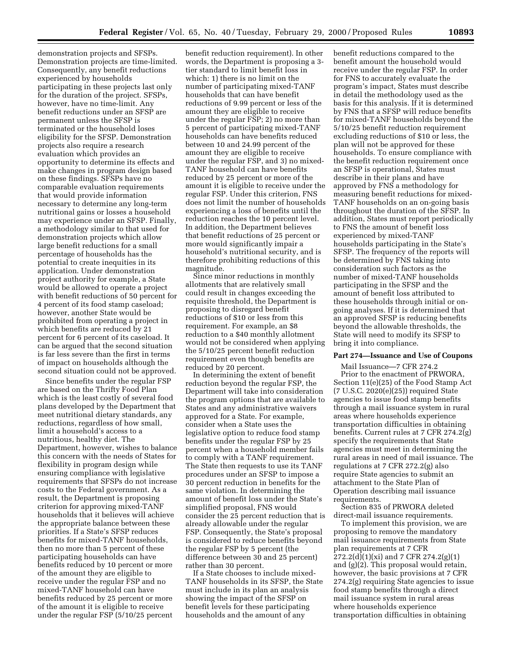demonstration projects and SFSPs. Demonstration projects are time-limited. Consequently, any benefit reductions experienced by households participating in these projects last only for the duration of the project. SFSPs, however, have no time-limit. Any benefit reductions under an SFSP are permanent unless the SFSP is terminated or the household loses eligibility for the SFSP. Demonstration projects also require a research evaluation which provides an opportunity to determine its effects and make changes in program design based on these findings. SFSPs have no comparable evaluation requirements that would provide information necessary to determine any long-term nutritional gains or losses a household may experience under an SFSP. Finally, a methodology similar to that used for demonstration projects which allow large benefit reductions for a small percentage of households has the potential to create inequities in its application. Under demonstration project authority for example, a State would be allowed to operate a project with benefit reductions of 50 percent for 4 percent of its food stamp caseload; however, another State would be prohibited from operating a project in which benefits are reduced by 21 percent for 6 percent of its caseload. It can be argued that the second situation is far less severe than the first in terms of impact on households although the second situation could not be approved.

Since benefits under the regular FSP are based on the Thrifty Food Plan which is the least costly of several food plans developed by the Department that meet nutritional dietary standards, any reductions, regardless of how small, limit a household's access to a nutritious, healthy diet. The Department, however, wishes to balance this concern with the needs of States for flexibility in program design while ensuring compliance with legislative requirements that SFSPs do not increase costs to the Federal government. As a result, the Department is proposing criterion for approving mixed-TANF households that it believes will achieve the appropriate balance between these priorities. If a State's SFSP reduces benefits for mixed-TANF households, then no more than 5 percent of these participating households can have benefits reduced by 10 percent or more of the amount they are eligible to receive under the regular FSP and no mixed-TANF household can have benefits reduced by 25 percent or more of the amount it is eligible to receive under the regular FSP (5/10/25 percent

benefit reduction requirement). In other words, the Department is proposing a 3 tier standard to limit benefit loss in which: 1) there is no limit on the number of participating mixed-TANF households that can have benefit reductions of 9.99 percent or less of the amount they are eligible to receive under the regular FSP; 2) no more than 5 percent of participating mixed-TANF households can have benefits reduced between 10 and 24.99 percent of the amount they are eligible to receive under the regular FSP, and 3) no mixed-TANF household can have benefits reduced by 25 percent or more of the amount it is eligible to receive under the regular FSP. Under this criterion, FNS does not limit the number of households experiencing a loss of benefits until the reduction reaches the 10 percent level. In addition, the Department believes that benefit reductions of 25 percent or more would significantly impair a household's nutritional security, and is therefore prohibiting reductions of this magnitude.

Since minor reductions in monthly allotments that are relatively small could result in changes exceeding the requisite threshold, the Department is proposing to disregard benefit reductions of \$10 or less from this requirement. For example, an \$8 reduction to a \$40 monthly allotment would not be considered when applying the 5/10/25 percent benefit reduction requirement even though benefits are reduced by 20 percent.

In determining the extent of benefit reduction beyond the regular FSP, the Department will take into consideration the program options that are available to States and any administrative waivers approved for a State. For example, consider when a State uses the legislative option to reduce food stamp benefits under the regular FSP by 25 percent when a household member fails to comply with a TANF requirement. The State then requests to use its TANF procedures under an SFSP to impose a 30 percent reduction in benefits for the same violation. In determining the amount of benefit loss under the State's simplified proposal, FNS would consider the 25 percent reduction that is already allowable under the regular FSP. Consequently, the State's proposal is considered to reduce benefits beyond the regular FSP by 5 percent (the difference between 30 and 25 percent) rather than 30 percent.

If a State chooses to include mixed-TANF households in its SFSP, the State must include in its plan an analysis showing the impact of the SFSP on benefit levels for these participating households and the amount of any

benefit reductions compared to the benefit amount the household would receive under the regular FSP. In order for FNS to accurately evaluate the program's impact, States must describe in detail the methodology used as the basis for this analysis. If it is determined by FNS that a SFSP will reduce benefits for mixed-TANF households beyond the 5/10/25 benefit reduction requirement excluding reductions of \$10 or less, the plan will not be approved for these households. To ensure compliance with the benefit reduction requirement once an SFSP is operational, States must describe in their plans and have approved by FNS a methodology for measuring benefit reductions for mixed-TANF households on an on-going basis throughout the duration of the SFSP. In addition, States must report periodically to FNS the amount of benefit loss experienced by mixed-TANF households participating in the State's SFSP. The frequency of the reports will be determined by FNS taking into consideration such factors as the number of mixed-TANF households participating in the SFSP and the amount of benefit loss attributed to these households through initial or ongoing analyses. If it is determined that an approved SFSP is reducing benefits beyond the allowable thresholds, the State will need to modify its SFSP to bring it into compliance.

#### **Part 274—Issuance and Use of Coupons**

Mail Issuance—7 CFR 274.2 Prior to the enactment of PRWORA, Section 11(e)(25) of the Food Stamp Act (7 U.S.C. 2020(e)(25)) required State agencies to issue food stamp benefits through a mail issuance system in rural areas where households experience transportation difficulties in obtaining benefits. Current rules at 7 CFR 274.2(g) specify the requirements that State agencies must meet in determining the rural areas in need of mail issuance. The regulations at 7 CFR 272.2(g) also require State agencies to submit an attachment to the State Plan of Operation describing mail issuance requirements.

Section 835 of PRWORA deleted direct-mail issuance requirements.

To implement this provision, we are proposing to remove the mandatory mail issuance requirements from State plan requirements at 7 CFR 272.2(d)(1)(xi) and 7 CFR 274.2(g)(1) and (g)(2). This proposal would retain, however, the basic provisions at 7 CFR 274.2(g) requiring State agencies to issue food stamp benefits through a direct mail issuance system in rural areas where households experience transportation difficulties in obtaining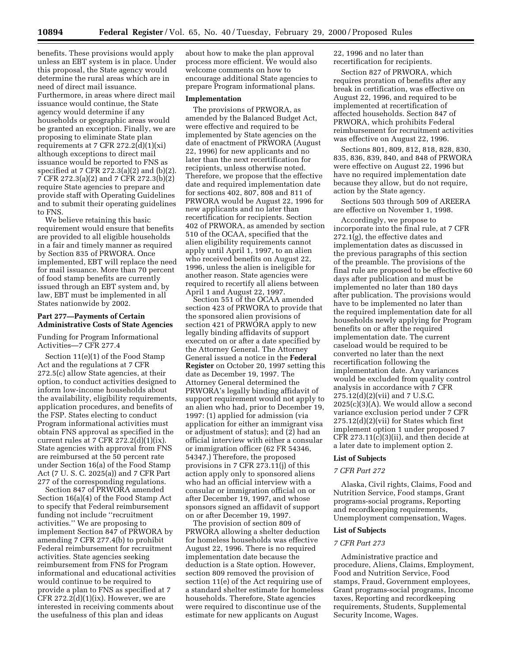benefits. These provisions would apply unless an EBT system is in place. Under this proposal, the State agency would determine the rural areas which are in need of direct mail issuance. Furthermore, in areas where direct mail issuance would continue, the State agency would determine if any households or geographic areas would be granted an exception. Finally, we are proposing to eliminate State plan requirements at 7 CFR  $272.2(d)(1)(xi)$ although exceptions to direct mail issuance would be reported to FNS as specified at 7 CFR 272.3(a)(2) and (b)(2). 7 CFR 272.3(a)(2) and 7 CFR 272.3(b)(2) require State agencies to prepare and provide staff with Operating Guidelines and to submit their operating guidelines to FNS.

We believe retaining this basic requirement would ensure that benefits are provided to all eligible households in a fair and timely manner as required by Section 835 of PRWORA. Once implemented, EBT will replace the need for mail issuance. More than 70 percent of food stamp benefits are currently issued through an EBT system and, by law, EBT must be implemented in all States nationwide by 2002.

# **Part 277—Payments of Certain Administrative Costs of State Agencies**

Funding for Program Informational Activities—7 CFR 277.4

Section 11(e)(1) of the Food Stamp Act and the regulations at 7 CFR 272.5(c) allow State agencies, at their option, to conduct activities designed to inform low-income households about the availability, eligibility requirements, application procedures, and benefits of the FSP. States electing to conduct Program informational activities must obtain FNS approval as specified in the current rules at 7 CFR  $272.2(d)(1)(ix)$ . State agencies with approval from FNS are reimbursed at the 50 percent rate under Section 16(a) of the Food Stamp Act (7 U. S. C. 2025(a)) and 7 CFR Part 277 of the corresponding regulations.

Section 847 of PRWORA amended Section 16(a)(4) of the Food Stamp Act to specify that Federal reimbursement funding not include ''recruitment activities.'' We are proposing to implement Section 847 of PRWORA by amending 7 CFR 277.4(b) to prohibit Federal reimbursement for recruitment activities. State agencies seeking reimbursement from FNS for Program informational and educational activities would continue to be required to provide a plan to FNS as specified at 7 CFR  $272.2(d)(1)(ix)$ . However, we are interested in receiving comments about the usefulness of this plan and ideas

about how to make the plan approval process more efficient. We would also welcome comments on how to encourage additional State agencies to prepare Program informational plans.

#### **Implementation**

The provisions of PRWORA, as amended by the Balanced Budget Act, were effective and required to be implemented by State agencies on the date of enactment of PRWORA (August 22, 1996) for new applicants and no later than the next recertification for recipients, unless otherwise noted. Therefore, we propose that the effective date and required implementation date for sections 402, 807, 808 and 811 of PRWORA would be August 22, 1996 for new applicants and no later than recertification for recipients. Section 402 of PRWORA, as amended by section 510 of the OCAA, specified that the alien eligibility requirements cannot apply until April 1, 1997, to an alien who received benefits on August 22, 1996, unless the alien is ineligible for another reason. State agencies were required to recertify all aliens between April 1 and August 22, 1997.

Section 551 of the OCAA amended section 423 of PRWORA to provide that the sponsored alien provisions of section 421 of PRWORA apply to new legally binding affidavits of support executed on or after a date specified by the Attorney General. The Attorney General issued a notice in the **Federal Register** on October 20, 1997 setting this date as December 19, 1997. The Attorney General determined the PRWORA's legally binding affidavit of support requirement would not apply to an alien who had, prior to December 19, 1997: (1) applied for admission (via application for either an immigrant visa or adjustment of status); and (2) had an official interview with either a consular or immigration officer (62 FR 54346, 54347.) Therefore, the proposed provisions in 7 CFR 273.11(j) of this action apply only to sponsored aliens who had an official interview with a consular or immigration official on or after December 19, 1997, and whose sponsors signed an affidavit of support on or after December 19, 1997.

The provision of section 809 of PRWORA allowing a shelter deduction for homeless households was effective August 22, 1996. There is no required implementation date because the deduction is a State option. However, section 809 removed the provision of section 11(e) of the Act requiring use of a standard shelter estimate for homeless households. Therefore, State agencies were required to discontinue use of the estimate for new applicants on August

22, 1996 and no later than recertification for recipients.

Section 827 of PRWORA, which requires proration of benefits after any break in certification, was effective on August 22, 1996, and required to be implemented at recertification of affected households. Section 847 of PRWORA, which prohibits Federal reimbursement for recruitment activities was effective on August 22, 1996.

Sections 801, 809, 812, 818, 828, 830, 835, 836, 839, 840, and 848 of PRWORA were effective on August 22, 1996 but have no required implementation date because they allow, but do not require, action by the State agency.

Sections 503 through 509 of AREERA are effective on November 1, 1998.

Accordingly, we propose to incorporate into the final rule, at 7 CFR 272.1(g), the effective dates and implementation dates as discussed in the previous paragraphs of this section of the preamble. The provisions of the final rule are proposed to be effective 60 days after publication and must be implemented no later than 180 days after publication. The provisions would have to be implemented no later than the required implementation date for all households newly applying for Program benefits on or after the required implementation date. The current caseload would be required to be converted no later than the next recertification following the implementation date. Any variances would be excluded from quality control analysis in accordance with 7 CFR  $275.12(d)(2)(vii)$  and 7 U.S.C. 2025(c)(3)(A). We would allow a second variance exclusion period under 7 CFR 275.12(d)(2)(vii) for States which first implement option 1 under proposed 7 CFR 273.11(c)(3)(ii), and then decide at a later date to implement option 2.

#### **List of Subjects**

#### *7 CFR Part 272*

Alaska, Civil rights, Claims, Food and Nutrition Service, Food stamps, Grant programs-social programs, Reporting and recordkeeping requirements, Unemployment compensation, Wages.

#### **List of Subjects**

# *7 CFR Part 273*

Administrative practice and procedure, Aliens, Claims, Employment, Food and Nutrition Service, Food stamps, Fraud, Government employees, Grant programs-social programs, Income taxes, Reporting and recordkeeping requirements, Students, Supplemental Security Income, Wages.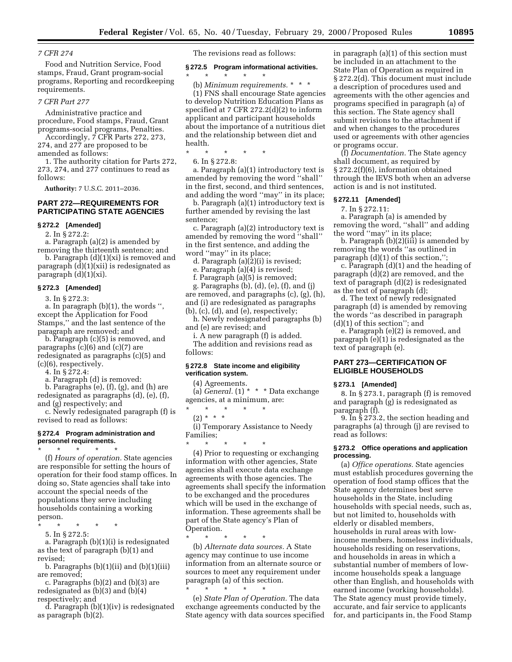Food and Nutrition Service, Food stamps, Fraud, Grant program-social programs, Reporting and recordkeeping requirements.

# *7 CFR Part 277*

Administrative practice and procedure, Food stamps, Fraud, Grant programs-social programs, Penalties. Accordingly, 7 CFR Parts 272, 273,

274, and 277 are proposed to be amended as follows:

1. The authority citation for Parts 272, 273, 274, and 277 continues to read as follows:

**Authority:** 7 U.S.C. 2011–2036.

# **PART 272—REQUIREMENTS FOR PARTICIPATING STATE AGENCIES**

**§ 272.2 [Amended]**

2. In § 272.2:

a. Paragraph (a)(2) is amended by removing the thirteenth sentence; and

b. Paragraph (d)(1)(xi) is removed and paragraph (d)(1)(xii) is redesignated as paragraph (d)(1)(xi).

#### **§ 272.3 [Amended]**

3. In § 272.3:

a. In paragraph (b)(1), the words '', except the Application for Food Stamps,'' and the last sentence of the paragraph are removed; and

b. Paragraph (c)(5) is removed, and paragraphs (c)(6) and (c)(7) are redesignated as paragraphs (c)(5) and (c)(6), respectively.

4. In § 272.4:

a. Paragraph (d) is removed:

b. Paragraphs (e), (f), (g), and (h) are redesignated as paragraphs (d), (e), (f), and (g) respectively; and

c. Newly redesignated paragraph (f) is revised to read as follows:

#### **§ 272.4 Program administration and personnel requirements.**

\* \* \* \* \*

(f) *Hours of operation.* State agencies are responsible for setting the hours of operation for their food stamp offices. In doing so, State agencies shall take into account the special needs of the populations they serve including households containing a working person.

\* \* \* \* \*

5. In § 272.5:

a. Paragraph (b)(1)(i) is redesignated as the text of paragraph (b)(1) and revised;

b. Paragraphs  $(b)(1)(ii)$  and  $(b)(1)(iii)$ are removed;

c. Paragraphs (b)(2) and (b)(3) are redesignated as (b)(3) and (b)(4) respectively; and

d. Paragraph (b)(1)(iv) is redesignated as paragraph (b)(2).

The revisions read as follows:

#### **§ 272.5 Program informational activities.**

\* \* \* \* \* (b) *Minimum requirements.* \*\*\* (1) FNS shall encourage State agencies to develop Nutrition Education Plans as specified at 7 CFR 272.2(d)(2) to inform applicant and participant households about the importance of a nutritious diet and the relationship between diet and health.

\* \* \* \* \*

6. In § 272.8:

a. Paragraph (a)(1) introductory text is amended by removing the word ''shall'' in the first, second, and third sentences, and adding the word ''may'' in its place;

b. Paragraph (a)(1) introductory text is further amended by revising the last sentence;

c. Paragraph (a)(2) introductory text is amended by removing the word ''shall'' in the first sentence, and adding the word ''may'' in its place;

d. Paragraph (a)(2)(i) is revised;

e. Paragraph (a)(4) is revised;

f. Paragraph (a)(5) is removed;

g. Paragraphs (b), (d), (e), (f), and (j) are removed, and paragraphs (c), (g), (h), and (i) are redesignated as paragraphs (b), (c), (d), and (e), respectively;

h. Newly redesignated paragraphs (b) and (e) are revised; and

i. A new paragraph (f) is added.

The addition and revisions read as follows:

# **§ 272.8 State income and eligibility verification system.**

(4) Agreements. (a) *General.* (1) \* \* \* Data exchange

agencies, at a minimum, are: \* \* \* \* \*

 $(2) * * * *$ 

(i) Temporary Assistance to Needy Families;

\* \* \* \* \* (4) Prior to requesting or exchanging information with other agencies, State agencies shall execute data exchange agreements with those agencies. The agreements shall specify the information to be exchanged and the procedures which will be used in the exchange of information. These agreements shall be part of the State agency's Plan of Operation.

\* \* \* \* \* (b) *Alternate data sources.* A State agency may continue to use income information from an alternate source or sources to meet any requirement under paragraph (a) of this section.

\* \* \* \* \* (e) *State Plan of Operation.* The data exchange agreements conducted by the State agency with data sources specified in paragraph (a)(1) of this section must be included in an attachment to the State Plan of Operation as required in § 272.2(d). This document must include a description of procedures used and agreements with the other agencies and programs specified in paragraph (a) of this section. The State agency shall submit revisions to the attachment if and when changes to the procedures used or agreements with other agencies or programs occur.

(f) *Documentation.* The State agency shall document, as required by § 272.2(f)(6), information obtained through the IEVS both when an adverse action is and is not instituted.

#### **§ 272.11 [Amended]**

7. In § 272.11:

a. Paragraph (a) is amended by removing the word, ''shall'' and adding the word ''may'' in its place;

b. Paragraph (b)(2)(iii) is amended by removing the words ''as outlined in paragraph (d)(1) of this section,'';

c. Paragraph (d)(1) and the heading of paragraph (d)(2) are removed, and the text of paragraph (d)(2) is redesignated as the text of paragraph (d);

d. The text of newly redesignated paragraph (d) is amended by removing the words ''as described in paragraph (d)(1) of this section''; and

e. Paragraph (e)(2) is removed, and paragraph (e)(1) is redesignated as the text of paragraph (e).

# **PART 273—CERTIFICATION OF ELIGIBLE HOUSEHOLDS**

#### **§ 273.1 [Amended]**

8. In § 273.1, paragraph (f) is removed and paragraph (g) is redesignated as paragraph (f).

9. In § 273.2, the section heading and paragraphs (a) through (j) are revised to read as follows:

#### **§ 273.2 Office operations and application processing.**

(a) *Office operations.* State agencies must establish procedures governing the operation of food stamp offices that the State agency determines best serve households in the State, including households with special needs, such as, but not limited to, households with elderly or disabled members, households in rural areas with lowincome members, homeless individuals, households residing on reservations, and households in areas in which a substantial number of members of lowincome households speak a language other than English, and households with earned income (working households). The State agency must provide timely, accurate, and fair service to applicants for, and participants in, the Food Stamp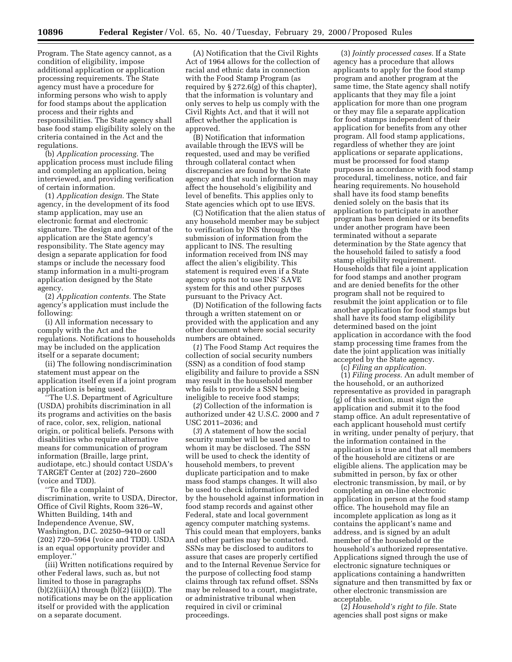Program. The State agency cannot, as a condition of eligibility, impose additional application or application processing requirements. The State agency must have a procedure for informing persons who wish to apply for food stamps about the application process and their rights and responsibilities. The State agency shall base food stamp eligibility solely on the criteria contained in the Act and the regulations.

(b) *Application processing.* The application process must include filing and completing an application, being interviewed, and providing verification of certain information.

(1) *Application design.* The State agency, in the development of its food stamp application, may use an electronic format and electronic signature. The design and format of the application are the State agency's responsibility. The State agency may design a separate application for food stamps or include the necessary food stamp information in a multi-program application designed by the State agency.

(2) *Application contents.* The State agency's application must include the following:

(i) All information necessary to comply with the Act and the regulations. Notifications to households may be included on the application itself or a separate document;

(ii) The following nondiscrimination statement must appear on the application itself even if a joint program application is being used.

'The U.S. Department of Agriculture (USDA) prohibits discrimination in all its programs and activities on the basis of race, color, sex, religion, national origin, or political beliefs. Persons with disabilities who require alternative means for communication of program information (Braille, large print, audiotape, etc.) should contact USDA's TARGET Center at (202) 720–2600 (voice and TDD).

''To file a complaint of discrimination, write to USDA, Director, Office of Civil Rights, Room 326–W, Whitten Building, 14th and Independence Avenue, SW, Washington, D.C. 20250–9410 or call (202) 720–5964 (voice and TDD). USDA is an equal opportunity provider and employer.''

(iii) Written notifications required by other Federal laws, such as, but not limited to those in paragraphs  $(b)(2)(iii)(A)$  through  $(b)(2)(iii)(D)$ . The notifications may be on the application itself or provided with the application on a separate document.

(A) Notification that the Civil Rights Act of 1964 allows for the collection of racial and ethnic data in connection with the Food Stamp Program (as required by § 272.6(g) of this chapter), that the information is voluntary and only serves to help us comply with the Civil Rights Act, and that it will not affect whether the application is approved.

(B) Notification that information available through the IEVS will be requested, used and may be verified through collateral contact when discrepancies are found by the State agency and that such information may affect the household's eligibility and level of benefits. This applies only to State agencies which opt to use IEVS.

(C) Notification that the alien status of any household member may be subject to verification by INS through the submission of information from the applicant to INS. The resulting information received from INS may affect the alien's eligibility. This statement is required even if a State agency opts not to use INS' SAVE system for this and other purposes pursuant to the Privacy Act.

(D) Notification of the following facts through a written statement on or provided with the application and any other document where social security numbers are obtained.

(*1*) The Food Stamp Act requires the collection of social security numbers (SSN) as a condition of food stamp eligibility and failure to provide a SSN may result in the household member who fails to provide a SSN being ineligible to receive food stamps;

(*2*) Collection of the information is authorized under 42 U.S.C. 2000 and 7 USC 2011–2036; and

(*3*) A statement of how the social security number will be used and to whom it may be disclosed. The SSN will be used to check the identity of household members, to prevent duplicate participation and to make mass food stamps changes. It will also be used to check information provided by the household against information in food stamp records and against other Federal, state and local government agency computer matching systems. This could mean that employers, banks and other parties may be contacted. SSNs may be disclosed to auditors to assure that cases are properly certified and to the Internal Revenue Service for the purpose of collecting food stamp claims through tax refund offset. SSNs may be released to a court, magistrate, or administrative tribunal when required in civil or criminal proceedings.

(3) *Jointly processed cases.* If a State agency has a procedure that allows applicants to apply for the food stamp program and another program at the same time, the State agency shall notify applicants that they may file a joint application for more than one program or they may file a separate application for food stamps independent of their application for benefits from any other program. All food stamp applications, regardless of whether they are joint applications or separate applications, must be processed for food stamp purposes in accordance with food stamp procedural, timeliness, notice, and fair hearing requirements. No household shall have its food stamp benefits denied solely on the basis that its application to participate in another program has been denied or its benefits under another program have been terminated without a separate determination by the State agency that the household failed to satisfy a food stamp eligibility requirement. Households that file a joint application for food stamps and another program and are denied benefits for the other program shall not be required to resubmit the joint application or to file another application for food stamps but shall have its food stamp eligibility determined based on the joint application in accordance with the food stamp processing time frames from the date the joint application was initially accepted by the State agency.

(c) *Filing an application.*

(1) *Filing process.* An adult member of the household, or an authorized representative as provided in paragraph (g) of this section, must sign the application and submit it to the food stamp office. An adult representative of each applicant household must certify in writing, under penalty of perjury, that the information contained in the application is true and that all members of the household are citizens or are eligible aliens. The application may be submitted in person, by fax or other electronic transmission, by mail, or by completing an on-line electronic application in person at the food stamp office. The household may file an incomplete application as long as it contains the applicant's name and address, and is signed by an adult member of the household or the household's authorized representative. Applications signed through the use of electronic signature techniques or applications containing a handwritten signature and then transmitted by fax or other electronic transmission are acceptable.

(2) *Household's right to file.* State agencies shall post signs or make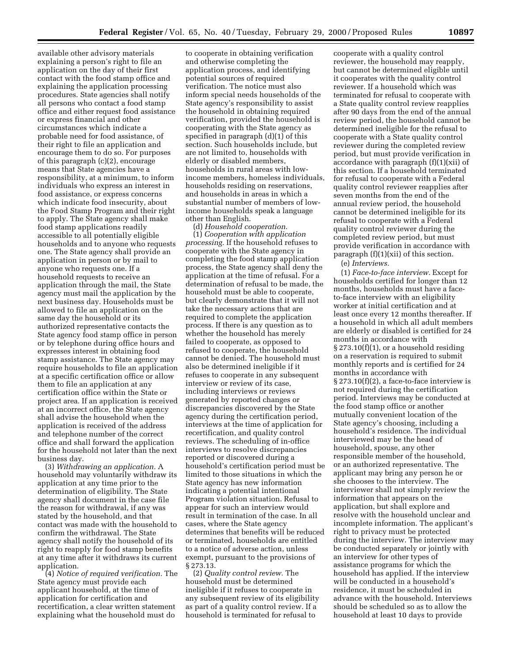available other advisory materials explaining a person's right to file an application on the day of their first contact with the food stamp office and explaining the application processing procedures. State agencies shall notify all persons who contact a food stamp office and either request food assistance or express financial and other circumstances which indicate a probable need for food assistance, of their right to file an application and encourage them to do so. For purposes of this paragraph (c)(2), encourage means that State agencies have a responsibility, at a minimum, to inform individuals who express an interest in food assistance, or express concerns which indicate food insecurity, about the Food Stamp Program and their right to apply. The State agency shall make food stamp applications readily accessible to all potentially eligible households and to anyone who requests one. The State agency shall provide an application in person or by mail to anyone who requests one. If a household requests to receive an application through the mail, the State agency must mail the application by the next business day. Households must be allowed to file an application on the same day the household or its authorized representative contacts the State agency food stamp office in person or by telephone during office hours and expresses interest in obtaining food stamp assistance. The State agency may require households to file an application at a specific certification office or allow them to file an application at any certification office within the State or project area. If an application is received at an incorrect office, the State agency shall advise the household when the application is received of the address and telephone number of the correct office and shall forward the application for the household not later than the next business day.

(3) *Withdrawing an application.* A household may voluntarily withdraw its application at any time prior to the determination of eligibility. The State agency shall document in the case file the reason for withdrawal, if any was stated by the household, and that contact was made with the household to confirm the withdrawal. The State agency shall notify the household of its right to reapply for food stamp benefits at any time after it withdraws its current application.

(4) *Notice of required verification.* The State agency must provide each applicant household, at the time of application for certification and recertification, a clear written statement explaining what the household must do

to cooperate in obtaining verification and otherwise completing the application process, and identifying potential sources of required verification. The notice must also inform special needs households of the State agency's responsibility to assist the household in obtaining required verification, provided the household is cooperating with the State agency as specified in paragraph (d)(1) of this section. Such households include, but are not limited to, households with elderly or disabled members, households in rural areas with lowincome members, homeless individuals, households residing on reservations, and households in areas in which a substantial number of members of lowincome households speak a language other than English.

(d) *Household cooperation.* (1) *Cooperation with application processing.* If the household refuses to cooperate with the State agency in completing the food stamp application process, the State agency shall deny the application at the time of refusal. For a determination of refusal to be made, the household must be able to cooperate, but clearly demonstrate that it will not take the necessary actions that are required to complete the application process. If there is any question as to whether the household has merely failed to cooperate, as opposed to refused to cooperate, the household cannot be denied. The household must also be determined ineligible if it refuses to cooperate in any subsequent interview or review of its case, including interviews or reviews generated by reported changes or discrepancies discovered by the State agency during the certification period, interviews at the time of application for recertification, and quality control reviews. The scheduling of in-office interviews to resolve discrepancies reported or discovered during a household's certification period must be limited to those situations in which the State agency has new information indicating a potential intentional Program violation situation. Refusal to appear for such an interview would result in termination of the case. In all cases, where the State agency determines that benefits will be reduced or terminated, households are entitled to a notice of adverse action, unless exempt, pursuant to the provisions of § 273.13.

(2) *Quality control review.* The household must be determined ineligible if it refuses to cooperate in any subsequent review of its eligibility as part of a quality control review. If a household is terminated for refusal to

cooperate with a quality control reviewer, the household may reapply, but cannot be determined eligible until it cooperates with the quality control reviewer. If a household which was terminated for refusal to cooperate with a State quality control review reapplies after 90 days from the end of the annual review period, the household cannot be determined ineligible for the refusal to cooperate with a State quality control reviewer during the completed review period, but must provide verification in accordance with paragraph (f)(1)(xii) of this section. If a household terminated for refusal to cooperate with a Federal quality control reviewer reapplies after seven months from the end of the annual review period, the household cannot be determined ineligible for its refusal to cooperate with a Federal quality control reviewer during the completed review period, but must provide verification in accordance with paragraph  $(f)(1)(xii)$  of this section.

(e) *Interviews.*

(1) *Face-to-face interview.* Except for households certified for longer than 12 months, households must have a faceto-face interview with an eligibility worker at initial certification and at least once every 12 months thereafter. If a household in which all adult members are elderly or disabled is certified for 24 months in accordance with § 273.10(f)(1), or a household residing on a reservation is required to submit monthly reports and is certified for 24 months in accordance with § 273.10(f)(2), a face-to-face interview is not required during the certification period. Interviews may be conducted at the food stamp office or another mutually convenient location of the State agency's choosing, including a household's residence. The individual interviewed may be the head of household, spouse, any other responsible member of the household, or an authorized representative. The applicant may bring any person he or she chooses to the interview. The interviewer shall not simply review the information that appears on the application, but shall explore and resolve with the household unclear and incomplete information. The applicant's right to privacy must be protected during the interview. The interview may be conducted separately or jointly with an interview for other types of assistance programs for which the household has applied. If the interview will be conducted in a household's residence, it must be scheduled in advance with the household. Interviews should be scheduled so as to allow the household at least 10 days to provide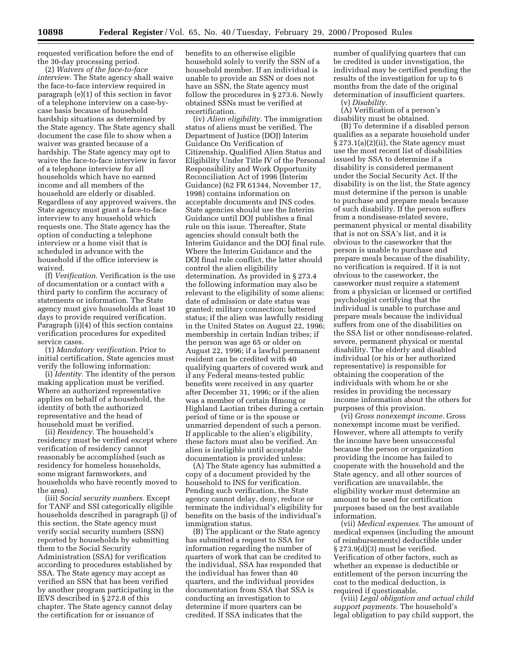requested verification before the end of the 30-day processing period.

(2) *Waivers of the face-to-face interview.* The State agency shall waive the face-to-face interview required in paragraph (e)(1) of this section in favor of a telephone interview on a case-bycase basis because of household hardship situations as determined by the State agency. The State agency shall document the case file to show when a waiver was granted because of a hardship. The State agency may opt to waive the face-to-face interview in favor of a telephone interview for all households which have no earned income and all members of the household are elderly or disabled. Regardless of any approved waivers, the State agency must grant a face-to-face interview to any household which requests one. The State agency has the option of conducting a telephone interview or a home visit that is scheduled in advance with the household if the office interview is waived.

(f) *Verification.* Verification is the use of documentation or a contact with a third party to confirm the accuracy of statements or information. The State agency must give households at least 10 days to provide required verification. Paragraph (i)(4) of this section contains verification procedures for expedited service cases.

(1) *Mandatory verification.* Prior to initial certification, State agencies must verify the following information:

(i) *Identity.* The identity of the person making application must be verified. Where an authorized representative applies on behalf of a household, the identity of both the authorized representative and the head of household must be verified.

(ii) *Residency.* The household's residency must be verified except where verification of residency cannot reasonably be accomplished (such as residency for homeless households, some migrant farmworkers, and households who have recently moved to the area).

(iii) *Social security numbers.* Except for TANF and SSI categorically eligible households described in paragraph (j) of this section, the State agency must verify social security numbers (SSN) reported by households by submitting them to the Social Security Administration (SSA) for verification according to procedures established by SSA. The State agency may accept as verified an SSN that has been verified by another program participating in the IEVS described in § 272.8 of this chapter. The State agency cannot delay the certification for or issuance of

benefits to an otherwise eligible household solely to verify the SSN of a household member. If an individual is unable to provide an SSN or does not have an SSN, the State agency must follow the procedures in § 273.6. Newly obtained SSNs must be verified at recertification.

(iv) *Alien eligibility.* The immigration status of aliens must be verified. The Department of Justice (DOJ) Interim Guidance On Verification of Citizenship, Qualified Alien Status and Eligibility Under Title IV of the Personal Responsibility and Work Opportunity Reconciliation Act of 1996 (Interim Guidance) (62 FR 61344, November 17, 1998) contains information on acceptable documents and INS codes. State agencies should use the Interim Guidance until DOJ publishes a final rule on this issue. Thereafter, State agencies should consult both the Interim Guidance and the DOJ final rule. Where the Interim Guidance and the DOJ final rule conflict, the latter should control the alien eligibility determination. As provided in § 273.4 the following information may also be relevant to the eligibility of some aliens: date of admission or date status was granted; military connection; battered status; if the alien was lawfully residing in the United States on August 22, 1996; membership in certain Indian tribes; if the person was age 65 or older on August 22, 1996; if a lawful permanent resident can be credited with 40 qualifying quarters of covered work and if any Federal means-tested public benefits were received in any quarter after December 31, 1996; or if the alien was a member of certain Hmong or Highland Laotian tribes during a certain period of time or is the spouse or unmarried dependent of such a person. If applicable to the alien's eligibility, these factors must also be verified. An alien is ineligible until acceptable documentation is provided unless:

(A) The State agency has submitted a copy of a document provided by the household to INS for verification. Pending such verification, the State agency cannot delay, deny, reduce or terminate the individual's eligibility for benefits on the basis of the individual's immigration status.

(B) The applicant or the State agency has submitted a request to SSA for information regarding the number of quarters of work that can be credited to the individual, SSA has responded that the individual has fewer than 40 quarters, and the individual provides documentation from SSA that SSA is conducting an investigation to determine if more quarters can be credited. If SSA indicates that the

number of qualifying quarters that can be credited is under investigation, the individual may be certified pending the results of the investigation for up to 6 months from the date of the original determination of insufficient quarters.

(v) *Disability.* (A) Verification of a person's disability must be obtained.

(B) To determine if a disabled person qualifies as a separate household under § 273.1(a)(2)(ii), the State agency must use the most recent list of disabilities issued by SSA to determine if a disability is considered permanent under the Social Security Act. If the disability is on the list, the State agency must determine if the person is unable to purchase and prepare meals because of such disability. If the person suffers from a nondisease-related severe, permanent physical or mental disability that is not on SSA's list, and it is obvious to the caseworker that the person is unable to purchase and prepare meals because of the disability, no verification is required. If it is not obvious to the caseworker, the caseworker must require a statement from a physician or licensed or certified psychologist certifying that the individual is unable to purchase and prepare meals because the individual suffers from one of the disabilities on the SSA list or other nondisease-related, severe, permanent physical or mental disability. The elderly and disabled individual (or his or her authorized representative) is responsible for obtaining the cooperation of the individuals with whom he or she resides in providing the necessary income information about the others for purposes of this provision.

(vi) *Gross nonexempt income.* Gross nonexempt income must be verified. However, where all attempts to verify the income have been unsuccessful because the person or organization providing the income has failed to cooperate with the household and the State agency, and all other sources of verification are unavailable, the eligibility worker must determine an amount to be used for certification purposes based on the best available information.

(vii) *Medical expenses.* The amount of medical expenses (including the amount of reimbursements) deductible under § 273.9(d)(3) must be verified. Verification of other factors, such as whether an expense is deductible or entitlement of the person incurring the cost to the medical deduction, is required if questionable.

(viii) *Legal obligation and actual child support payments.* The household's legal obligation to pay child support, the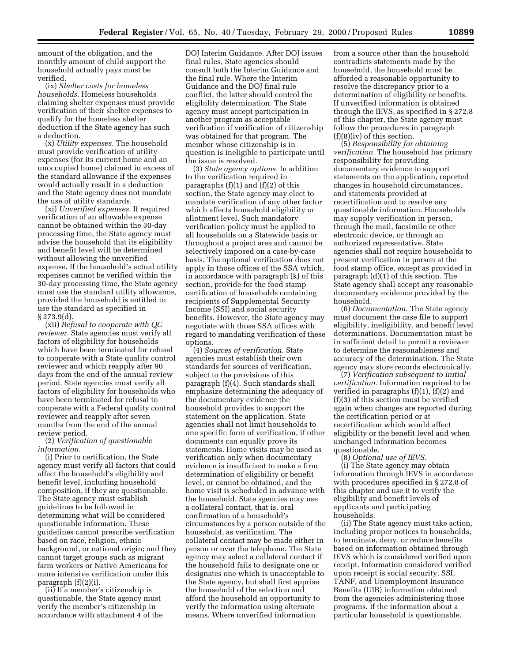amount of the obligation, and the monthly amount of child support the household actually pays must be verified.

(ix) *Shelter costs for homeless households.* Homeless households claiming shelter expenses must provide verification of their shelter expenses to qualify for the homeless shelter deduction if the State agency has such a deduction.

(x) *Utility expenses.* The household must provide verification of utility expenses (for its current home and an unoccupied home) claimed in excess of the standard allowance if the expenses would actually result in a deduction and the State agency does not mandate the use of utility standards.

(xi) *Unverified expenses.* If required verification of an allowable expense cannot be obtained within the 30-day processing time, the State agency must advise the household that its eligibility and benefit level will be determined without allowing the unverified expense. If the household's actual utility expenses cannot be verified within the 30-day processing time, the State agency must use the standard utility allowance, provided the household is entitled to use the standard as specified in § 273.9(d).

(xii) *Refusal to cooperate with QC reviewer.* State agencies must verify all factors of eligibility for households which have been terminated for refusal to cooperate with a State quality control reviewer and which reapply after 90 days from the end of the annual review period. State agencies must verify all factors of eligibility for households who have been terminated for refusal to cooperate with a Federal quality control reviewer and reapply after seven months from the end of the annual review period.

(2) *Verification of questionable information.*

(i) Prior to certification, the State agency must verify all factors that could affect the household's eligibility and benefit level, including household composition, if they are questionable. The State agency must establish guidelines to be followed in determining what will be considered questionable information. These guidelines cannot prescribe verification based on race, religion, ethnic background, or national origin; and they cannot target groups such as migrant farm workers or Native Americans for more intensive verification under this paragraph (f)(2)(i).

(ii) If a member's citizenship is questionable, the State agency must verify the member's citizenship in accordance with attachment 4 of the

DOJ Interim Guidance. After DOJ issues final rules, State agencies should consult both the Interim Guidance and the final rule. Where the Interim Guidance and the DOJ final rule conflict, the latter should control the eligibility determination. The State agency must accept participation in another program as acceptable verification if verification of citizenship was obtained for that program. The member whose citizenship is in question is ineligible to participate until the issue is resolved.

(3) *State agency options.* In addition to the verification required in paragraphs (f)(1) and (f)(2) of this section, the State agency may elect to mandate verification of any other factor which affects household eligibility or allotment level. Such mandatory verification policy must be applied to all households on a Statewide basis or throughout a project area and cannot be selectively imposed on a case-by-case basis. The optional verification does not apply in those offices of the SSA which, in accordance with paragraph (k) of this section, provide for the food stamp certification of households containing recipients of Supplemental Security Income (SSI) and social security benefits. However, the State agency may negotiate with those SSA offices with regard to mandating verification of these options.

(4) *Sources of verification.* State agencies must establish their own standards for sources of verification, subject to the provisions of this paragraph (f)(4). Such standards shall emphasize determining the adequacy of the documentary evidence the household provides to support the statement on the application. State agencies shall not limit households to one specific form of verification, if other documents can equally prove its statements. Home visits may be used as verification only when documentary evidence is insufficient to make a firm determination of eligibility or benefit level, or cannot be obtained, and the home visit is scheduled in advance with the household. State agencies may use a collateral contact, that is, oral confirmation of a household's circumstances by a person outside of the household, as verification. The collateral contact may be made either in person or over the telephone. The State agency may select a collateral contact if the household fails to designate one or designates one which is unacceptable to the State agency, but shall first apprise the household of the selection and afford the household an opportunity to verify the information using alternate means. Where unverified information

from a source other than the household contradicts statements made by the household, the household must be afforded a reasonable opportunity to resolve the discrepancy prior to a determination of eligibility or benefits. If unverified information is obtained through the IEVS, as specified in § 272.8 of this chapter, the State agency must follow the procedures in paragraph (f)(8)(iv) of this section.

(5) *Responsibility for obtaining verification.* The household has primary responsibility for providing documentary evidence to support statements on the application, reported changes in household circumstances, and statements provided at recertification and to resolve any questionable information. Households may supply verification in person, through the mail, facsimile or other electronic device, or through an authorized representative. State agencies shall not require households to present verification in person at the food stamp office, except as provided in paragraph (d)(1) of this section. The State agency shall accept any reasonable documentary evidence provided by the household.

(6) *Documentation.* The State agency must document the case file to support eligibility, ineligibility, and benefit level determinations. Documentation must be in sufficient detail to permit a reviewer to determine the reasonableness and accuracy of the determination. The State agency may store records electronically.

(7) *Verification subsequent to initial certification.* Information required to be verified in paragraphs (f)(1), (f)(2) and (f)(3) of this section must be verified again when changes are reported during the certification period or at recertification which would affect eligibility or the benefit level and when unchanged information becomes questionable.

(8) *Optional use of IEVS.* (i) The State agency may obtain information through IEVS in accordance with procedures specified in § 272.8 of this chapter and use it to verify the eligibility and benefit levels of applicants and participating households.

(ii) The State agency must take action, including proper notices to households, to terminate, deny, or reduce benefits based on information obtained through IEVS which is considered verified upon receipt. Information considered verified upon receipt is social security, SSI, TANF, and Unemployment Insurance Benefits (UIB) information obtained from the agencies administering those programs. If the information about a particular household is questionable,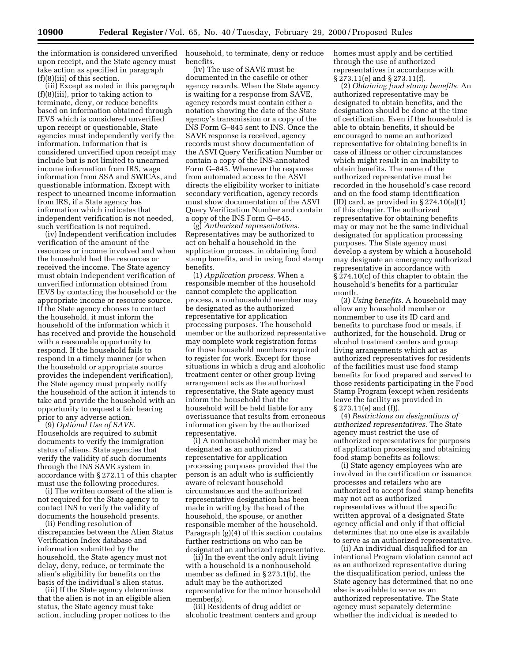the information is considered unverified upon receipt, and the State agency must take action as specified in paragraph (f)(8)(iii) of this section.

(iii) Except as noted in this paragraph (f)(8)(iii), prior to taking action to terminate, deny, or reduce benefits based on information obtained through IEVS which is considered unverified upon receipt or questionable, State agencies must independently verify the information. Information that is considered unverified upon receipt may include but is not limited to unearned income information from IRS, wage information from SSA and SWICAs, and questionable information. Except with respect to unearned income information from IRS, if a State agency has information which indicates that independent verification is not needed, such verification is not required.

(iv) Independent verification includes verification of the amount of the resources or income involved and when the household had the resources or received the income. The State agency must obtain independent verification of unverified information obtained from IEVS by contacting the household or the appropriate income or resource source. If the State agency chooses to contact the household, it must inform the household of the information which it has received and provide the household with a reasonable opportunity to respond. If the household fails to respond in a timely manner (or when the household or appropriate source provides the independent verification), the State agency must properly notify the household of the action it intends to take and provide the household with an opportunity to request a fair hearing prior to any adverse action.

(9) *Optional Use of SAVE.* Households are required to submit documents to verify the immigration status of aliens. State agencies that verify the validity of such documents through the INS SAVE system in accordance with § 272.11 of this chapter must use the following procedures.

(i) The written consent of the alien is not required for the State agency to contact INS to verify the validity of documents the household presents.

(ii) Pending resolution of discrepancies between the Alien Status Verification Index database and information submitted by the household, the State agency must not delay, deny, reduce, or terminate the alien's eligibility for benefits on the basis of the individual's alien status.

(iii) If the State agency determines that the alien is not in an eligible alien status, the State agency must take action, including proper notices to the household, to terminate, deny or reduce benefits.

(iv) The use of SAVE must be documented in the casefile or other agency records. When the State agency is waiting for a response from SAVE, agency records must contain either a notation showing the date of the State agency's transmission or a copy of the INS Form G–845 sent to INS. Once the SAVE response is received, agency records must show documentation of the ASVI Query Verification Number or contain a copy of the INS-annotated Form G–845. Whenever the response from automated access to the ASVI directs the eligibility worker to initiate secondary verification, agency records must show documentation of the ASVI Query Verification Number and contain a copy of the INS Form G–845.

(g) *Authorized representatives.* Representatives may be authorized to act on behalf a household in the application process, in obtaining food stamp benefits, and in using food stamp benefits.

(1) *Application process.* When a responsible member of the household cannot complete the application process, a nonhousehold member may be designated as the authorized representative for application processing purposes. The household member or the authorized representative may complete work registration forms for those household members required to register for work. Except for those situations in which a drug and alcoholic treatment center or other group living arrangement acts as the authorized representative, the State agency must inform the household that the household will be held liable for any overissuance that results from erroneous information given by the authorized representative.

(i) A nonhousehold member may be designated as an authorized representative for application processing purposes provided that the person is an adult who is sufficiently aware of relevant household circumstances and the authorized representative designation has been made in writing by the head of the household, the spouse, or another responsible member of the household. Paragraph (g)(4) of this section contains further restrictions on who can be designated an authorized representative.

(ii) In the event the only adult living with a household is a nonhousehold member as defined in § 273.1(b), the adult may be the authorized representative for the minor household member(s).

(iii) Residents of drug addict or alcoholic treatment centers and group homes must apply and be certified through the use of authorized representatives in accordance with § 273.11(e) and § 273.11(f).

(2) *Obtaining food stamp benefits.* An authorized representative may be designated to obtain benefits, and the designation should be done at the time of certification. Even if the household is able to obtain benefits, it should be encouraged to name an authorized representative for obtaining benefits in case of illness or other circumstances which might result in an inability to obtain benefits. The name of the authorized representative must be recorded in the household's case record and on the food stamp identification (ID) card, as provided in  $\S 274.10(a)(1)$ of this chapter. The authorized representative for obtaining benefits may or may not be the same individual designated for application processing purposes. The State agency must develop a system by which a household may designate an emergency authorized representative in accordance with § 274.10(c) of this chapter to obtain the household's benefits for a particular month.

(3) *Using benefits.* A household may allow any household member or nonmember to use its ID card and benefits to purchase food or meals, if authorized, for the household. Drug or alcohol treatment centers and group living arrangements which act as authorized representatives for residents of the facilities must use food stamp benefits for food prepared and served to those residents participating in the Food Stamp Program (except when residents leave the facility as provided in § 273.11(e) and (f)).

(4) *Restrictions on designations of authorized representatives.* The State agency must restrict the use of authorized representatives for purposes of application processing and obtaining food stamp benefits as follows:

(i) State agency employees who are involved in the certification or issuance processes and retailers who are authorized to accept food stamp benefits may not act as authorized representatives without the specific written approval of a designated State agency official and only if that official determines that no one else is available to serve as an authorized representative.

(ii) An individual disqualified for an intentional Program violation cannot act as an authorized representative during the disqualification period, unless the State agency has determined that no one else is available to serve as an authorized representative. The State agency must separately determine whether the individual is needed to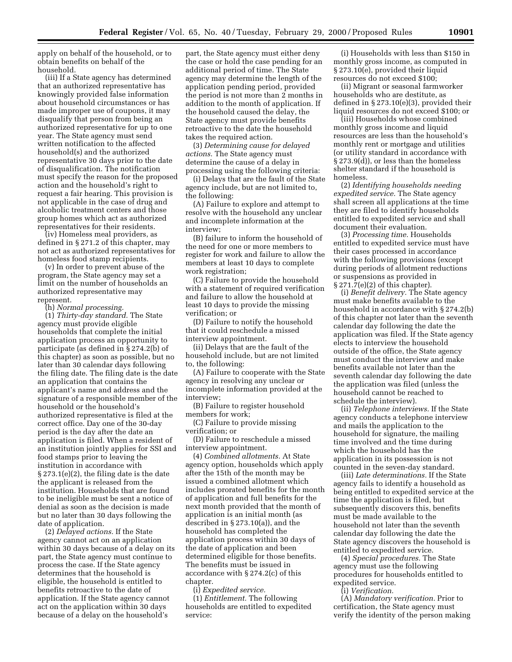apply on behalf of the household, or to obtain benefits on behalf of the household.

(iii) If a State agency has determined that an authorized representative has knowingly provided false information about household circumstances or has made improper use of coupons, it may disqualify that person from being an authorized representative for up to one year. The State agency must send written notification to the affected household(s) and the authorized representative 30 days prior to the date of disqualification. The notification must specify the reason for the proposed action and the household's right to request a fair hearing. This provision is not applicable in the case of drug and alcoholic treatment centers and those group homes which act as authorized representatives for their residents.

(iv) Homeless meal providers, as defined in § 271.2 of this chapter, may not act as authorized representatives for homeless food stamp recipients.

(v) In order to prevent abuse of the program, the State agency may set a limit on the number of households an authorized representative may represent.

(h) *Normal processing.* 

(1) *Thirty-day standard.* The State agency must provide eligible households that complete the initial application process an opportunity to participate (as defined in § 274.2(b) of this chapter) as soon as possible, but no later than 30 calendar days following the filing date. The filing date is the date an application that contains the applicant's name and address and the signature of a responsible member of the household or the household's authorized representative is filed at the correct office. Day one of the 30-day period is the day after the date an application is filed. When a resident of an institution jointly applies for SSI and food stamps prior to leaving the institution in accordance with § 273.1(e)(2), the filing date is the date the applicant is released from the institution. Households that are found to be ineligible must be sent a notice of denial as soon as the decision is made but no later than 30 days following the date of application.

(2) *Delayed actions.* If the State agency cannot act on an application within 30 days because of a delay on its part, the State agency must continue to process the case. If the State agency determines that the household is eligible, the household is entitled to benefits retroactive to the date of application. If the State agency cannot act on the application within 30 days because of a delay on the household's

part, the State agency must either deny the case or hold the case pending for an additional period of time. The State agency may determine the length of the application pending period, provided the period is not more than 2 months in addition to the month of application. If the household caused the delay, the State agency must provide benefits retroactive to the date the household takes the required action.

(3) *Determining cause for delayed actions.* The State agency must determine the cause of a delay in processing using the following criteria:

(i) Delays that are the fault of the State agency include, but are not limited to, the following:

(A) Failure to explore and attempt to resolve with the household any unclear and incomplete information at the interview;

(B) failure to inform the household of the need for one or more members to register for work and failure to allow the members at least 10 days to complete work registration;

(C) Failure to provide the household with a statement of required verification and failure to allow the household at least 10 days to provide the missing verification; or

(D) Failure to notify the household that it could reschedule a missed interview appointment.

(ii) Delays that are the fault of the household include, but are not limited to, the following:

(A) Failure to cooperate with the State agency in resolving any unclear or incomplete information provided at the interview;

(B) Failure to register household members for work;

(C) Failure to provide missing verification; or

(D) Failure to reschedule a missed interview appointment.

(4) *Combined allotments.* At State agency option, households which apply after the 15th of the month may be issued a combined allotment which includes prorated benefits for the month of application and full benefits for the next month provided that the month of application is an initial month (as described in § 273.10(a)), and the household has completed the application process within 30 days of the date of application and been determined eligible for those benefits. The benefits must be issued in accordance with § 274.2(c) of this chapter.

(i) *Expedited service.* 

(1) *Entitlement.* The following households are entitled to expedited service:

(i) Households with less than \$150 in monthly gross income, as computed in § 273.10(e), provided their liquid resources do not exceed \$100;

(ii) Migrant or seasonal farmworker households who are destitute, as defined in § 273.10(e)(3), provided their liquid resources do not exceed \$100; or

(iii) Households whose combined monthly gross income and liquid resources are less than the household's monthly rent or mortgage and utilities (or utility standard in accordance with § 273.9(d)), or less than the homeless shelter standard if the household is homeless.

(2) *Identifying households needing expedited service.* The State agency shall screen all applications at the time they are filed to identify households entitled to expedited service and shall document their evaluation.

(3) *Processing time.* Households entitled to expedited service must have their cases processed in accordance with the following provisions (except during periods of allotment reductions or suspensions as provided in § 271.7(e)(2) of this chapter).

(i) *Benefit delivery.* The State agency must make benefits available to the household in accordance with § 274.2(b) of this chapter not later than the seventh calendar day following the date the application was filed. If the State agency elects to interview the household outside of the office, the State agency must conduct the interview and make benefits available not later than the seventh calendar day following the date the application was filed (unless the household cannot be reached to schedule the interview).

(ii) *Telephone interviews.* If the State agency conducts a telephone interview and mails the application to the household for signature, the mailing time involved and the time during which the household has the application in its possession is not counted in the seven-day standard.

(iii) *Late determinations.* If the State agency fails to identify a household as being entitled to expedited service at the time the application is filed, but subsequently discovers this, benefits must be made available to the household not later than the seventh calendar day following the date the State agency discovers the household is entitled to expedited service.

(4) *Special procedures.* The State agency must use the following procedures for households entitled to expedited service.

(i) *Verification.* 

(A) *Mandatory verification.* Prior to certification, the State agency must verify the identity of the person making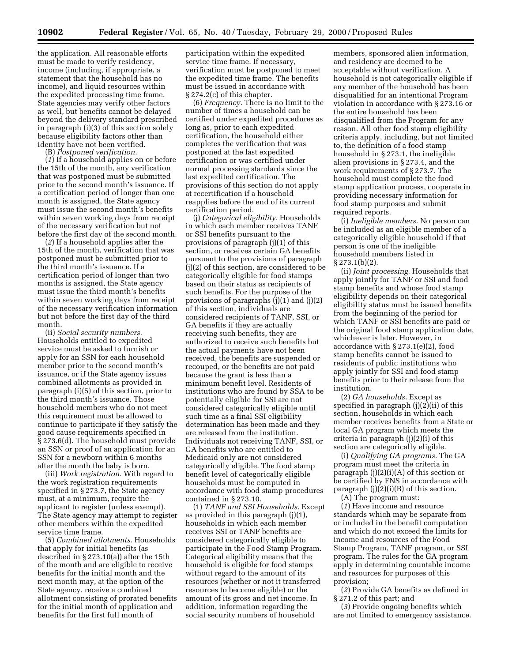the application. All reasonable efforts must be made to verify residency, income (including, if appropriate, a statement that the household has no income), and liquid resources within the expedited processing time frame. State agencies may verify other factors as well, but benefits cannot be delayed beyond the delivery standard prescribed in paragraph (i)(3) of this section solely because eligibility factors other than identity have not been verified.

(B) *Postponed verification.* 

(*1*) If a household applies on or before the 15th of the month, any verification that was postponed must be submitted prior to the second month's issuance. If a certification period of longer than one month is assigned, the State agency must issue the second month's benefits within seven working days from receipt of the necessary verification but not before the first day of the second month.

(*2*) If a household applies after the 15th of the month, verification that was postponed must be submitted prior to the third month's issuance. If a certification period of longer than two months is assigned, the State agency must issue the third month's benefits within seven working days from receipt of the necessary verification information but not before the first day of the third month.

(ii) *Social security numbers.* Households entitled to expedited service must be asked to furnish or apply for an SSN for each household member prior to the second month's issuance, or if the State agency issues combined allotments as provided in paragraph (i)(5) of this section, prior to the third month's issuance. Those household members who do not meet this requirement must be allowed to continue to participate if they satisfy the good cause requirements specified in § 273.6(d). The household must provide an SSN or proof of an application for an SSN for a newborn within 6 months after the month the baby is born.

(iii) *Work registration.* With regard to the work registration requirements specified in § 273.7, the State agency must, at a minimum, require the applicant to register (unless exempt). The State agency may attempt to register other members within the expedited service time frame.

(5) *Combined allotments.* Households that apply for initial benefits (as described in § 273.10(a)) after the 15th of the month and are eligible to receive benefits for the initial month and the next month may, at the option of the State agency, receive a combined allotment consisting of prorated benefits for the initial month of application and benefits for the first full month of

participation within the expedited service time frame. If necessary, verification must be postponed to meet the expedited time frame. The benefits must be issued in accordance with § 274.2(c) of this chapter.

(6) *Frequency.* There is no limit to the number of times a household can be certified under expedited procedures as long as, prior to each expedited certification, the household either completes the verification that was postponed at the last expedited certification or was certified under normal processing standards since the last expedited certification. The provisions of this section do not apply at recertification if a household reapplies before the end of its current certification period.

(j) *Categorical eligibility.* Households in which each member receives TANF or SSI benefits pursuant to the provisions of paragraph (j)(1) of this section, or receives certain GA benefits pursuant to the provisions of paragraph (j)(2) of this section, are considered to be categorically eligible for food stamps based on their status as recipients of such benefits. For the purpose of the provisions of paragraphs  $(i)(1)$  and  $(i)(2)$ of this section, individuals are considered recipients of TANF, SSI, or GA benefits if they are actually receiving such benefits, they are authorized to receive such benefits but the actual payments have not been received, the benefits are suspended or recouped, or the benefits are not paid because the grant is less than a minimum benefit level. Residents of institutions who are found by SSA to be potentially eligible for SSI are not considered categorically eligible until such time as a final SSI eligibility determination has been made and they are released from the institution. Individuals not receiving TANF, SSI, or GA benefits who are entitled to Medicaid only are not considered categorically eligible. The food stamp benefit level of categorically eligible households must be computed in accordance with food stamp procedures contained in § 273.10.

(1) *TANF and SSI Households.* Except as provided in this paragraph (j)(1), households in which each member receives SSI or TANF benefits are considered categorically eligible to participate in the Food Stamp Program. Categorical eligibility means that the household is eligible for food stamps without regard to the amount of its resources (whether or not it transferred resources to become eligible) or the amount of its gross and net income. In addition, information regarding the social security numbers of household

members, sponsored alien information, and residency are deemed to be acceptable without verification. A household is not categorically eligible if any member of the household has been disqualified for an intentional Program violation in accordance with § 273.16 or the entire household has been disqualified from the Program for any reason. All other food stamp eligibility criteria apply, including, but not limited to, the definition of a food stamp household in § 273.1, the ineligible alien provisions in § 273.4, and the work requirements of § 273.7. The household must complete the food stamp application process, cooperate in providing necessary information for food stamp purposes and submit required reports.

(i) *Ineligible members.* No person can be included as an eligible member of a categorically eligible household if that person is one of the ineligible household members listed in § 273.1(b)(2).

(ii) *Joint processing.* Households that apply jointly for TANF or SSI and food stamp benefits and whose food stamp eligibility depends on their categorical eligibility status must be issued benefits from the beginning of the period for which TANF or SSI benefits are paid or the original food stamp application date, whichever is later. However, in accordance with § 273.1(e)(2), food stamp benefits cannot be issued to residents of public institutions who apply jointly for SSI and food stamp benefits prior to their release from the institution.

(2) *GA households.* Except as specified in paragraph (j)(2)(ii) of this section, households in which each member receives benefits from a State or local GA program which meets the criteria in paragraph (j)(2)(i) of this section are categorically eligible.

(i) *Qualifying GA programs.* The GA program must meet the criteria in paragraph (j)(2)(i)(A) of this section or be certified by FNS in accordance with paragraph  $(j)(2)(i)(B)$  of this section.

(A) The program must:

(*1*) Have income and resource standards which may be separate from or included in the benefit computation and which do not exceed the limits for income and resources of the Food Stamp Program, TANF program, or SSI program. The rules for the GA program apply in determining countable income and resources for purposes of this provision;

(*2*) Provide GA benefits as defined in § 271.2 of this part; and

(*3*) Provide ongoing benefits which are not limited to emergency assistance.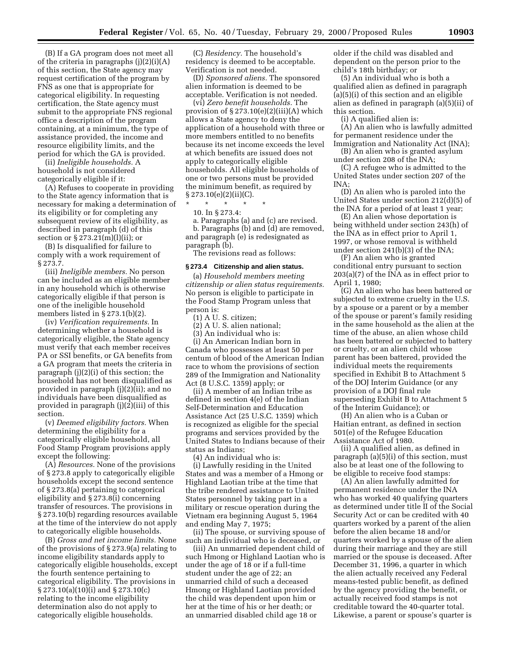(B) If a GA program does not meet all of the criteria in paragraphs  $(i)(2)(i)(A)$ of this section, the State agency may request certification of the program by FNS as one that is appropriate for categorical eligibility. In requesting certification, the State agency must submit to the appropriate FNS regional office a description of the program containing, at a minimum, the type of assistance provided, the income and resource eligibility limits, and the period for which the GA is provided.

(ii) *Ineligible households.* A household is not considered categorically eligible if it:

(A) Refuses to cooperate in providing to the State agency information that is necessary for making a determination of its eligibility or for completing any subsequent review of its eligibility, as described in paragraph (d) of this section or § 273.21(m)(l)(ii); or

(B) Is disqualified for failure to comply with a work requirement of § 273.7.

(iii) *Ineligible members.* No person can be included as an eligible member in any household which is otherwise categorically eligible if that person is one of the ineligible household members listed in § 273.1(b)(2).

(iv) *Verification requirements.* In determining whether a household is categorically eligible, the State agency must verify that each member receives PA or SSI benefits, or GA benefits from a GA program that meets the criteria in paragraph (j)(2)(i) of this section; the household has not been disqualified as provided in paragraph (j)(2)(ii); and no individuals have been disqualified as provided in paragraph (j)(2)(iii) of this section.

(v) *Deemed eligibility factors.* When determining the eligibility for a categorically eligible household, all Food Stamp Program provisions apply except the following:

(A) *Resources.* None of the provisions of § 273.8 apply to categorically eligible households except the second sentence of § 273.8(a) pertaining to categorical eligibility and § 273.8(i) concerning transfer of resources. The provisions in § 273.10(b) regarding resources available at the time of the interview do not apply to categorically eligible households.

(B) *Gross and net income limits.* None of the provisions of § 273.9(a) relating to income eligibility standards apply to categorically eligible households, except the fourth sentence pertaining to categorical eligibility. The provisions in § 273.10(a)(10)(i) and § 273.10(c) relating to the income eligibility determination also do not apply to categorically eligible households.

(C) *Residency.* The household's residency is deemed to be acceptable. Verification is not needed.

(D) *Sponsored aliens.* The sponsored alien information is deemed to be acceptable. Verification is not needed.

(vi) *Zero benefit households.* The provision of  $\S 273.10(e)(2)(iii)(A)$  which allows a State agency to deny the application of a household with three or more members entitled to no benefits because its net income exceeds the level at which benefits are issued does not apply to categorically eligible households. All eligible households of one or two persons must be provided the minimum benefit, as required by  $\S 273.10(e)(2)(ii)(C)$ .

\* \* \* \* \*

10. In § 273.4:

a. Paragraphs (a) and (c) are revised. b. Paragraphs (b) and (d) are removed, and paragraph (e) is redesignated as paragraph (b).

The revisions read as follows:

#### **§ 273.4 Citizenship and alien status.**

(a) *Household members meeting citizenship or alien status requirements.* No person is eligible to participate in the Food Stamp Program unless that person is:

(1) A U. S. citizen;

(2) A U. S. alien national;

(3) An individual who is:

(i) An American Indian born in Canada who possesses at least 50 per centum of blood of the American Indian race to whom the provisions of section 289 of the Immigration and Nationality Act (8 U.S.C. 1359) apply; or

(ii) A member of an Indian tribe as defined in section 4(e) of the Indian Self-Determination and Education Assistance Act (25 U.S.C. 1359) which is recognized as eligible for the special programs and services provided by the United States to Indians because of their status as Indians;

(4) An individual who is:

(i) Lawfully residing in the United States and was a member of a Hmong or Highland Laotian tribe at the time that the tribe rendered assistance to United States personnel by taking part in a military or rescue operation during the Vietnam era beginning August 5, 1964 and ending May 7, 1975;

(ii) The spouse, or surviving spouse of such an individual who is deceased, or

(iii) An unmarried dependent child of such Hmong or Highland Laotian who is under the age of 18 or if a full-time student under the age of 22; an unmarried child of such a deceased Hmong or Highland Laotian provided the child was dependent upon him or her at the time of his or her death; or an unmarried disabled child age 18 or

older if the child was disabled and dependent on the person prior to the child's 18th birthday; or

(5) An individual who is both a qualified alien as defined in paragraph (a)(5)(i) of this section and an eligible alien as defined in paragraph (a)(5)(ii) of this section.

(i) A qualified alien is:

(A) An alien who is lawfully admitted for permanent residence under the Immigration and Nationality Act (INA);

(B) An alien who is granted asylum under section 208 of the INA;

(C) A refugee who is admitted to the United States under section 207 of the INA;

(D) An alien who is paroled into the United States under section 212(d)(5) of the INA for a period of at least 1 year;

(E) An alien whose deportation is being withheld under section 243(h) of the INA as in effect prior to April 1, 1997, or whose removal is withheld under section 241(b)(3) of the INA;

(F) An alien who is granted conditional entry pursuant to section 203(a)(7) of the INA as in effect prior to April 1, 1980;

(G) An alien who has been battered or subjected to extreme cruelty in the U.S. by a spouse or a parent or by a member of the spouse or parent's family residing in the same household as the alien at the time of the abuse, an alien whose child has been battered or subjected to battery or cruelty, or an alien child whose parent has been battered, provided the individual meets the requirements specified in Exhibit B to Attachment 5 of the DOJ Interim Guidance (or any provision of a DOJ final rule superseding Exhibit B to Attachment 5 of the Interim Guidance); or

(H) An alien who is a Cuban or Haitian entrant, as defined in section 501(e) of the Refugee Education Assistance Act of 1980.

(ii) A qualified alien, as defined in paragraph (a)(5)(i) of this section, must also be at least one of the following to be eligible to receive food stamps:

(A) An alien lawfully admitted for permanent residence under the INA who has worked 40 qualifying quarters as determined under title II of the Social Security Act or can be credited with 40 quarters worked by a parent of the alien before the alien became 18 and/or quarters worked by a spouse of the alien during their marriage and they are still married or the spouse is deceased. After December 31, 1996, a quarter in which the alien actually received any Federal means-tested public benefit, as defined by the agency providing the benefit, or actually received food stamps is not creditable toward the 40-quarter total. Likewise, a parent or spouse's quarter is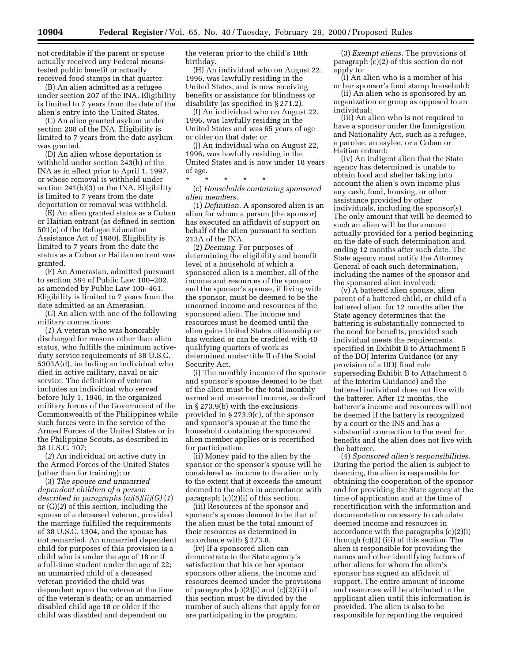not creditable if the parent or spouse actually received any Federal meanstested public benefit or actually received food stamps in that quarter.

(B) An alien admitted as a refugee under section 207 of the INA. Eligibility is limited to 7 years from the date of the alien's entry into the United States.

(C) An alien granted asylum under section 208 of the INA. Eligibility is limited to 7 years from the date asylum was granted.

(D) An alien whose deportation is withheld under section 243(h) of the INA as in effect prior to April 1, 1997, or whose removal is withheld under section 241(b)(3) or the INA. Eligibility is limited to 7 years from the date deportation or removal was withheld.

(E) An alien granted status as a Cuban or Haitian entrant (as defined in section 501(e) of the Refugee Education Assistance Act of 1980). Eligibility is limited to 7 years from the date the status as a Cuban or Haitian entrant was granted.

(F) An Amerasian, admitted pursuant to section 584 of Public Law 100–202, as amended by Public Law 100–461. Eligibility is limited to 7 years from the date admitted as an Amerasian.

(G) An alien with one of the following military connections:

(*1*) A veteran who was honorably discharged for reasons other than alien status, who fulfills the minimum activeduty service requirements of 38 U.S.C. 5303A(d), including an individual who died in active military, naval or air service. The definition of veteran includes an individual who served before July 1, 1946, in the organized military forces of the Government of the Commonwealth of the Philippines while such forces were in the service of the Armed Forces of the United States or in the Philippine Scouts, as described in 38 U.S.C. 107;

(*2*) An individual on active duty in the Armed Forces of the United States (other than for training); or

(3) *The spouse and unmarried dependent children of a person described in paragraphs (a)(5)(ii)(G)* (*1*) or (G)(*2*) of this section, including the spouse of a deceased veteran, provided the marriage fulfilled the requirements of 38 U.S.C. 1304, and the spouse has not remarried. An unmarried dependent child for purposes of this provision is a child who is under the age of 18 or if a full-time student under the age of 22; an unmarried child of a deceased veteran provided the child was dependent upon the veteran at the time of the veteran's death; or an unmarried disabled child age 18 or older if the child was disabled and dependent on

the veteran prior to the child's 18th birthday.

(H) An individual who on August 22, 1996, was lawfully residing in the United States, and is now receiving benefits or assistance for blindness or disability (as specified in § 271.2).

(I) An individual who on August 22, 1996, was lawfully residing in the United States and was 65 years of age or older on that date; or

(J) An individual who on August 22, 1996, was lawfully residing in the United States and is now under 18 years of age.

\* \* \* \* \*

(c) *Households containing sponsored alien members.*

(1) *Definition.* A sponsored alien is an alien for whom a person (the sponsor) has executed an affidavit of support on behalf of the alien pursuant to section 213A of the INA.

(2) *Deeming.* For purposes of determining the eligibility and benefit level of a household of which a sponsored alien is a member, all of the income and resources of the sponsor and the sponsor's spouse, if living with the sponsor, must be deemed to be the unearned income and resources of the sponsored alien. The income and resources must be deemed until the alien gains United States citizenship or has worked or can be credited with 40 qualifying quarters of work as determined under title II of the Social Security Act.

(i) The monthly income of the sponsor and sponsor's spouse deemed to be that of the alien must be the total monthly earned and unearned income, as defined in § 273.9(b) with the exclusions provided in § 273.9(c), of the sponsor and sponsor's spouse at the time the household containing the sponsored alien member applies or is recertified for participation.

(ii) Money paid to the alien by the sponsor or the sponsor's spouse will be considered as income to the alien only to the extent that it exceeds the amount deemed to the alien in accordance with paragraph (c)(2)(i) of this section.

(iii) Resources of the sponsor and sponsor's spouse deemed to be that of the alien must be the total amount of their resources as determined in accordance with § 273.8.

(iv) If a sponsored alien can demonstrate to the State agency's satisfaction that his or her sponsor sponsors other aliens, the income and resources deemed under the provisions of paragraphs  $(c)(2)(i)$  and  $(c)(2)(iii)$  of this section must be divided by the number of such aliens that apply for or are participating in the program.

(3) *Exempt aliens.* The provisions of paragraph (c)(2) of this section do not apply to:

(i) An alien who is a member of his or her sponsor's food stamp household;

(ii) An alien who is sponsored by an organization or group as opposed to an individual;

(iii) An alien who is not required to have a sponsor under the Immigration and Nationality Act, such as a refugee, a parolee, an asylee, or a Cuban or Haitian entrant;

(iv) An indigent alien that the State agency has determined is unable to obtain food and shelter taking into account the alien's own income plus any cash, food, housing, or other assistance provided by other individuals, including the sponsor(s). The only amount that will be deemed to such an alien will be the amount actually provided for a period beginning on the date of such determination and ending 12 months after such date. The State agency must notify the Attorney General of each such determination, including the names of the sponsor and the sponsored alien involved;

(v) A battered alien spouse, alien parent of a battered child, or child of a battered alien, for 12 months after the State agency determines that the battering is substantially connected to the need for benefits, provided such individual meets the requirements specified in Exhibit B to Attachment 5 of the DOJ Interim Guidance (or any provision of a DOJ final rule superseding Exhibit B to Attachment 5 of the Interim Guidance) and the battered individual does not live with the batterer. After 12 months, the batterer's income and resources will not be deemed if the battery is recognized by a court or the INS and has a substantial connection to the need for benefits and the alien does not live with the batterer.

(4) *Sponsored alien's responsibilities.* During the period the alien is subject to deeming, the alien is responsible for obtaining the cooperation of the sponsor and for providing the State agency at the time of application and at the time of recertification with the information and documentation necessary to calculate deemed income and resources in accordance with the paragraphs (c)(2)(i) through (c)(2) (iii) of this section. The alien is responsible for providing the names and other identifying factors of other aliens for whom the alien's sponsor has signed an affidavit of support. The entire amount of income and resources will be attributed to the applicant alien until this information is provided. The alien is also to be responsible for reporting the required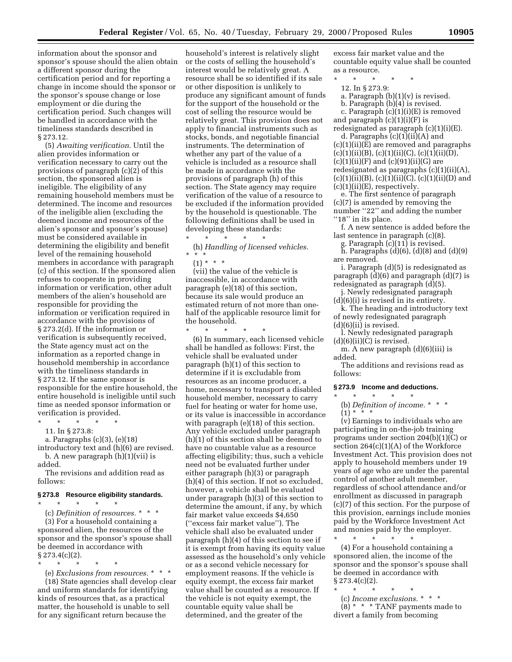information about the sponsor and sponsor's spouse should the alien obtain a different sponsor during the certification period and for reporting a change in income should the sponsor or the sponsor's spouse change or lose employment or die during the certification period. Such changes will be handled in accordance with the timeliness standards described in § 273.12.

(5) *Awaiting verification.* Until the alien provides information or verification necessary to carry out the provisions of paragraph (c)(2) of this section, the sponsored alien is ineligible. The eligibility of any remaining household members must be determined. The income and resources of the ineligible alien (excluding the deemed income and resources of the alien's sponsor and sponsor's spouse) must be considered available in determining the eligibility and benefit level of the remaining household members in accordance with paragraph (c) of this section. If the sponsored alien refuses to cooperate in providing information or verification, other adult members of the alien's household are responsible for providing the information or verification required in accordance with the provisions of § 273.2(d). If the information or verification is subsequently received, the State agency must act on the information as a reported change in household membership in accordance with the timeliness standards in § 273.12. If the same sponsor is responsible for the entire household, the entire household is ineligible until such time as needed sponsor information or verification is provided. \* \* \* \* \*

11. In § 273.8:

a. Paragraphs (c)(3), (e)(18)

introductory text and (h)(6) are revised. b. A new paragraph (h)(1)(vii) is added.

The revisions and addition read as follows:

#### **§ 273.8 Resource eligibility standards.**

\* \* \* \* \* (c) *Definition of resources.* \*\*\* (3) For a household containing a sponsored alien, the resources of the sponsor and the sponsor's spouse shall be deemed in accordance with  $\S 273.4(c)(2)$ .

\* \* \* \* \*

(e) *Exclusions from resources.* \*\*\* (18) State agencies shall develop clear and uniform standards for identifying kinds of resources that, as a practical matter, the household is unable to sell for any significant return because the

household's interest is relatively slight or the costs of selling the household's interest would be relatively great. A resource shall be so identified if its sale or other disposition is unlikely to produce any significant amount of funds for the support of the household or the cost of selling the resource would be relatively great. This provision does not apply to financial instruments such as stocks, bonds, and negotiable financial instruments. The determination of whether any part of the value of a vehicle is included as a resource shall be made in accordance with the provisions of paragraph (h) of this section. The State agency may require verification of the value of a resource to be excluded if the information provided by the household is questionable. The following definitions shall be used in developing these standards: \* \* \* \* \*

(h) *Handling of licensed vehicles.* \*\*\*

(1) \* \* \*

\* \* \* \* \*

(vii) the value of the vehicle is inaccessible, in accordance with paragraph (e)(18) of this section, because its sale would produce an estimated return of not more than onehalf of the applicable resource limit for the household.

(6) In summary, each licensed vehicle shall be handled as follows: First, the vehicle shall be evaluated under paragraph (h)(1) of this section to determine if it is excludable from resources as an income producer, a home, necessary to transport a disabled household member, necessary to carry fuel for heating or water for home use, or its value is inaccessible in accordance with paragraph (e)(18) of this section. Any vehicle excluded under paragraph (h)(1) of this section shall be deemed to have no countable value as a resource affecting eligibility; thus, such a vehicle need not be evaluated further under either paragraph (h)(3) or paragraph (h)(4) of this section. If not so excluded, however, a vehicle shall be evaluated under paragraph (h)(3) of this section to determine the amount, if any, by which fair market value exceeds \$4,650 (''excess fair market value''). The vehicle shall also be evaluated under paragraph (h)(4) of this section to see if it is exempt from having its equity value assessed as the household's only vehicle or as a second vehicle necessary for employment reasons. If the vehicle is equity exempt, the excess fair market value shall be counted as a resource. If the vehicle is not equity exempt, the countable equity value shall be determined, and the greater of the

excess fair market value and the countable equity value shall be counted as a resource.

\* \* \* \* \*

- 12. In § 273.9:
- a. Paragraph  $(b)(1)(v)$  is revised.
- b. Paragraph (b)(4) is revised.

c. Paragraph (c)(1)(i)(E) is removed and paragraph  $(c)(1)(i)(F)$  is

redesignated as paragraph (c)(1)(i)(E). d. Paragraphs  $(c)(1)(ii)(A)$  and

(c)(1)(ii)(E) are removed and paragraphs  $(c)(1)(ii)(B), (c)(1)(ii)(C), (c)(1)(ii)(D),$  $(c)(1)(ii)(F)$  and  $(c)(91)(ii)(G)$  are redesignated as paragraphs (c)(1)(ii)(A),  $(c)(1)(ii)(B), (c)(1)(ii)(C), (c)(1)(ii)(D)$  and  $(c)(1)(ii)(E)$ , respectively.

e. The first sentence of paragraph (c)(7) is amended by removing the number "22" and adding the number "18" in its place.

f. A new sentence is added before the last sentence in paragraph (c)(8).

g. Paragraph (c)(11) is revised.  $\check{h}$ . Paragraphs (d)(6), (d)(8) and (d)(9)

are removed.

i. Paragraph (d)(5) is redesignated as paragraph (d)(6) and paragraph (d)(7) is redesignated as paragraph (d)(5).

j. Newly redesignated paragraph  $(d)(6)(i)$  is revised in its entirety.

k. The heading and introductory text of newly redesignated paragraph  $(d)(6)(ii)$  is revised.

l. Newly redesignated paragraph  $(d)(6)(ii)(C)$  is revised.

m. A new paragraph (d)(6)(iii) is added.

The additions and revisions read as follows:

# **§ 273.9 Income and deductions.**

\* \* \* \* \* (b) *Definition of income.* \*\*\*  $(1) * * * *$ 

(v) Earnings to individuals who are participating in on-the-job training programs under section 204(b)(1)(C) or section  $264(c)(1)(A)$  of the Workforce Investment Act. This provision does not apply to household members under 19 years of age who are under the parental control of another adult member, regardless of school attendance and/or enrollment as discussed in paragraph (c)(7) of this section. For the purpose of this provision, earnings include monies paid by the Workforce Investment Act and monies paid by the employer.

\* \* \* \* \* (4) For a household containing a sponsored alien, the income of the sponsor and the sponsor's spouse shall be deemed in accordance with  $\S 273.4(c)(2)$ .

- \* \* \* \* \*
	- (c) *Income exclusions.* \*\*\*

(8) \* \* \* TANF payments made to divert a family from becoming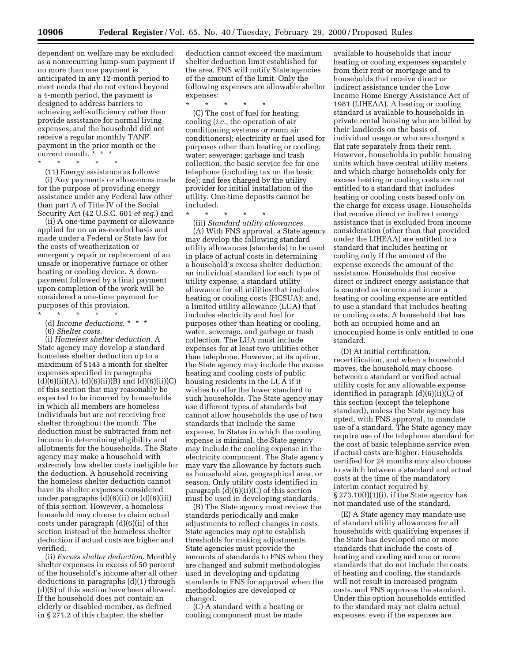dependent on welfare may be excluded as a nonrecurring lump-sum payment if no more than one payment is anticipated in any 12-month period to meet needs that do not extend beyond a 4-month period, the payment is designed to address barriers to achieving self-sufficiency rather than provide assistance for normal living expenses, and the household did not receive a regular monthly TANF payment in the prior month or the current month. \* \* \*

\* \* \* \* \*

(11) Energy assistance as follows: (i) Any payments or allowances made for the purpose of providing energy assistance under any Federal law other than part A of Title IV of the Social Security Act (42 U.S.C. 601 *et seq.*) and

(ii) A one-time payment or allowance applied for on an as-needed basis and made under a Federal or State law for the costs of weatherization or emergency repair or replacement of an unsafe or inoperative furnace or other heating or cooling device. A downpayment followed by a final payment upon completion of the work will be considered a one-time payment for purposes of this provision.

- \* \* \* \* \*
- (d) *Income deductions.* \*\*\*
- (6) *Shelter costs.*

(i) *Homeless shelter deduction.* A State agency may develop a standard homeless shelter deduction up to a maximum of \$143 a month for shelter expenses specified in paragraphs  $(d)(6)(ii)(A), (d)(6)(ii)(B)$  and  $(d)(6)(ii)(C)$ of this section that may reasonably be expected to be incurred by households in which all members are homeless individuals but are not receiving free shelter throughout the month. The deduction must be subtracted from net income in determining eligibility and allotments for the households. The State agency may make a household with extremely low shelter costs ineligible for the deduction. A household receiving the homeless shelter deduction cannot have its shelter expenses considered under paragraphs  $(d)(6)(ii)$  or  $(d)(6)(iii)$ of this section. However, a homeless household may choose to claim actual costs under paragraph (d)(6)(ii) of this section instead of the homeless shelter deduction if actual costs are higher and verified.

(ii) *Excess shelter deduction.* Monthly shelter expenses in excess of 50 percent of the household's income after all other deductions in paragraphs (d)(1) through (d)(5) of this section have been allowed. If the household does not contain an elderly or disabled member, as defined in § 271.2 of this chapter, the shelter

deduction cannot exceed the maximum shelter deduction limit established for the area. FNS will notify State agencies of the amount of the limit. Only the following expenses are allowable shelter expenses:

\* \* \* \* \*

(C) The cost of fuel for heating; cooling (*i.e.*, the operation of air conditioning systems or room air conditioners); electricity or fuel used for purposes other than heating or cooling; water; sewerage; garbage and trash collection; the basic service fee for one telephone (including tax on the basic fee); and fees charged by the utility provider for initial installation of the utility. One-time deposits cannot be included.

\* \* \* \* \*

(iii) *Standard utility allowances.* (A) With FNS approval, a State agency may develop the following standard utility allowances (standards) to be used in place of actual costs in determining a household's excess shelter deduction: an individual standard for each type of utility expense; a standard utility allowance for all utilities that includes heating or cooling costs (HCSUA); and, a limited utility allowance (LUA) that includes electricity and fuel for purposes other than heating or cooling, water, sewerage, and garbage or trash collection. The LUA must include expenses for at least two utilities other than telephone. However, at its option, the State agency may include the excess heating and cooling costs of public housing residents in the LUA if it wishes to offer the lower standard to such households. The State agency may use different types of standards but cannot allow households the use of two standards that include the same expense. In States in which the cooling expense is minimal, the State agency may include the cooling expense in the electricity component. The State agency may vary the allowance by factors such as household size, geographical area, or season. Only utility costs identified in paragraph  $(d)(6)(ii)(C)$  of this section must be used in developing standards.

(B) The State agency must review the standards periodically and make adjustments to reflect changes in costs. State agencies may opt to establish thresholds for making adjustments. State agencies must provide the amounts of standards to FNS when they are changed and submit methodologies used in developing and updating standards to FNS for approval when the methodologies are developed or changed.

(C) A standard with a heating or cooling component must be made

available to households that incur heating or cooling expenses separately from their rent or mortgage and to households that receive direct or indirect assistance under the Low Income Home Energy Assistance Act of 1981 (LIHEAA). A heating or cooling standard is available to households in private rental housing who are billed by their landlords on the basis of individual usage or who are charged a flat rate separately from their rent. However, households in public housing units which have central utility meters and which charge households only for excess heating or cooling costs are not entitled to a standard that includes heating or cooling costs based only on the charge for excess usage. Households that receive direct or indirect energy assistance that is excluded from income consideration (other than that provided under the LIHEAA) are entitled to a standard that includes heating or cooling only if the amount of the expense exceeds the amount of the assistance. Households that receive direct or indirect energy assistance that is counted as income and incur a heating or cooling expense are entitled to use a standard that includes heating or cooling costs. A household that has both an occupied home and an unoccupied home is only entitled to one standard.

(D) At initial certification, recertification, and when a household moves, the household may choose between a standard or verified actual utility costs for any allowable expense identified in paragraph (d)(6)(ii)(C) of this section (except the telephone standard), unless the State agency has opted, with FNS approval, to mandate use of a standard. The State agency may require use of the telephone standard for the cost of basic telephone service even if actual costs are higher. Households certified for 24 months may also choose to switch between a standard and actual costs at the time of the mandatory interim contact required by § 273.10(f)(1)(i), if the State agency has not mandated use of the standard.

(E) A State agency may mandate use of standard utility allowances for all households with qualifying expenses if the State has developed one or more standards that include the costs of heating and cooling and one or more standards that do not include the costs of heating and cooling, the standards will not result in increased program costs, and FNS approves the standard. Under this option households entitled to the standard may not claim actual expenses, even if the expenses are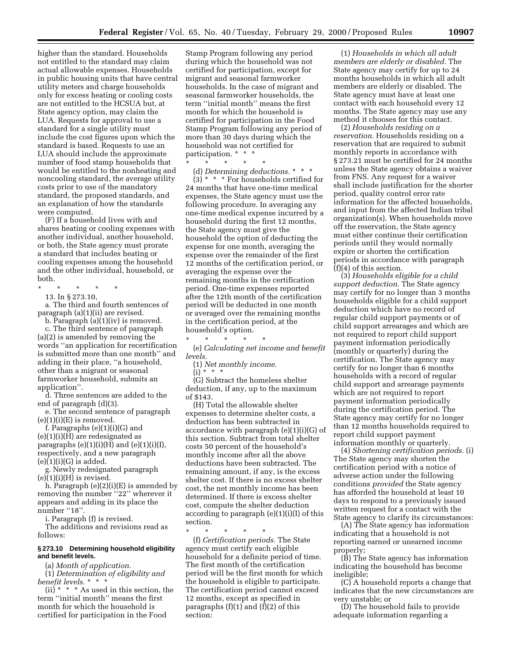higher than the standard. Households not entitled to the standard may claim actual allowable expenses. Households in public housing units that have central utility meters and charge households only for excess heating or cooling costs are not entitled to the HCSUA but, at State agency option, may claim the LUA. Requests for approval to use a standard for a single utility must include the cost figures upon which the standard is based. Requests to use an LUA should include the approximate number of food stamp households that would be entitled to the nonheating and noncooling standard, the average utility costs prior to use of the mandatory standard, the proposed standards, and an explanation of how the standards were computed.

(F) If a household lives with and shares heating or cooling expenses with another individual, another household, or both, the State agency must prorate a standard that includes heating or cooling expenses among the household and the other individual, household, or both.

\* \* \* \* \*

13. In § 273.10,

a. The third and fourth sentences of paragraph (a)(1)(ii) are revised.

b. Paragraph (a)(1)(iv) is removed. c. The third sentence of paragraph (a)(2) is amended by removing the words ''an application for recertification is submitted more than one month'' and adding in their place, ''a household, other than a migrant or seasonal farmworker household, submits an application''.

d. Three sentences are added to the end of paragraph (d)(3).

e. The second sentence of paragraph  $(e)(1)(i)(E)$  is removed.

f. Paragraphs (e)(1)(i)(G) and  $(e)(1)(i)(H)$  are redesignated as paragraphs  $(e)(1)(i)(H)$  and  $(e)(1)(i)(I)$ , respectively, and a new paragraph  $(e)(1)(i)(G)$  is added.

g. Newly redesignated paragraph  $(e)(1)(i)(H)$  is revised.

h. Paragraph (e)(2)(i)(E) is amended by removing the number "22" wherever it appears and adding in its place the number ''18''.

i. Paragraph (f) is revised.

The additions and revisions read as follows:

#### **§ 273.10 Determining household eligibility and benefit levels.**

(a) *Month of application.*

(1) *Determination of eligibility and benefit levels.* \*\*\*

 $(ii)$ <sup>\*</sup> \* \* As used in this section, the term ''initial month'' means the first month for which the household is certified for participation in the Food

Stamp Program following any period during which the household was not certified for participation, except for migrant and seasonal farmworker households. In the case of migrant and seasonal farmworker households, the term ''initial month'' means the first month for which the household is certified for participation in the Food Stamp Program following any period of more than 30 days during which the household was not certified for participation. \* \* \*

 $\star$   $\star$   $\star$ 

(d) *Determining deductions.* \*\*\*  $(3)$  \* \* \* For households certified for 24 months that have one-time medical expenses, the State agency must use the following procedure. In averaging any one-time medical expense incurred by a household during the first 12 months, the State agency must give the household the option of deducting the expense for one month, averaging the expense over the remainder of the first 12 months of the certification period, or averaging the expense over the remaining months in the certification period. One-time expenses reported after the 12th month of the certification period will be deducted in one month or averaged over the remaining months in the certification period, at the household's option.

(e) *Calculating net income and benefit levels.*

(1) *Net monthly income.*

 $\star$   $\star$   $\star$ 

(i) \* \* \*

(G) Subtract the homeless shelter deduction, if any, up to the maximum of \$143.

(H) Total the allowable shelter expenses to determine shelter costs, a deduction has been subtracted in accordance with paragraph (e)(1)(i)(G) of this section. Subtract from total shelter costs 50 percent of the household's monthly income after all the above deductions have been subtracted. The remaining amount, if any, is the excess shelter cost. If there is no excess shelter cost, the net monthly income has been determined. If there is excess shelter cost, compute the shelter deduction according to paragraph  $(e)(1)(i)(I)$  of this section.

\* \* \* \* \*

(f) *Certification periods.* The State agency must certify each eligible household for a definite period of time. The first month of the certification period will be the first month for which the household is eligible to participate. The certification period cannot exceed 12 months, except as specified in paragraphs (f)(1) and (f)(2) of this section:

(1) *Households in which all adult members are elderly or disabled.* The State agency may certify for up to 24 months households in which all adult members are elderly or disabled. The State agency must have at least one contact with each household every 12 months. The State agency may use any method it chooses for this contact.

(2) *Households residing on a reservation.* Households residing on a reservation that are required to submit monthly reports in accordance with § 273.21 must be certified for 24 months unless the State agency obtains a waiver from FNS. Any request for a waiver shall include justification for the shorter period, quality control error rate information for the affected households, and input from the affected Indian tribal organization(s). When households move off the reservation, the State agency must either continue their certification periods until they would normally expire or shorten the certification periods in accordance with paragraph (f)(4) of this section.

(3) *Households eligible for a child support deduction.* The State agency may certify for no longer than 3 months households eligible for a child support deduction which have no record of regular child support payments or of child support arrearages and which are not required to report child support payment information periodically (monthly or quarterly) during the certification. The State agency may certify for no longer than 6 months households with a record of regular child support and arrearage payments which are not required to report payment information periodically during the certification period. The State agency may certify for no longer than 12 months households required to report child support payment information monthly or quarterly.

(4) *Shortening certification periods.* (i) The State agency may shorten the certification period with a notice of adverse action under the following conditions *provided* the State agency has afforded the household at least 10 days to respond to a previously issued written request for a contact with the State agency to clarify its circumstances:

(A) The State agency has information indicating that a household is not reporting earned or unearned income properly;

(B) The State agency has information indicating the household has become ineligible;

(C) A household reports a change that indicates that the new circumstances are very unstable; or

(D) The household fails to provide adequate information regarding a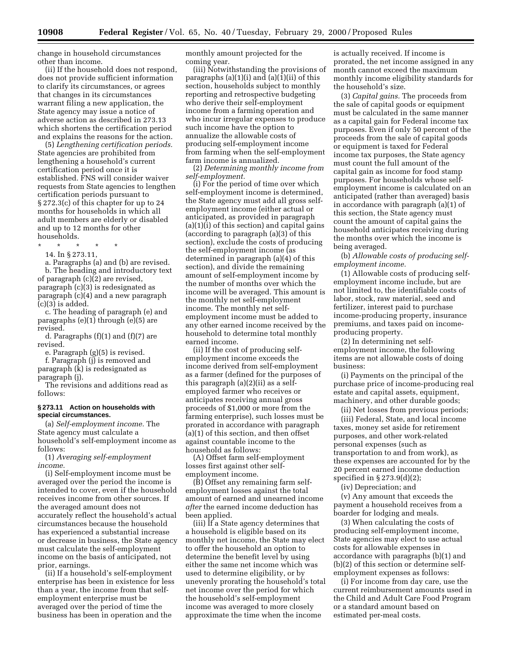change in household circumstances other than income.

(ii) If the household does not respond, does not provide sufficient information to clarify its circumstances, or agrees that changes in its circumstances warrant filing a new application, the State agency may issue a notice of adverse action as described in 273.13 which shortens the certification period and explains the reasons for the action.

(5) *Lengthening certification periods.* State agencies are prohibited from lengthening a household's current certification period once it is established. FNS will consider waiver requests from State agencies to lengthen certification periods pursuant to § 272.3(c) of this chapter for up to 24 months for households in which all adult members are elderly or disabled and up to 12 months for other households.

\* \* \* \* \*

14. In § 273.11,

a. Paragraphs (a) and (b) are revised. b. The heading and introductory text of paragraph (c)(2) are revised, paragraph (c)(3) is redesignated as paragraph (c)(4) and a new paragraph  $(c)(3)$  is added.

c. The heading of paragraph (e) and paragraphs (e)(1) through (e)(5) are revised.

d. Paragraphs (f)(1) and (f)(7) are revised.

e. Paragraph (g)(5) is revised.

f. Paragraph (j) is removed and paragraph (k) is redesignated as paragraph (j).

The revisions and additions read as follows:

#### **§ 273.11 Action on households with special circumstances.**

(a) *Self-employment income.* The State agency must calculate a household's self-employment income as follows:

(1) *Averaging self-employment income.*

(i) Self-employment income must be averaged over the period the income is intended to cover, even if the household receives income from other sources. If the averaged amount does not accurately reflect the household's actual circumstances because the household has experienced a substantial increase or decrease in business, the State agency must calculate the self-employment income on the basis of anticipated, not prior, earnings.

(ii) If a household's self-employment enterprise has been in existence for less than a year, the income from that selfemployment enterprise must be averaged over the period of time the business has been in operation and the

monthly amount projected for the coming year.

(iii) Notwithstanding the provisions of paragraphs (a)(1)(i) and (a)(1)(ii) of this section, households subject to monthly reporting and retrospective budgeting who derive their self-employment income from a farming operation and who incur irregular expenses to produce such income have the option to annualize the allowable costs of producing self-employment income from farming when the self-employment farm income is annualized.

(2) *Determining monthly income from self-employment.*

(i) For the period of time over which self-employment income is determined, the State agency must add all gross selfemployment income (either actual or anticipated, as provided in paragraph (a)(1)(i) of this section) and capital gains (according to paragraph (a)(3) of this section), exclude the costs of producing the self-employment income (as determined in paragraph (a)(4) of this section), and divide the remaining amount of self-employment income by the number of months over which the income will be averaged. This amount is the monthly net self-employment income. The monthly net selfemployment income must be added to any other earned income received by the household to determine total monthly earned income.

(ii) If the cost of producing selfemployment income exceeds the income derived from self-employment as a farmer (defined for the purposes of this paragraph (a)(2)(ii) as a selfemployed farmer who receives or anticipates receiving annual gross proceeds of \$1,000 or more from the farming enterprise), such losses must be prorated in accordance with paragraph (a)(1) of this section, and then offset against countable income to the household as follows:

(A) Offset farm self-employment losses first against other selfemployment income.

(B) Offset any remaining farm selfemployment losses against the total amount of earned and unearned income *after* the earned income deduction has been applied.

(iii) If a State agency determines that a household is eligible based on its monthly net income, the State may elect to offer the household an option to determine the benefit level by using either the same net income which was used to determine eligibility, or by unevenly prorating the household's total net income over the period for which the household's self-employment income was averaged to more closely approximate the time when the income

is actually received. If income is prorated, the net income assigned in any month cannot exceed the maximum monthly income eligibility standards for the household's size.

(3) *Capital gains.* The proceeds from the sale of capital goods or equipment must be calculated in the same manner as a capital gain for Federal income tax purposes. Even if only 50 percent of the proceeds from the sale of capital goods or equipment is taxed for Federal income tax purposes, the State agency must count the full amount of the capital gain as income for food stamp purposes. For households whose selfemployment income is calculated on an anticipated (rather than averaged) basis in accordance with paragraph (a)(1) of this section, the State agency must count the amount of capital gains the household anticipates receiving during the months over which the income is being averaged.

(b) *Allowable costs of producing selfemployment income.*

(1) Allowable costs of producing selfemployment income include, but are not limited to, the identifiable costs of labor, stock, raw material, seed and fertilizer, interest paid to purchase income-producing property, insurance premiums, and taxes paid on incomeproducing property.

(2) In determining net selfemployment income, the following items are not allowable costs of doing business:

(i) Payments on the principal of the purchase price of income-producing real estate and capital assets, equipment, machinery, and other durable goods;

(ii) Net losses from previous periods;

(iii) Federal, State, and local income taxes, money set aside for retirement purposes, and other work-related personal expenses (such as transportation to and from work), as these expenses are accounted for by the 20 percent earned income deduction specified in § 273.9(d)(2);

(iv) Depreciation; and

(v) Any amount that exceeds the payment a household receives from a boarder for lodging and meals.

(3) When calculating the costs of producing self-employment income, State agencies may elect to use actual costs for allowable expenses in accordance with paragraphs (b)(1) and (b)(2) of this section or determine selfemployment expenses as follows:

(i) For income from day care, use the current reimbursement amounts used in the Child and Adult Care Food Program or a standard amount based on estimated per-meal costs.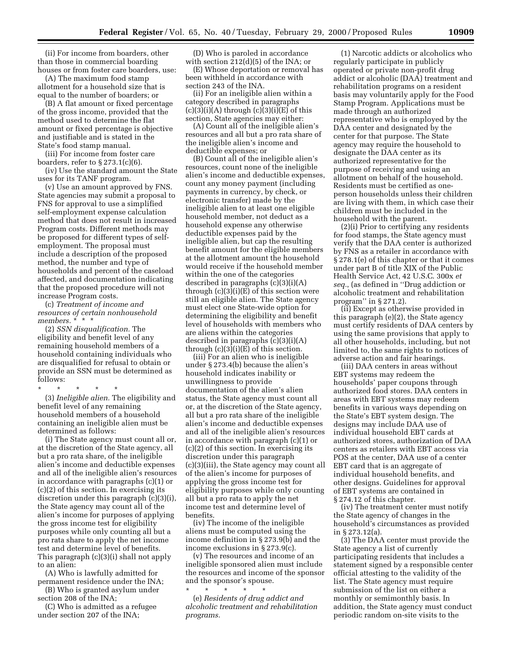(ii) For income from boarders, other than those in commercial boarding houses or from foster care boarders, use:

(A) The maximum food stamp allotment for a household size that is equal to the number of boarders; or

(B) A flat amount or fixed percentage of the gross income, provided that the method used to determine the flat amount or fixed percentage is objective and justifiable and is stated in the State's food stamp manual.

(iii) For income from foster care boarders, refer to § 273.1(c)(6).

(iv) Use the standard amount the State uses for its TANF program.

(v) Use an amount approved by FNS. State agencies may submit a proposal to FNS for approval to use a simplified self-employment expense calculation method that does not result in increased Program costs. Different methods may be proposed for different types of selfemployment. The proposal must include a description of the proposed method, the number and type of households and percent of the caseload affected, and documentation indicating that the proposed procedure will not increase Program costs.

(c) *Treatment of income and resources of certain nonhousehold* members. \*<sup>\*</sup> \* \*

(2) *SSN disqualification.* The eligibility and benefit level of any remaining household members of a household containing individuals who are disqualified for refusal to obtain or provide an SSN must be determined as follows:

\* \* \* \* \* (3) *Ineligible alien.* The eligibility and benefit level of any remaining household members of a household containing an ineligible alien must be determined as follows:

(i) The State agency must count all or, at the discretion of the State agency, all but a pro rata share, of the ineligible alien's income and deductible expenses and all of the ineligible alien's resources in accordance with paragraphs (c)(1) or (c)(2) of this section. In exercising its discretion under this paragraph (c)(3)(i), the State agency may count all of the alien's income for purposes of applying the gross income test for eligibility purposes while only counting all but a pro rata share to apply the net income test and determine level of benefits. This paragraph (c)(3)(i) shall not apply to an alien:

(A) Who is lawfully admitted for permanent residence under the INA;

(B) Who is granted asylum under section 208 of the INA;

(C) Who is admitted as a refugee under section 207 of the INA;

(D) Who is paroled in accordance with section 212(d)(5) of the INA; or

(E) Whose deportation or removal has been withheld in accordance with section 243 of the INA.

(ii) For an ineligible alien within a category described in paragraphs  $(c)(3)(i)(A)$  through  $(c)(3)(i)(E)$  of this section, State agencies may either:

(A) Count all of the ineligible alien's resources and all but a pro rata share of the ineligible alien's income and deductible expenses; or

(B) Count all of the ineligible alien's resources, count none of the ineligible alien's income and deductible expenses, count any money payment (including payments in currency, by check, or electronic transfer) made by the ineligible alien to at least one eligible household member, not deduct as a household expense any otherwise deductible expenses paid by the ineligible alien, but cap the resulting benefit amount for the eligible members at the allotment amount the household would receive if the household member within the one of the categories described in paragraphs (c)(3)(i)(A) through  $(c)(3)(i)(E)$  of this section were still an eligible alien. The State agency must elect one State-wide option for determining the eligibility and benefit level of households with members who are aliens within the categories described in paragraphs (c)(3)(i)(A) through  $(c)(3)(i)(E)$  of this section.

(iii) For an alien who is ineligible under § 273.4(b) because the alien's household indicates inability or unwillingness to provide documentation of the alien's alien status, the State agency must count all or, at the discretion of the State agency, all but a pro rata share of the ineligible alien's income and deductible expenses and all of the ineligible alien's resources in accordance with paragraph (c)(1) or (c)(2) of this section. In exercising its discretion under this paragraph (c)(3)(iii), the State agency may count all of the alien's income for purposes of applying the gross income test for eligibility purposes while only counting all but a pro rata to apply the net income test and determine level of benefits.

(iv) The income of the ineligible aliens must be computed using the income definition in § 273.9(b) and the income exclusions in § 273.9(c).

(v) The resources and income of an ineligible sponsored alien must include the resources and income of the sponsor and the sponsor's spouse.

\* \* \* \* \* (e) *Residents of drug addict and alcoholic treatment and rehabilitation programs.*

(1) Narcotic addicts or alcoholics who regularly participate in publicly operated or private non-profit drug addict or alcoholic (DAA) treatment and rehabilitation programs on a resident basis may voluntarily apply for the Food Stamp Program. Applications must be made through an authorized representative who is employed by the DAA center and designated by the center for that purpose. The State agency may require the household to designate the DAA center as its authorized representative for the purpose of receiving and using an allotment on behalf of the household. Residents must be certified as oneperson households unless their children are living with them, in which case their children must be included in the household with the parent.

(2)(i) Prior to certifying any residents for food stamps, the State agency must verify that the DAA center is authorized by FNS as a retailer in accordance with § 278.1(e) of this chapter or that it comes under part B of title XIX of the Public Health Service Act, 42 U.S.C. 300x *et seq.*, (as defined in ''Drug addiction or alcoholic treatment and rehabilitation program'' in § 271.2).

(ii) Except as otherwise provided in this paragraph (e)(2), the State agency must certify residents of DAA centers by using the same provisions that apply to all other households, including, but not limited to, the same rights to notices of adverse action and fair hearings.

(iii) DAA centers in areas without EBT systems may redeem the households' paper coupons through authorized food stores. DAA centers in areas with EBT systems may redeem benefits in various ways depending on the State's EBT system design. The designs may include DAA use of individual household EBT cards at authorized stores, authorization of DAA centers as retailers with EBT access via POS at the center, DAA use of a center EBT card that is an aggregate of individual household benefits, and other designs. Guidelines for approval of EBT systems are contained in § 274.12 of this chapter.

(iv) The treatment center must notify the State agency of changes in the household's circumstances as provided in § 273.12(a).

(3) The DAA center must provide the State agency a list of currently participating residents that includes a statement signed by a responsible center official attesting to the validity of the list. The State agency must require submission of the list on either a monthly or semimonthly basis. In addition, the State agency must conduct periodic random on-site visits to the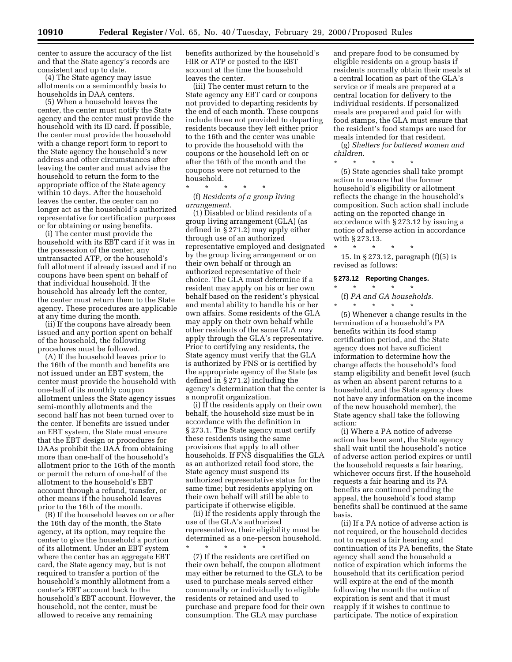center to assure the accuracy of the list and that the State agency's records are consistent and up to date.

(4) The State agency may issue allotments on a semimonthly basis to households in DAA centers.

(5) When a household leaves the center, the center must notify the State agency and the center must provide the household with its ID card. If possible, the center must provide the household with a change report form to report to the State agency the household's new address and other circumstances after leaving the center and must advise the household to return the form to the appropriate office of the State agency within 10 days. After the household leaves the center, the center can no longer act as the household's authorized representative for certification purposes or for obtaining or using benefits.

(i) The center must provide the household with its EBT card if it was in the possession of the center, any untransacted ATP, or the household's full allotment if already issued and if no coupons have been spent on behalf of that individual household. If the household has already left the center, the center must return them to the State agency. These procedures are applicable at any time during the month.

(ii) If the coupons have already been issued and any portion spent on behalf of the household, the following procedures must be followed.

(A) If the household leaves prior to the 16th of the month and benefits are not issued under an EBT system, the center must provide the household with one-half of its monthly coupon allotment unless the State agency issues semi-monthly allotments and the second half has not been turned over to the center. If benefits are issued under an EBT system, the State must ensure that the EBT design or procedures for DAAs prohibit the DAA from obtaining more than one-half of the household's allotment prior to the 16th of the month or permit the return of one-half of the allotment to the household's EBT account through a refund, transfer, or other means if the household leaves prior to the 16th of the month.

(B) If the household leaves on or after the 16th day of the month, the State agency, at its option, may require the center to give the household a portion of its allotment. Under an EBT system where the center has an aggregate EBT card, the State agency may, but is not required to transfer a portion of the household's monthly allotment from a center's EBT account back to the household's EBT account. However, the household, not the center, must be allowed to receive any remaining

benefits authorized by the household's HIR or ATP or posted to the EBT account at the time the household leaves the center.

(iii) The center must return to the State agency any EBT card or coupons not provided to departing residents by the end of each month. These coupons include those not provided to departing residents because they left either prior to the 16th and the center was unable to provide the household with the coupons or the household left on or after the 16th of the month and the coupons were not returned to the household.

\* \* \* \* \* (f) *Residents of a group living arrangement.*

(1) Disabled or blind residents of a group living arrangement (GLA) (as defined in § 271.2) may apply either through use of an authorized representative employed and designated by the group living arrangement or on their own behalf or through an authorized representative of their choice. The GLA must determine if a resident may apply on his or her own behalf based on the resident's physical and mental ability to handle his or her own affairs. Some residents of the GLA may apply on their own behalf while other residents of the same GLA may apply through the GLA's representative. Prior to certifying any residents, the State agency must verify that the GLA is authorized by FNS or is certified by the appropriate agency of the State (as defined in § 271.2) including the agency's determination that the center is a nonprofit organization.

(i) If the residents apply on their own behalf, the household size must be in accordance with the definition in § 273.1. The State agency must certify these residents using the same provisions that apply to all other households. If FNS disqualifies the GLA as an authorized retail food store, the State agency must suspend its authorized representative status for the same time; but residents applying on their own behalf will still be able to participate if otherwise eligible.

(ii) If the residents apply through the use of the GLA's authorized representative, their eligibility must be determined as a one-person household.

\* \* \* \* \* (7) If the residents are certified on their own behalf, the coupon allotment may either be returned to the GLA to be used to purchase meals served either communally or individually to eligible residents or retained and used to purchase and prepare food for their own consumption. The GLA may purchase

and prepare food to be consumed by eligible residents on a group basis if residents normally obtain their meals at a central location as part of the GLA's service or if meals are prepared at a central location for delivery to the individual residents. If personalized meals are prepared and paid for with food stamps, the GLA must ensure that the resident's food stamps are used for meals intended for that resident.

(g) *Shelters for battered women and children.*

\* \* \* \* \* (5) State agencies shall take prompt action to ensure that the former household's eligibility or allotment reflects the change in the household's composition. Such action shall include acting on the reported change in accordance with § 273.12 by issuing a notice of adverse action in accordance with § 273.13.

\* \* \* \* \*

15. In § 273.12, paragraph (f)(5) is revised as follows:

#### **§ 273.12 Reporting Changes.**

\* \* \* \* \* (f) *PA and GA households.*

\* \* \* \* \*

(5) Whenever a change results in the termination of a household's PA benefits within its food stamp certification period, and the State agency does not have sufficient information to determine how the change affects the household's food stamp eligibility and benefit level (such as when an absent parent returns to a household, and the State agency does not have any information on the income of the new household member), the State agency shall take the following action:

(i) Where a PA notice of adverse action has been sent, the State agency shall wait until the household's notice of adverse action period expires or until the household requests a fair hearing, whichever occurs first. If the household requests a fair hearing and its PA benefits are continued pending the appeal, the household's food stamp benefits shall be continued at the same basis.

(ii) If a PA notice of adverse action is not required, or the household decides not to request a fair hearing and continuation of its PA benefits, the State agency shall send the household a notice of expiration which informs the household that its certification period will expire at the end of the month following the month the notice of expiration is sent and that it must reapply if it wishes to continue to participate. The notice of expiration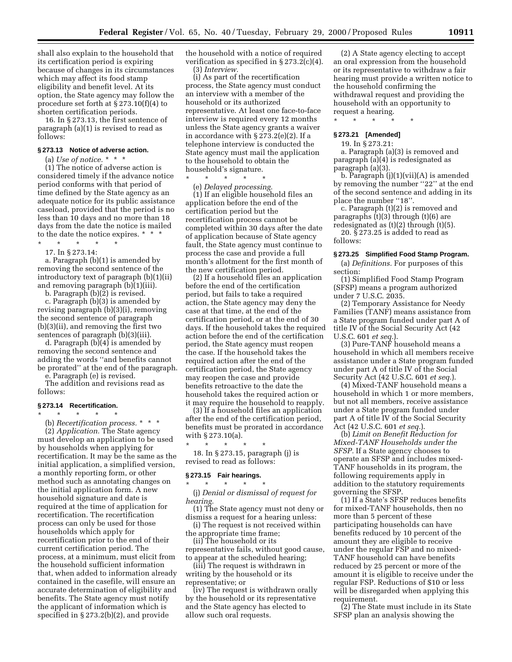shall also explain to the household that its certification period is expiring because of changes in its circumstances which may affect its food stamp eligibility and benefit level. At its option, the State agency may follow the procedure set forth at § 273.10(f)(4) to shorten certification periods.

16. In § 273.13, the first sentence of paragraph (a)(1) is revised to read as follows:

#### **§ 273.13 Notice of adverse action.**

(a) *Use of notice.*  $* * *$ 

(1) The notice of adverse action is considered timely if the advance notice period conforms with that period of time defined by the State agency as an adequate notice for its public assistance caseload, provided that the period is no less than 10 days and no more than 18 days from the date the notice is mailed to the date the notice expires. \* \* \*

\* \* \* \* \* 17. In § 273.14:

a. Paragraph (b)(1) is amended by removing the second sentence of the introductory text of paragraph (b)(1)(ii) and removing paragraph (b)(1)(iii).

b. Paragraph  $(b)(2)$  is revised.

c. Paragraph (b)(3) is amended by revising paragraph (b)(3)(i), removing the second sentence of paragraph (b)(3)(ii), and removing the first two sentences of paragraph (b)(3)(iii).

d. Paragraph (b)(4) is amended by removing the second sentence and adding the words ''and benefits cannot be prorated'' at the end of the paragraph.

e. Paragraph (e) is revised.

The addition and revisions read as follows:

### **§ 273.14 Recertification.**

\* \* \* \* \*

(b) *Recertification process.* \*\*\* (2) *Application.* The State agency must develop an application to be used by households when applying for recertification. It may be the same as the initial application, a simplified version, a monthly reporting form, or other method such as annotating changes on the initial application form. A new household signature and date is required at the time of application for recertification. The recertification process can only be used for those households which apply for recertification prior to the end of their current certification period. The process, at a minimum, must elicit from the household sufficient information that, when added to information already contained in the casefile, will ensure an accurate determination of eligibility and benefits. The State agency must notify the applicant of information which is specified in § 273.2(b)(2), and provide

the household with a notice of required verification as specified in § 273.2(c)(4). (3) *Interview.*

(i) As part of the recertification process, the State agency must conduct an interview with a member of the household or its authorized representative. At least one face-to-face interview is required every 12 months unless the State agency grants a waiver in accordance with § 273.2(e)(2). If a telephone interview is conducted the State agency must mail the application to the household to obtain the household's signature.

\* \* \* \* \* (e) *Delayed processing.*

(1) If an eligible household files an application before the end of the certification period but the recertification process cannot be completed within 30 days after the date of application because of State agency fault, the State agency must continue to process the case and provide a full month's allotment for the first month of the new certification period.

(2) If a household files an application before the end of the certification period, but fails to take a required action, the State agency may deny the case at that time, at the end of the certification period, or at the end of 30 days. If the household takes the required action before the end of the certification period, the State agency must reopen the case. If the household takes the required action after the end of the certification period, the State agency may reopen the case and provide benefits retroactive to the date the household takes the required action or it may require the household to reapply.

(3) If a household files an application after the end of the certification period, benefits must be prorated in accordance with § 273.10(a).

18. In § 273.15, paragraph (j) is revised to read as follows:

#### **§ 273.15 Fair hearings.** \* \* \* \* \*

\* \* \* \* \*

(j) *Denial or dismissal of request for hearing.*

(1) The State agency must not deny or dismiss a request for a hearing unless:

(i) The request is not received within the appropriate time frame;

(ii) The household or its representative fails, without good cause,

to appear at the scheduled hearing;

(iii) The request is withdrawn in writing by the household or its representative; or

(iv) The request is withdrawn orally by the household or its representative and the State agency has elected to allow such oral requests.

(2) A State agency electing to accept an oral expression from the household or its representative to withdraw a fair hearing must provide a written notice to the household confirming the withdrawal request and providing the household with an opportunity to request a hearing.

\* \* \* \* \*

# **§ 273.21 [Amended]**

19. In § 273.21:

a. Paragraph (a)(3) is removed and paragraph (a)(4) is redesignated as paragraph (a)(3).

b. Paragraph  $(j)(1)(vii)(A)$  is amended by removing the number "22" at the end of the second sentence and adding in its place the number "18".

c. Paragraph (t)(2) is removed and paragraphs  $(t)(3)$  through  $(t)(6)$  are redesignated as (t)(2) through (t)(5).

20. § 273.25 is added to read as follows:

#### **§ 273.25 Simplified Food Stamp Program.**

(a) *Definitions.* For purposes of this section:

(1) Simplified Food Stamp Program (SFSP) means a program authorized under 7 U.S.C. 2035.

(2) Temporary Assistance for Needy Families (TANF) means assistance from a State program funded under part A of title IV of the Social Security Act (42 U.S.C. 601 *et seq.*).

(3) Pure-TANF household means a household in which all members receive assistance under a State program funded under part A of title IV of the Social Security Act (42 U.S.C. 601 *et seq.*).

(4) Mixed-TANF household means a household in which 1 or more members, but not all members, receive assistance under a State program funded under part A of title IV of the Social Security Act (42 U.S.C. 601 *et seq.*).

(b) *Limit on Benefit Reduction for Mixed-TANF Households under the SFSP.* If a State agency chooses to operate an SFSP and includes mixed-TANF households in its program, the following requirements apply in addition to the statutory requirements governing the SFSP.

(1) If a State's SFSP reduces benefits for mixed-TANF households, then no more than 5 percent of these participating households can have benefits reduced by 10 percent of the amount they are eligible to receive under the regular FSP and no mixed-TANF household can have benefits reduced by 25 percent or more of the amount it is eligible to receive under the regular FSP. Reductions of \$10 or less will be disregarded when applying this requirement.

(2) The State must include in its State SFSP plan an analysis showing the